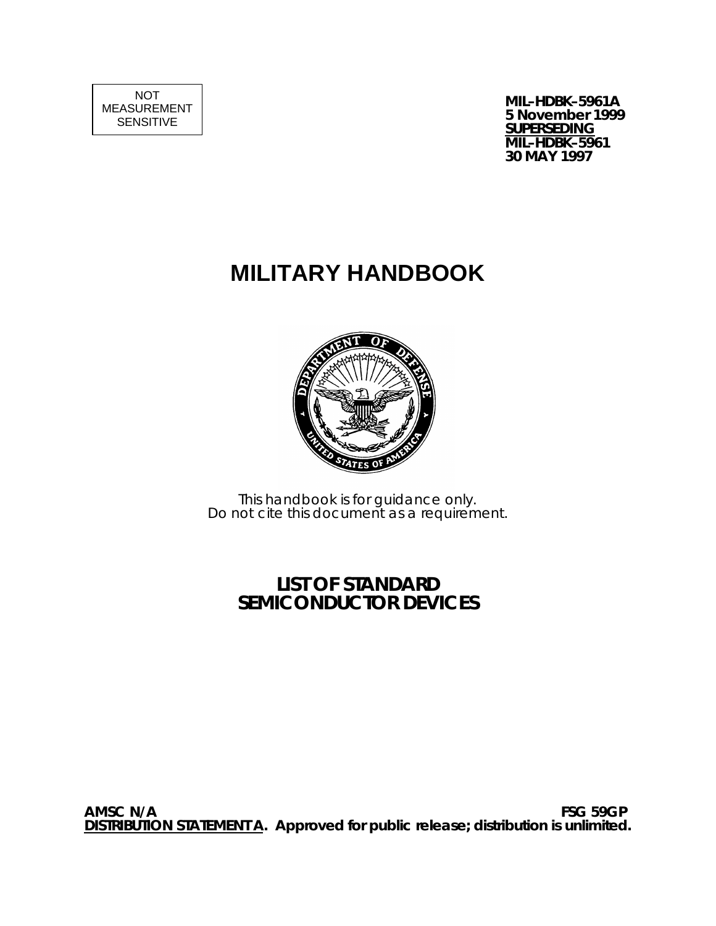NOT MEASUREMENT SENSITIVE

**MIL–HDBK–5961A 5 November 1999 SUPERSEDING MIL–HDBK–5961 30 MAY 1997**

# **MILITARY HANDBOOK**



This handbook is for guidance only. Do not cite this document as a requirement.

## **LIST OF STANDARD SEMICONDUCTOR DEVICES**

**AMSC N/A FSG 59GP DISTRIBUTION STATEMENT A. Approved for public release; distribution is unlimited.**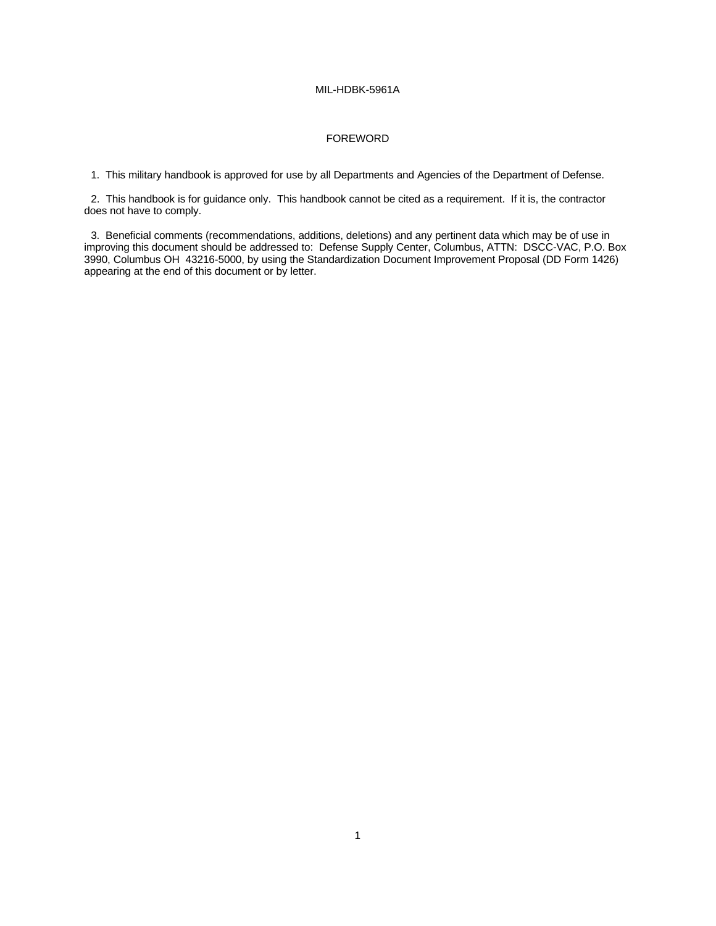#### FOREWORD

1. This military handbook is approved for use by all Departments and Agencies of the Department of Defense.

2. This handbook is for guidance only. This handbook cannot be cited as a requirement. If it is, the contractor does not have to comply.

3. Beneficial comments (recommendations, additions, deletions) and any pertinent data which may be of use in improving this document should be addressed to: Defense Supply Center, Columbus, ATTN: DSCC-VAC, P.O. Box 3990, Columbus OH 43216-5000, by using the Standardization Document Improvement Proposal (DD Form 1426) appearing at the end of this document or by letter.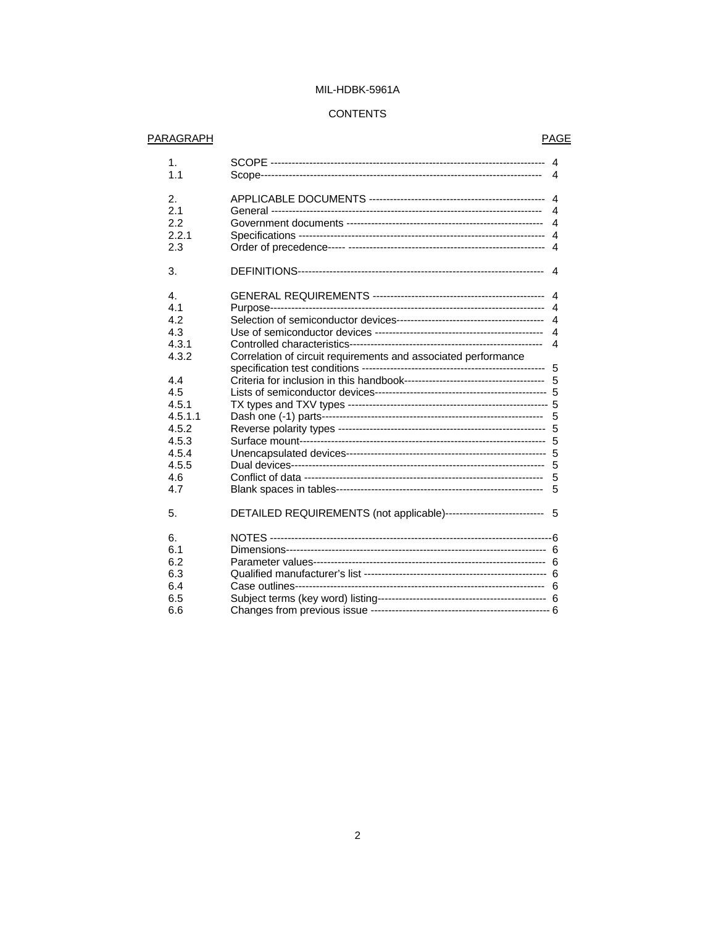### **CONTENTS**

#### **PARAGRAPH**

### **PAGE**

| 1.<br>1.1 |                                                                     | $\overline{4}$         |
|-----------|---------------------------------------------------------------------|------------------------|
| 2.        |                                                                     | $\overline{4}$         |
| 2.1       |                                                                     |                        |
| 2.2       |                                                                     |                        |
| 2.2.1     |                                                                     |                        |
| 2.3       |                                                                     |                        |
| 3.        |                                                                     | 4                      |
| 4.        |                                                                     | $\overline{4}$         |
| 4.1       |                                                                     |                        |
| 4.2       |                                                                     |                        |
| 4.3       |                                                                     |                        |
| 4.3.1     |                                                                     | $\boldsymbol{\Lambda}$ |
| 4.3.2     | Correlation of circuit requirements and associated performance      |                        |
|           |                                                                     | -5                     |
| 4.4       |                                                                     |                        |
| 4.5       |                                                                     |                        |
| 4.5.1     |                                                                     |                        |
| 4.5.1.1   |                                                                     |                        |
| 4.5.2     |                                                                     |                        |
| 4.5.3     |                                                                     |                        |
| 4.5.4     |                                                                     |                        |
| 4.5.5     |                                                                     |                        |
| 4.6       |                                                                     | 5                      |
| 4.7       |                                                                     |                        |
| 5.        | DETAILED REQUIREMENTS (not applicable)--------------------------- 5 |                        |
| 6.        |                                                                     |                        |
| 6.1       |                                                                     |                        |
| 6.2       |                                                                     |                        |
| 6.3       |                                                                     |                        |
| 6.4       |                                                                     |                        |
| 6.5       |                                                                     |                        |
| 6.6       |                                                                     |                        |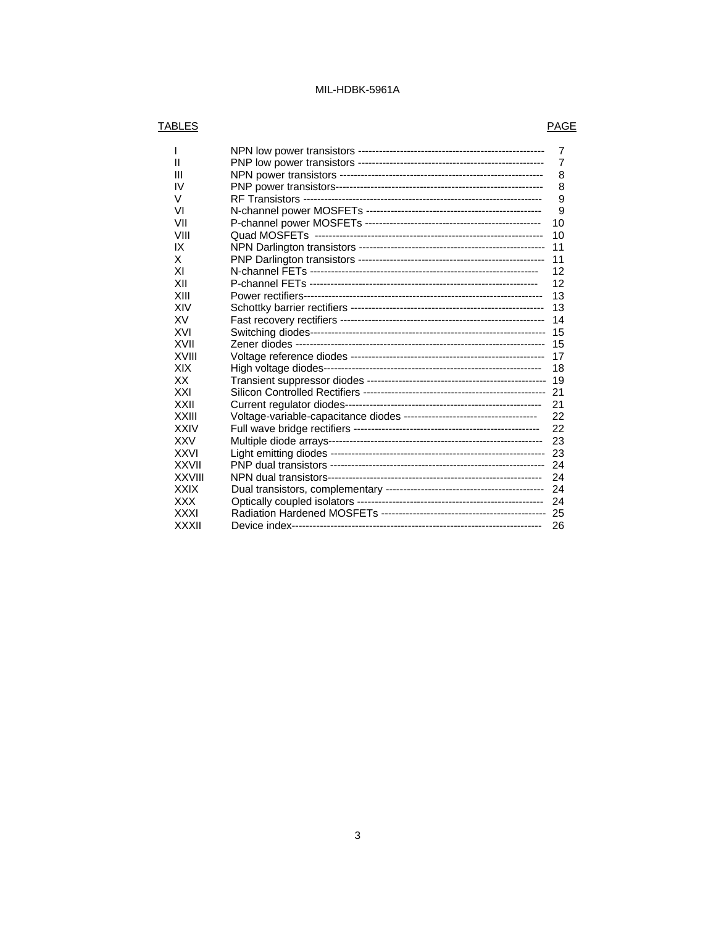### TABLES PAGE

|               | 7  |
|---------------|----|
| н             | 7  |
| Ш             | 8  |
| IV            | 8  |
| V             | 9  |
| VI            | 9  |
| VII           | 10 |
| VIII          | 10 |
| IX            | 11 |
| X             | 11 |
| ΧI            | 12 |
| XII           | 12 |
| XIII          | 13 |
| XIV           | 13 |
| XV            | 14 |
| XVI           | 15 |
| XVII          | 15 |
| <b>XVIII</b>  | 17 |
| XIX           | 18 |
| ХX            | 19 |
| XXI           | 21 |
| XXII          | 21 |
| XXIII         | 22 |
| XXIV          | 22 |
| XXV           | 23 |
| <b>XXVI</b>   | 23 |
| XXVII         | 24 |
| <b>XXVIII</b> | 24 |
| <b>XXIX</b>   | 24 |
| XXX           | 24 |
| <b>XXXI</b>   | 25 |
| <b>XXXII</b>  | 26 |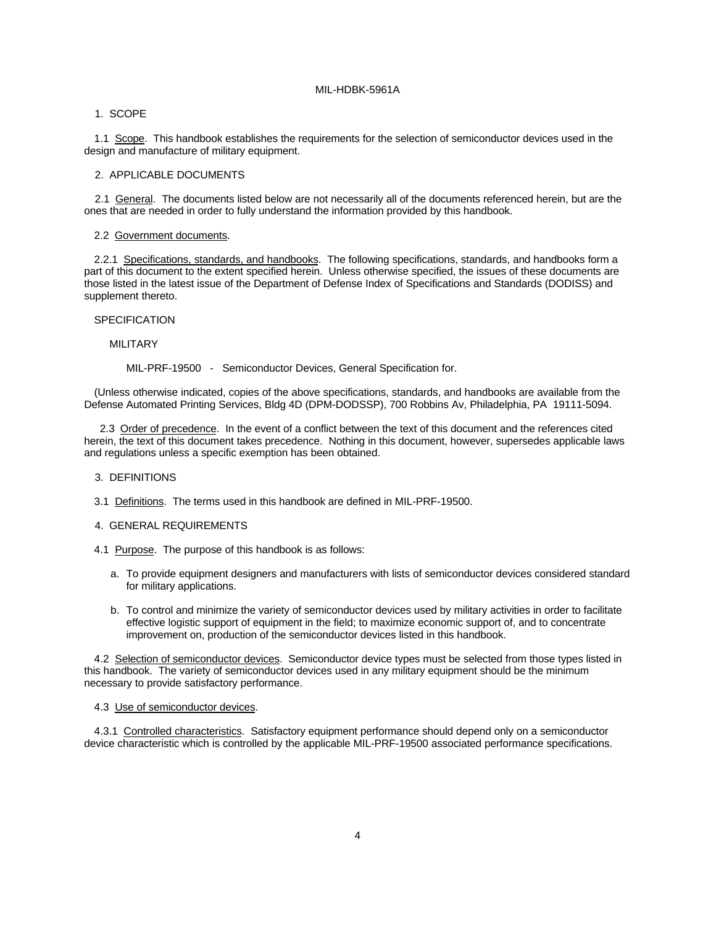#### 1. SCOPE

1.1 Scope. This handbook establishes the requirements for the selection of semiconductor devices used in the design and manufacture of military equipment.

#### 2. APPLICABLE DOCUMENTS

2.1 General. The documents listed below are not necessarily all of the documents referenced herein, but are the ones that are needed in order to fully understand the information provided by this handbook.

#### 2.2 Government documents.

2.2.1 Specifications, standards, and handbooks. The following specifications, standards, and handbooks form a part of this document to the extent specified herein. Unless otherwise specified, the issues of these documents are those listed in the latest issue of the Department of Defense Index of Specifications and Standards (DODISS) and supplement thereto.

#### SPECIFICATION

#### MILITARY

MIL-PRF-19500 - Semiconductor Devices, General Specification for.

(Unless otherwise indicated, copies of the above specifications, standards, and handbooks are available from the Defense Automated Printing Services, Bldg 4D (DPM-DODSSP), 700 Robbins Av, Philadelphia, PA 19111-5094.

2.3 Order of precedence. In the event of a conflict between the text of this document and the references cited herein, the text of this document takes precedence. Nothing in this document, however, supersedes applicable laws and regulations unless a specific exemption has been obtained.

#### 3. DEFINITIONS

3.1 Definitions. The terms used in this handbook are defined in MIL-PRF-19500.

#### 4. GENERAL REQUIREMENTS

- 4.1 Purpose. The purpose of this handbook is as follows:
	- a. To provide equipment designers and manufacturers with lists of semiconductor devices considered standard for military applications.
	- b. To control and minimize the variety of semiconductor devices used by military activities in order to facilitate effective logistic support of equipment in the field; to maximize economic support of, and to concentrate improvement on, production of the semiconductor devices listed in this handbook.

4.2 Selection of semiconductor devices. Semiconductor device types must be selected from those types listed in this handbook. The variety of semiconductor devices used in any military equipment should be the minimum necessary to provide satisfactory performance.

#### 4.3 Use of semiconductor devices.

4.3.1 Controlled characteristics. Satisfactory equipment performance should depend only on a semiconductor device characteristic which is controlled by the applicable MIL-PRF-19500 associated performance specifications.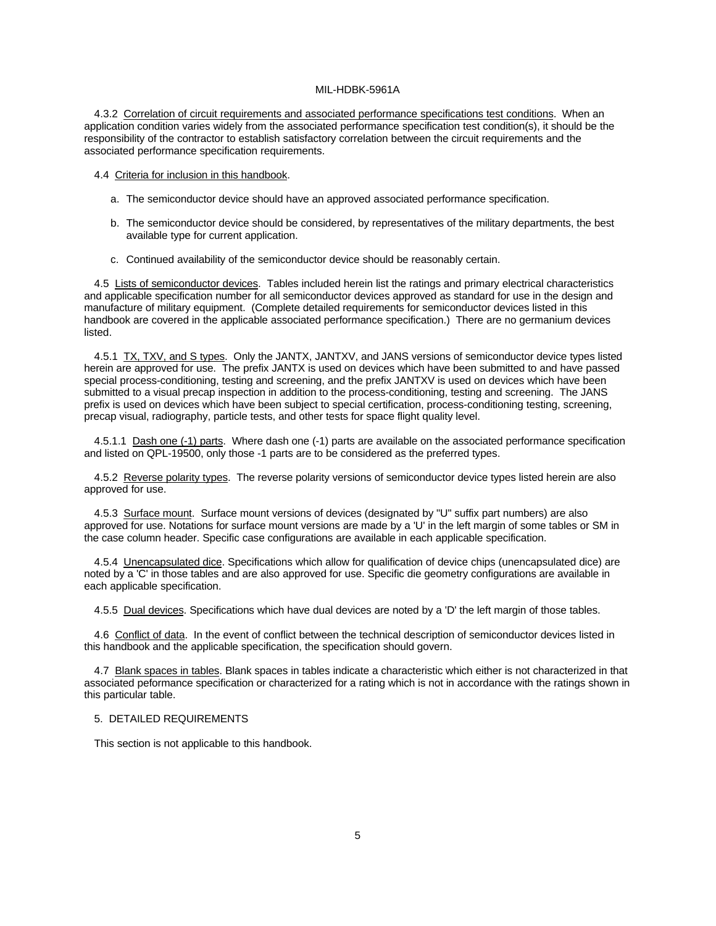4.3.2 Correlation of circuit requirements and associated performance specifications test conditions. When an application condition varies widely from the associated performance specification test condition(s), it should be the responsibility of the contractor to establish satisfactory correlation between the circuit requirements and the associated performance specification requirements.

4.4 Criteria for inclusion in this handbook.

- a. The semiconductor device should have an approved associated performance specification.
- b. The semiconductor device should be considered, by representatives of the military departments, the best available type for current application.
- c. Continued availability of the semiconductor device should be reasonably certain.

4.5 Lists of semiconductor devices. Tables included herein list the ratings and primary electrical characteristics and applicable specification number for all semiconductor devices approved as standard for use in the design and manufacture of military equipment. (Complete detailed requirements for semiconductor devices listed in this handbook are covered in the applicable associated performance specification.) There are no germanium devices listed.

4.5.1 TX, TXV, and S types. Only the JANTX, JANTXV, and JANS versions of semiconductor device types listed herein are approved for use. The prefix JANTX is used on devices which have been submitted to and have passed special process-conditioning, testing and screening, and the prefix JANTXV is used on devices which have been submitted to a visual precap inspection in addition to the process-conditioning, testing and screening. The JANS prefix is used on devices which have been subject to special certification, process-conditioning testing, screening, precap visual, radiography, particle tests, and other tests for space flight quality level.

4.5.1.1 Dash one (-1) parts. Where dash one (-1) parts are available on the associated performance specification and listed on QPL-19500, only those -1 parts are to be considered as the preferred types.

4.5.2 Reverse polarity types. The reverse polarity versions of semiconductor device types listed herein are also approved for use.

4.5.3 Surface mount. Surface mount versions of devices (designated by "U" suffix part numbers) are also approved for use. Notations for surface mount versions are made by a 'U' in the left margin of some tables or SM in the case column header. Specific case configurations are available in each applicable specification.

4.5.4 Unencapsulated dice. Specifications which allow for qualification of device chips (unencapsulated dice) are noted by a 'C' in those tables and are also approved for use. Specific die geometry configurations are available in each applicable specification.

4.5.5 Dual devices. Specifications which have dual devices are noted by a 'D' the left margin of those tables.

4.6 Conflict of data. In the event of conflict between the technical description of semiconductor devices listed in this handbook and the applicable specification, the specification should govern.

4.7 Blank spaces in tables. Blank spaces in tables indicate a characteristic which either is not characterized in that associated peformance specification or characterized for a rating which is not in accordance with the ratings shown in this particular table.

#### 5. DETAILED REQUIREMENTS

This section is not applicable to this handbook.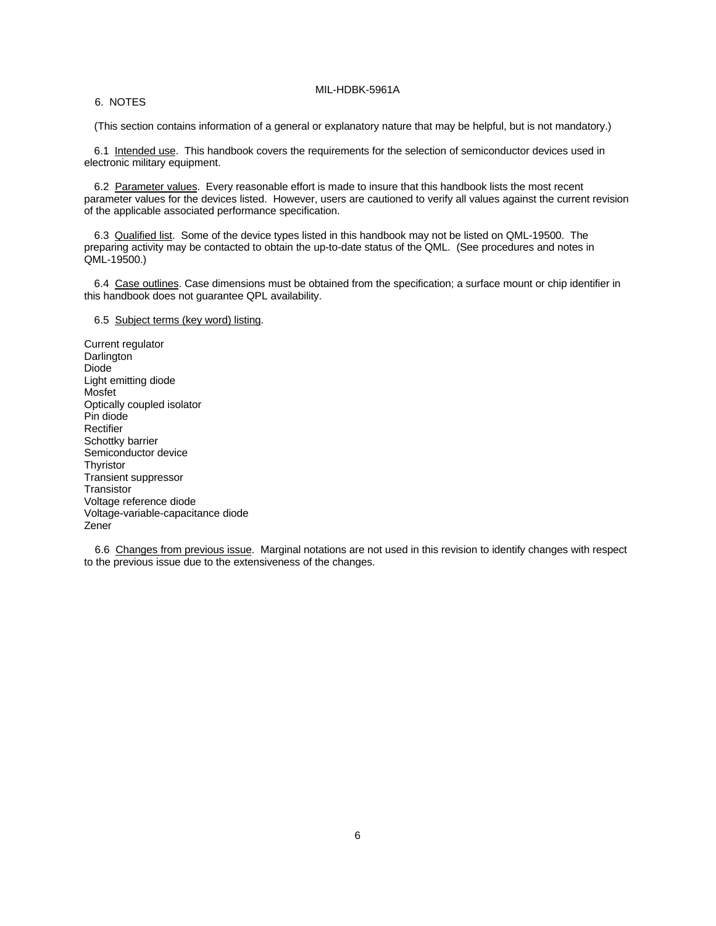#### 6. NOTES

(This section contains information of a general or explanatory nature that may be helpful, but is not mandatory.)

6.1 Intended use. This handbook covers the requirements for the selection of semiconductor devices used in electronic military equipment.

6.2 Parameter values. Every reasonable effort is made to insure that this handbook lists the most recent parameter values for the devices listed. However, users are cautioned to verify all values against the current revision of the applicable associated performance specification.

6.3 Qualified list. Some of the device types listed in this handbook may not be listed on QML-19500. The preparing activity may be contacted to obtain the up-to-date status of the QML. (See procedures and notes in QML-19500.)

6.4 Case outlines. Case dimensions must be obtained from the specification; a surface mount or chip identifier in this handbook does not guarantee QPL availability.

#### 6.5 Subject terms (key word) listing.

Current regulator Darlington Diode Light emitting diode Mosfet Optically coupled isolator Pin diode **Rectifier** Schottky barrier Semiconductor device **Thyristor** Transient suppressor **Transistor** Voltage reference diode Voltage-variable-capacitance diode Zener

6.6 Changes from previous issue. Marginal notations are not used in this revision to identify changes with respect to the previous issue due to the extensiveness of the changes.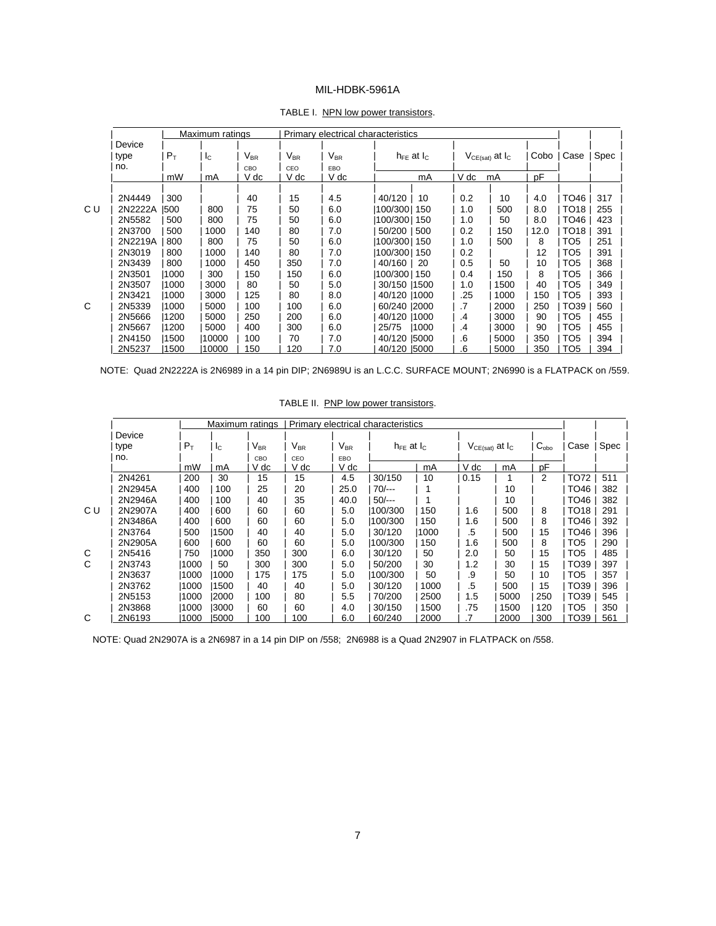|         |       | Maximum ratings |                            |          |                            | Primary electrical characteristics |       |      |                        |      |                  |      |
|---------|-------|-----------------|----------------------------|----------|----------------------------|------------------------------------|-------|------|------------------------|------|------------------|------|
| Device  |       |                 |                            |          |                            |                                    |       |      |                        |      |                  |      |
| type    | $P_T$ | $I_{\rm C}$     | $\mathsf{V}_{\mathsf{BR}}$ | $V_{BR}$ | $\mathsf{V}_{\mathsf{BR}}$ | $h_{FE}$ at $I_{C}$                |       |      | $V_{CE(sat)}$ at $I_C$ | Cobo | Case             | Spec |
| no.     |       |                 | CBO                        | CEO      | EBO                        |                                    |       |      |                        |      |                  |      |
|         | mW    | mA              | V dc                       | V dc     | V dc                       |                                    | mA    | V dc | mA                     | pF   |                  |      |
|         |       |                 |                            |          |                            |                                    |       |      |                        |      |                  |      |
| 2N4449  | 300   |                 | 40                         | 15       | 4.5                        | 40/120                             | 10    | 0.2  | 10                     | 4.0  | TO46             | 317  |
| 2N2222A | 1500  | 800             | 75                         | 50       | 6.0                        | 100/300  150                       |       | 1.0  | 500                    | 8.0  | TO18             | 255  |
| 2N5582  | 500   | 800             | 75                         | 50       | 6.0                        | 100/300  150                       |       | 1.0  | 50                     | 8.0  | TO46             | 423  |
| 2N3700  | 500   | 1000            | 140                        | 80       | 7.0                        | 50/200   500                       |       | 0.2  | 150                    | 12.0 | TO <sub>18</sub> | 391  |
| 2N2219A | 800   | 800             | 75                         | 50       | 6.0                        | 100/300  150                       |       | 1.0  | 500                    | 8    | TO <sub>5</sub>  | 251  |
| 2N3019  | 800   | 1000            | 140                        | 80       | 7.0                        | 100/3001150                        |       | 0.2  |                        | 12   | TO <sub>5</sub>  | 391  |
| 2N3439  | 800   | 1000            | 450                        | 350      | 7.0                        | 40/160                             | -20   | 0.5  | 50                     | 10   | TO <sub>5</sub>  | 368  |
| 2N3501  | 1000  | 300             | 150                        | 150      | 6.0                        | 100/3001150                        |       | 0.4  | 150                    | 8    | TO <sub>5</sub>  | 366  |
| 2N3507  | 1000  | 3000            | 80                         | 50       | 5.0                        | 30/150   1500                      |       | 1.0  | 1500                   | 40   | TO <sub>5</sub>  | 349  |
| 2N3421  | 1000  | 3000            | 125                        | 80       | 8.0                        | 40/120 11000                       |       | .25  | 1000                   | 150  | TO <sub>5</sub>  | 393  |
| 2N5339  | 1000  | 5000            | 100                        | 100      | 6.0                        | 60/240  2000                       |       | .7   | 2000                   | 250  | TO39             | 560  |
| 2N5666  | 1200  | 5000            | 250                        | 200      | 6.0                        | 40/120   1000                      |       | .4   | 3000                   | 90   | TO <sub>5</sub>  | 455  |
| 2N5667  | 1200  | 5000            | 400                        | 300      | 6.0                        | 25/75                              | 11000 | .4   | 3000                   | 90   | TO <sub>5</sub>  | 455  |
| 2N4150  | 1500  | 10000           | 100                        | 70       | 7.0                        | 40/120 15000                       |       | .6   | 5000                   | 350  | TO <sub>5</sub>  | 394  |
| 2N5237  | 1500  | 10000           | 150                        | 120      | 7.0                        | 40/120 5000                        |       | .6   | 5000                   | 350  | TO5              | 394  |

#### TABLE I. NPN low power transistors.

NOTE: Quad 2N2222A is 2N6989 in a 14 pin DIP; 2N6989U is an L.C.C. SURFACE MOUNT; 2N6990 is a FLATPACK on /559.

|     |         |       | Maximum ratings           |                 |                            |          | Primary electrical characteristics |      |                                        |      |               |                 |      |
|-----|---------|-------|---------------------------|-----------------|----------------------------|----------|------------------------------------|------|----------------------------------------|------|---------------|-----------------|------|
|     | Device  |       |                           |                 |                            |          |                                    |      |                                        |      |               |                 |      |
|     | type    | $P_T$ | $\mathsf{I}_{\mathsf{C}}$ | V <sub>BR</sub> | $\mathsf{V}_{\mathsf{BR}}$ | $V_{BR}$ | $h_{FE}$ at $I_{C}$                |      | V <sub>CE(sat)</sub> at I <sub>C</sub> |      | $C_{\rm obo}$ | Case            | Spec |
|     | no.     |       |                           | CBO             | CEO                        | EBO      |                                    |      |                                        |      |               |                 |      |
|     |         | mW    | mA                        | V dc            | V dc                       | V dc     |                                    | mA   | V dc                                   | mA   | pF            |                 |      |
|     | 2N4261  | 200   | 30                        | 15              | 15                         | 4.5      | 30/150                             | 10   | 0.15                                   |      | 2             | TO72            | 511  |
|     | 2N2945A | 400   | 100                       | 25              | 20                         | 25.0     | $70/-$                             |      |                                        | 10   |               | TO46            | 382  |
|     | 2N2946A | 400   | 100                       | 40              | 35                         | 40.0     | $50/-$                             |      |                                        | 10   |               | TO46            | 382  |
| C U | 2N2907A | 400   | 600                       | 60              | 60                         | 5.0      | 100/300                            | 150  | 1.6                                    | 500  | 8             | TO18            | 291  |
|     | 2N3486A | 400   | 600                       | 60              | 60                         | 5.0      | 100/300                            | 150  | 1.6                                    | 500  | 8             | TO46            | 392  |
|     | 2N3764  | 500   | 1500                      | 40              | 40                         | 5.0      | 30/120                             | 1000 | .5                                     | 500  | 15            | TO46            | 396  |
|     | 2N2905A | 600   | 600                       | 60              | 60                         | 5.0      | 100/300                            | 150  | 1.6                                    | 500  | 8             | TO5             | 290  |
| C   | 2N5416  | 750   | 1000                      | 350             | 300                        | 6.0      | 30/120                             | 50   | 2.0                                    | 50   | 15            | TO <sub>5</sub> | 485  |
| C   | 2N3743  | 1000  | 50                        | 300             | 300                        | 5.0      | 50/200                             | 30   | 1.2                                    | 30   | 15            | TO39            | 397  |
|     | 2N3637  | 1000  | 1000                      | 175             | 175                        | 5.0      | 100/300                            | 50   | .9                                     | 50   | 10            | TO <sub>5</sub> | 357  |
|     | 2N3762  | 1000  | 1500                      | 40              | 40                         | 5.0      | 30/120                             | 1000 | .5                                     | 500  | 15            | TO39            | 396  |
|     | 2N5153  | 1000  | 12000                     | 100             | 80                         | $5.5\,$  | 70/200                             | 2500 | 1.5                                    | 5000 | 250           | TO39            | 545  |
|     | 2N3868  | 1000  | 13000                     | 60              | 60                         | 4.0      | 30/150                             | 1500 | .75                                    | 1500 | 120           | TO <sub>5</sub> | 350  |
| C   | 2N6193  | 1000  | 15000                     | 100             | 100                        | 6.0      | 60/240                             | 2000 |                                        | 2000 | 300           | TO39            | 561  |

TABLE II. PNP low power transistors.

NOTE: Quad 2N2907A is a 2N6987 in a 14 pin DIP on /558; 2N6988 is a Quad 2N2907 in FLATPACK on /558.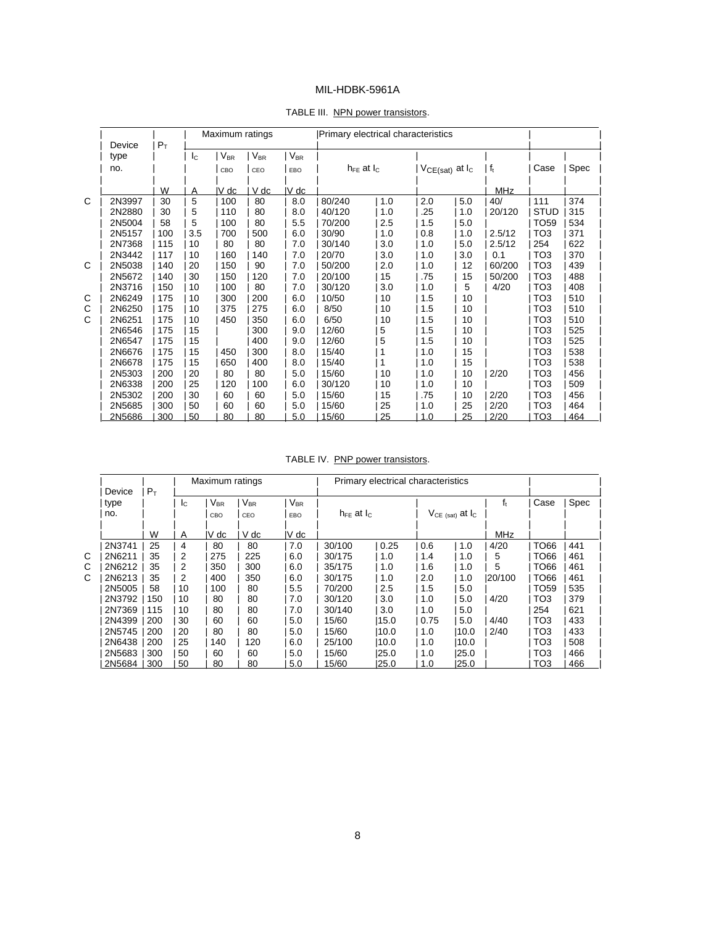#### TABLE III. NPN power transistors.

|   | Device | $P_T$ |             | Maximum ratings |          |          | Primary electrical characteristics |     |     |                        |            |                  |      |
|---|--------|-------|-------------|-----------------|----------|----------|------------------------------------|-----|-----|------------------------|------------|------------------|------|
|   | type   |       | $I_{\rm C}$ | $V_{BR}$        | $V_{BR}$ | $V_{BR}$ |                                    |     |     |                        |            |                  |      |
|   | no.    |       |             | CBO             | CEO      | EBO      | $h_{FE}$ at $I_{C}$                |     |     | $V_{CE(sat)}$ at $I_c$ | $ f_t $    | Case             | Spec |
|   |        | W     | Α           | IV dc           | V dc     | V dc     |                                    |     |     |                        | <b>MHz</b> |                  |      |
| C | 2N3997 | 30    | 5           | 100             | 80       | 8.0      | 80/240                             | 1.0 | 2.0 | 5.0                    | 40/        | 111              | 374  |
|   | 2N2880 | 30    | 5           | 110             | 80       | 8.0      | 40/120                             | 1.0 | .25 | 1.0                    | 20/120     | <b>STUD</b>      | 315  |
|   | 2N5004 | 58    | 5           | 100             | 80       | 5.5      | 70/200                             | 2.5 | 1.5 | 5.0                    |            | TO <sub>59</sub> | 534  |
|   | 2N5157 | 100   | 3.5         | 700             | 500      | 6.0      | 30/90                              | 1.0 | 0.8 | 1.0                    | 2.5/12     | TO <sub>3</sub>  | 371  |
|   | 2N7368 | 115   | 10          | 80              | 80       | 7.0      | 30/140                             | 3.0 | 1.0 | 5.0                    | 2.5/12     | 254              | 622  |
|   | 2N3442 | 117   | 10          | 160             | 140      | 7.0      | 20/70                              | 3.0 | 1.0 | 3.0                    | 0.1        | TO <sub>3</sub>  | 370  |
| C | 2N5038 | 140   | 20          | 150             | 90       | 7.0      | 50/200                             | 2.0 | 1.0 | 12                     | 60/200     | TO <sub>3</sub>  | 439  |
|   | 2N5672 | 140   | 30          | 150             | 120      | 7.0      | 20/100                             | 15  | .75 | 15                     | 50/200     | TO <sub>3</sub>  | 488  |
|   | 2N3716 | 150   | 10          | 100             | 80       | 7.0      | 30/120                             | 3.0 | 1.0 | 5                      | 4/20       | TO <sub>3</sub>  | 408  |
| C | 2N6249 | 175   | 10          | 300             | 200      | 6.0      | 10/50                              | 10  | 1.5 | 10                     |            | TO <sub>3</sub>  | 510  |
| С | 2N6250 | 175   | 10          | 375             | 275      | 6.0      | 8/50                               | 10  | 1.5 | 10                     |            | TO <sub>3</sub>  | 510  |
| C | 2N6251 | 175   | 10          | 450             | 350      | 6.0      | 6/50                               | 10  | 1.5 | 10                     |            | TO <sub>3</sub>  | 510  |
|   | 2N6546 | 175   | 15          |                 | 300      | 9.0      | 12/60                              | 5   | 1.5 | 10                     |            | TO <sub>3</sub>  | 525  |
|   | 2N6547 | 175   | 15          |                 | 400      | 9.0      | 12/60                              | 5   | 1.5 | 10                     |            | TO <sub>3</sub>  | 525  |
|   | 2N6676 | 175   | 15          | 450             | 300      | 8.0      | 15/40                              | 1   | 1.0 | 15                     |            | TO <sub>3</sub>  | 538  |
|   | 2N6678 | 175   | 15          | 650             | 400      | 8.0      | 15/40                              | 1   | 1.0 | 15                     |            | TO <sub>3</sub>  | 538  |
|   | 2N5303 | 200   | 20          | 80              | 80       | 5.0      | 15/60                              | 10  | 1.0 | 10                     | 2/20       | TO <sub>3</sub>  | 456  |
|   | 2N6338 | 200   | 25          | 120             | 100      | 6.0      | 30/120                             | 10  | 1.0 | 10                     |            | TO <sub>3</sub>  | 509  |
|   | 2N5302 | 200   | 30          | 60              | 60       | 5.0      | 15/60                              | 15  | .75 | 10                     | 2/20       | TO <sub>3</sub>  | 456  |
|   | 2N5685 | 300   | 50          | 60              | 60       | 5.0      | 15/60                              | 25  | 1.0 | 25                     | 2/20       | TO <sub>3</sub>  | 464  |
|   | 2N5686 | 300   | 50          | 80              | 80       | 5.0      | 15/60                              | 25  | 1.0 | 25                     | 2/20       | ТОЗ              | 464  |

TABLE IV. PNP power transistors.

| Device      | $P_T$ |               | Maximum ratings |          |                            |                     | Primary electrical characteristics |      |                           |            |                  |      |  |
|-------------|-------|---------------|-----------------|----------|----------------------------|---------------------|------------------------------------|------|---------------------------|------------|------------------|------|--|
| type        |       | <sub>IC</sub> | $V_{BR}$        | $V_{BR}$ | $\mathsf{V}_{\mathsf{BR}}$ |                     |                                    |      |                           | $f_t$      | Case             | Spec |  |
| no.         |       |               | CBO             | CEO      | EBO                        | $h_{FF}$ at $I_{C}$ |                                    |      | $V_{CE (sat)}$ at $I_{C}$ |            |                  |      |  |
|             | W     | A             | IV dc           | V dc     | IV dc                      |                     |                                    |      |                           | <b>MHz</b> |                  |      |  |
| 2N3741      | 25    | 4             | 80              | 80       | 7.0                        | 30/100              | 0.25                               | 0.6  | 1.0                       | 4/20       | TO66             | 441  |  |
| С<br>2N6211 | 35    | 2             | 275             | 225      | 6.0                        | 30/175              | 1.0                                | 1.4  | 1.0                       | 5          | TO66             | 461  |  |
| С<br>2N6212 | 35    | 2             | 350             | 300      | 6.0                        | 35/175              | 1.0                                | 1.6  | 1.0                       | 5          | TO66             | 461  |  |
| С<br>2N6213 | 35    | 2             | 400             | 350      | 6.0                        | 30/175              | 1.0                                | 2.0  | 1.0                       | 120/100    | TO66             | 461  |  |
| 2N5005      | 58    | 10            | 100             | 80       | 5.5                        | 70/200              | 2.5                                | 1.5  | 5.0                       |            | TO <sub>59</sub> | 535  |  |
| 2N3792      | 150   | 10            | 80              | 80       | 7.0                        | 30/120              | 3.0                                | 1.0  | 5.0                       | 4/20       | TO <sub>3</sub>  | 379  |  |
| 2N7369      | 115   | 10            | 80              | 80       | 7.0                        | 30/140              | 3.0                                | 1.0  | 5.0                       |            | 254              | 621  |  |
| 2N4399      | 200   | 30            | 60              | 60       | 5.0                        | 15/60               | 15.0                               | 0.75 | 5.0                       | 4/40       | TO <sub>3</sub>  | 433  |  |
| 2N5745      | 200   | 20            | 80              | 80       | 5.0                        | 15/60               | 10.0                               | 1.0  | 10.0                      | 2/40       | TO <sub>3</sub>  | 433  |  |
| 2N6438      | 200   | 25            | 140             | 120      | 6.0                        | 25/100              | 10.0                               | 1.0  | 10.0                      |            | TO <sub>3</sub>  | 508  |  |
| 2N5683      | 300   | 50            | 60              | 60       | 5.0                        | 15/60               | 125.0                              | 1.0  | 25.0                      |            | TO3              | 466  |  |
| 2N5684      | 300   | 50            | 80              | 80       | 5.0                        | 15/60               | 25.0                               | 1.0  | 125.0                     |            | TO <sub>3</sub>  | 466  |  |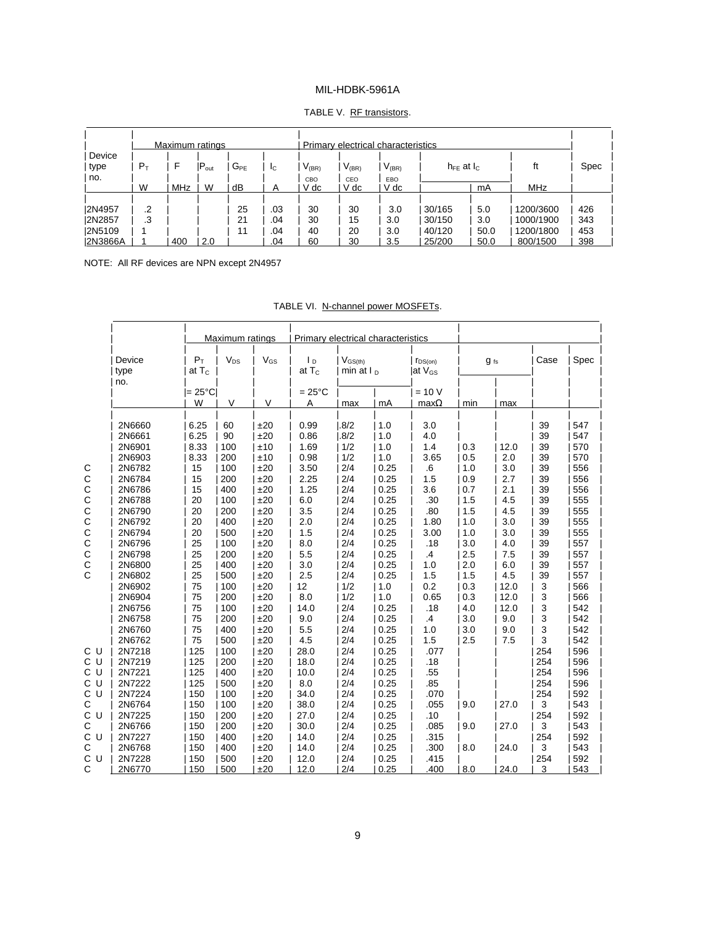|  | TABLE V. RF transistors. |
|--|--------------------------|
|  |                          |

|                                           |       | Maximum ratings |             |          |                   |                |                | Primary electrical characteristics |                            |                     |                                    |                   |
|-------------------------------------------|-------|-----------------|-------------|----------|-------------------|----------------|----------------|------------------------------------|----------------------------|---------------------|------------------------------------|-------------------|
| Device<br>type                            | $P_T$ | F               | $ P_{out} $ | $G_{PE}$ | <sub>IC</sub>     | $V_{(BR)}$     | $V_{(BR)}$     | $V_{(BR)}$                         | $h_{FE}$ at $I_{C}$        |                     | ft                                 | Spec              |
| no.                                       | W     | MHz             | W           | dB       |                   | CBO<br>V dc    | CEO<br>V dc    | EBO<br>V dc                        |                            | mA                  | <b>MHz</b>                         |                   |
| 2N4957                                    | .2    |                 |             | 25       | .03               | 30             | 30             | 3.0                                | 30/165                     | 5.0                 | 1200/3600                          | 426               |
| 2N2857<br><b>2N5109</b><br><b>2N3866A</b> | .3    | 400             | 2.0         | 21<br>11 | .04<br>.04<br>.04 | 30<br>40<br>60 | 15<br>20<br>30 | 3.0<br>3.0<br>3.5                  | 30/150<br>40/120<br>25/200 | 3.0<br>50.0<br>50.0 | 1000/1900<br>1200/1800<br>800/1500 | 343<br>453<br>398 |

NOTE: All RF devices are NPN except 2N4957

|                |                   | Maximum ratings |              | Primary electrical characteristics    |                              |      |                                     |     |          |             |      |
|----------------|-------------------|-----------------|--------------|---------------------------------------|------------------------------|------|-------------------------------------|-----|----------|-------------|------|
| Device<br>type | $P_T$<br>at $T_c$ | $V_{DS}$        | $\rm V_{GS}$ | $\mathsf{I}_{\mathsf{D}}$<br>at $T_c$ | $V_{GS(th)}$<br>min at $I_D$ |      | $r_{DS(on)}$<br>lat V <sub>GS</sub> |     | $g_{fs}$ | Case        | Spec |
| no.            | $= 25^{\circ}$ Cl |                 |              | $=25^{\circ}C$                        |                              |      | $= 10 V$                            |     |          |             |      |
|                | W                 | $\vee$          | $\vee$       | A                                     | max                          | mA   | $max\Omega$                         | min | max      |             |      |
| 2N6660         | 6.25              | 60              | ±20          | 0.99                                  | .8/2                         | 1.0  | 3.0                                 |     |          | 39          | 547  |
| 2N6661         | 6.25              | 90              | ±20          | 0.86                                  | .8/2                         | 1.0  | 4.0                                 |     |          | 39          | 547  |
| 2N6901         | 8.33              | 100             | ±10          | 1.69                                  | 1/2                          | 1.0  | 1.4                                 | 0.3 | 12.0     | 39          | 570  |
| 2N6903         | 8.33              | 200             | ±10          | 0.98                                  | 1/2                          | 1.0  | 3.65                                | 0.5 | 2.0      | 39          | 570  |
| 2N6782         | 15                | 100             | ±20          | 3.50                                  | 2/4                          | 0.25 | .6                                  | 1.0 | 3.0      | 39          | 556  |
| 2N6784         | 15                | 200             | ±20          | 2.25                                  | 2/4                          | 0.25 | 1.5                                 | 0.9 | 2.7      | 39          | 556  |
| 2N6786         | 15                | 400             | ±20          | 1.25                                  | 2/4                          | 0.25 | 3.6                                 | 0.7 | 2.1      | 39          | 556  |
| 2N6788         | 20                | 100             | ±20          | 6.0                                   | 2/4                          | 0.25 | .30                                 | 1.5 | 4.5      | 39          | 555  |
| 2N6790         | 20                | 200             | ±20          | 3.5                                   | 2/4                          | 0.25 | .80                                 | 1.5 | 4.5      | 39          | 555  |
| 2N6792         | 20                | 400             | ±20          | 2.0                                   | 2/4                          | 0.25 | 1.80                                | 1.0 | 3.0      | 39          | 555  |
| 2N6794         | 20                | 500             | ±20          | 1.5                                   | 2/4                          | 0.25 | 3.00                                | 1.0 | 3.0      | 39          | 555  |
| 2N6796         | 25                | 100             | ±20          | 8.0                                   | 2/4                          | 0.25 | .18                                 | 3.0 | 4.0      | 39          | 557  |
| 2N6798         | 25                | 200             | ±20          | 5.5                                   | 2/4                          | 0.25 | $\cdot$                             | 2.5 | 7.5      | 39          | 557  |
| 2N6800         | 25                | 400             | ±20          | 3.0                                   | 2/4                          | 0.25 | 1.0                                 | 2.0 | 6.0      | 39          | 557  |
| 2N6802         | 25                | 500             | ±20          | 2.5                                   | 2/4                          | 0.25 | 1.5                                 | 1.5 | 4.5      | 39          | 557  |
| 2N6902         | 75                | 100             | ±20          | 12                                    | 1/2                          | 1.0  | 0.2                                 | 0.3 | 12.0     | 3           | 566  |
| 2N6904         | 75                | 200             | ±20          | 8.0                                   | 1/2                          | 1.0  | 0.65                                | 0.3 | 12.0     | 3           | 566  |
| 2N6756         | 75                | 100             | ±20          | 14.0                                  | 2/4                          | 0.25 | .18                                 | 4.0 | 12.0     | 3           | 542  |
| 2N6758         | 75                | 200             | ±20          | 9.0                                   | 2/4                          | 0.25 | $\cdot$ 4                           | 3.0 | 9.0      | 3           | 542  |
| 2N6760         | 75                | 400             | ±20          | $5.5\,$                               | 2/4                          | 0.25 | 1.0                                 | 3.0 | 9.0      | 3           | 542  |
| 2N6762         | 75                | 500             | ±20          | 4.5                                   | 2/4                          | 0.25 | 1.5                                 | 2.5 | 7.5      | $\mathsf 3$ | 542  |
| 2N7218         | 125               | 100             | ±20          | 28.0                                  | 2/4                          | 0.25 | .077                                |     |          | 254         | 596  |
| 2N7219         | 125               | 200             | ±20          | 18.0                                  | 2/4                          | 0.25 | .18                                 |     |          | 254         | 596  |
| 2N7221         | 125               | 400             | ±20          | 10.0                                  | 2/4                          | 0.25 | .55                                 |     |          | 254         | 596  |
| 2N7222         | 125               | 500             | ±20          | 8.0                                   | 2/4                          | 0.25 | .85                                 |     |          | 254         | 596  |
| 2N7224         | 150               | 100             | ±20          | 34.0                                  | 2/4                          | 0.25 | .070                                |     |          | 254         | 592  |
| 2N6764         | 150               | 100             | ±20          | 38.0                                  | 2/4                          | 0.25 | .055                                | 9.0 | 27.0     | 3           | 543  |
| 2N7225         | 150               | 200             | ±20          | 27.0                                  | 2/4                          | 0.25 | .10                                 |     |          | 254         | 592  |
| 2N6766         | 150               | 200             | ±20          | 30.0                                  | 2/4                          | 0.25 | .085                                | 9.0 | 27.0     | 3           | 543  |
| 2N7227         | 150               | 400             | ±20          | 14.0                                  | 2/4                          | 0.25 | .315                                |     |          | 254         | 592  |
| 2N6768         | 150               | 400             | ±20          | 14.0                                  | 2/4                          | 0.25 | .300                                | 8.0 | 24.0     | 3           | 543  |
| 2N7228         | 150               | 500             | ±20          | 12.0                                  | 2/4                          | 0.25 | .415                                |     |          | 254         | 592  |
| 2N6770         | 150               | 500             | ±20          | 12.0                                  | 2/4                          | 0.25 | .400                                | 8.0 | 24.0     | 3           | 543  |

| TABLE VI. N-channel power MOSFETs. |  |  |  |  |
|------------------------------------|--|--|--|--|
|------------------------------------|--|--|--|--|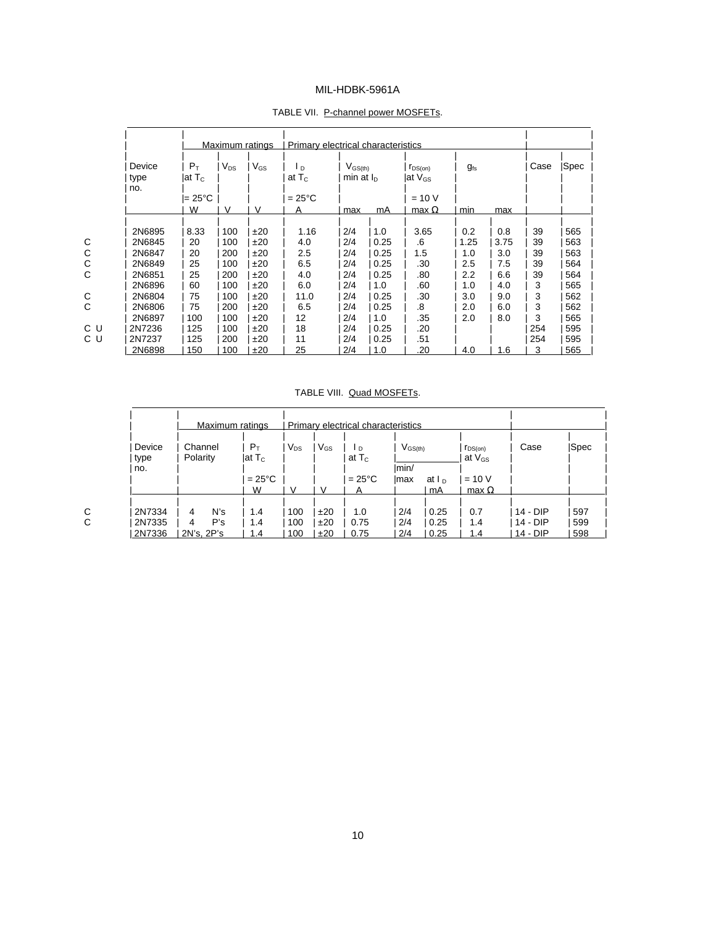|                       |                           |          | Maximum ratings | Primary electrical characteristics |                                                             |      |                                     |          |      |      |      |
|-----------------------|---------------------------|----------|-----------------|------------------------------------|-------------------------------------------------------------|------|-------------------------------------|----------|------|------|------|
| Device<br>type<br>no. | $P_T$<br>lat T $_{\rm c}$ | $V_{DS}$ | $V_{GS}$        | l p<br>at $T_c$                    | $V$ <sub>GS<math>(th)</math></sub><br>min at I <sub>p</sub> |      | $r_{DS(on)}$<br>lat V <sub>GS</sub> | $q_{fs}$ |      | Case | Spec |
|                       | l= 25°C                   |          |                 | $=25^{\circ}$ C                    |                                                             |      | $= 10 V$                            |          |      |      |      |
|                       | W                         | V        | V               | A                                  | max                                                         | mA   | max $\Omega$                        | min      | max  |      |      |
| 2N6895                | 8.33                      | 100      | ±20             | 1.16                               | 2/4                                                         | 1.0  | 3.65                                | 0.2      | 0.8  | 39   | 565  |
| 2N6845                | 20                        | 100      | ±20             | 4.0                                | 2/4                                                         | 0.25 | .6                                  | 1.25     | 3.75 | 39   | 563  |
| 2N6847                | 20                        | 200      | ±20             | 2.5                                | 2/4                                                         | 0.25 | 1.5                                 | 1.0      | 3.0  | 39   | 563  |
| 2N6849                | 25                        | 100      | ±20             | 6.5                                | 2/4                                                         | 0.25 | .30                                 | 2.5      | 7.5  | 39   | 564  |
| 2N6851                | 25                        | 200      | ±20             | 4.0                                | 2/4                                                         | 0.25 | .80                                 | 2.2      | 6.6  | 39   | 564  |
| 2N6896                | 60                        | 100      | ±20             | 6.0                                | 2/4                                                         | 1.0  | .60                                 | 1.0      | 4.0  | 3    | 565  |
| 2N6804                | 75                        | 100      | ±20             | 11.0                               | 2/4                                                         | 0.25 | .30                                 | 3.0      | 9.0  | 3    | 562  |
| 2N6806                | 75                        | 200      | ±20             | 6.5                                | 2/4                                                         | 0.25 | .8                                  | 2.0      | 6.0  | 3    | 562  |
| 2N6897                | 100                       | 100      | ±20             | 12                                 | 2/4                                                         | 1.0  | .35                                 | 2.0      | 8.0  | 3    | 565  |
| 2N7236                | 125                       | 100      | ±20             | 18                                 | 2/4                                                         | 0.25 | .20                                 |          |      | 254  | 595  |
| 2N7237                | 125                       | 200      | ±20             | 11                                 | 2/4                                                         | 0.25 | .51                                 |          |      | 254  | 595  |
| 2N6898                | 150                       | 100      | ±20             | 25                                 | 2/4                                                         | 1.0  | .20                                 | 4.0      | 1.6  | 3    | 565  |

#### TABLE VII. P-channel power MOSFETs.

#### TABLE VIII. Quad MOSFETs.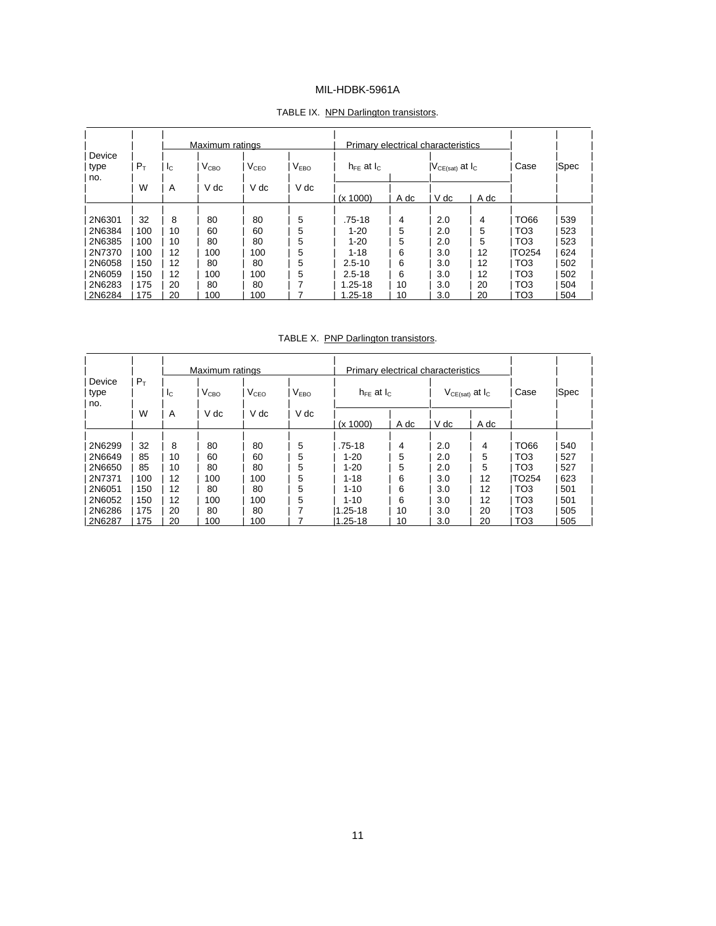|        |       |             | Maximum ratings  |                  |                  | Primary electrical characteristics |      |                           |      |                 |      |
|--------|-------|-------------|------------------|------------------|------------------|------------------------------------|------|---------------------------|------|-----------------|------|
| Device |       |             |                  |                  |                  |                                    |      |                           |      |                 |      |
| type   | $P_T$ | $I_{\rm C}$ | V <sub>CBO</sub> | V <sub>CEO</sub> | V <sub>FBO</sub> | $h_{FF}$ at $h_{C}$                |      | $ V_{CE(sat)}$ at $I_{C}$ |      | Case            | Spec |
| no.    |       |             |                  |                  |                  |                                    |      |                           |      |                 |      |
|        | W     | A           | V dc             | V dc             | V dc             |                                    |      |                           |      |                 |      |
|        |       |             |                  |                  |                  | (x 1000)                           | A dc | V dc                      | A dc |                 |      |
|        |       |             |                  |                  |                  |                                    |      |                           |      |                 |      |
| 2N6301 | 32    | 8           | 80               | 80               | 5                | $.75 - 18$                         | 4    | 2.0                       | 4    | TO66            | 539  |
| 2N6384 | 100   | 10          | 60               | 60               | 5                | $1 - 20$                           | 5    | 2.0                       | 5    | TO <sub>3</sub> | 523  |
| 2N6385 | 100   | 10          | 80               | 80               | 5                | $1 - 20$                           | 5    | 2.0                       | 5    | TO <sub>3</sub> | 523  |
| 2N7370 | 100   | 12          | 100              | 100              | 5                | $1 - 18$                           | 6    | 3.0                       | 12   | TO254           | 624  |
| 2N6058 | 150   | 12          | 80               | 80               | 5                | $2.5 - 10$                         | 6    | 3.0                       | 12   | TO <sub>3</sub> | 502  |
| 2N6059 | 150   | 12          | 100              | 100              | 5                | $2.5 - 18$                         | 6    | 3.0                       | 12   | TO <sub>3</sub> | 502  |
| 2N6283 | 175   | 20          | 80               | 80               |                  | $1.25 - 18$                        | 10   | 3.0                       | 20   | TO <sub>3</sub> | 504  |
| 2N6284 | 175   | 20          | 100              | 100              |                  | $1.25 - 18$                        | 10   | 3.0                       | 20   | TO <sub>3</sub> | 504  |

#### TABLE IX. NPN Darlington transistors.

TABLE X. PNP Darlington transistors.

 $\overline{a}$ 

|                |       |    | Maximum ratings  |                  |                  | Primary electrical characteristics |      |                          |      |                 |      |
|----------------|-------|----|------------------|------------------|------------------|------------------------------------|------|--------------------------|------|-----------------|------|
| Device<br>type | $P_T$ | Ιc | V <sub>CBO</sub> | V <sub>CEO</sub> | V <sub>FBO</sub> | $h_{FF}$ at $h_{C}$                |      | $V_{CE(sat)}$ at $I_{C}$ |      | Case            | Spec |
| no.            |       |    |                  |                  |                  |                                    |      |                          |      |                 |      |
|                | W     | A  | V dc             | V dc             | V dc             | (x 1000)                           | A dc | V dc                     | A dc |                 |      |
|                |       |    |                  |                  |                  |                                    |      |                          |      |                 |      |
| 2N6299         | 32    | 8  | 80               | 80               | 5                | $.75 - 18$                         | 4    | 2.0                      | 4    | TO66            | 540  |
| 2N6649         | 85    | 10 | 60               | 60               | 5                | $1 - 20$                           | 5    | 2.0                      | 5    | TO <sub>3</sub> | 527  |
| 2N6650         | 85    | 10 | 80               | 80               | 5                | $1 - 20$                           | 5    | 2.0                      | 5    | TO <sub>3</sub> | 527  |
| 2N7371         | 100   | 12 | 100              | 100              | 5                | $1 - 18$                           | 6    | 3.0                      | 12   | <b>TO254</b>    | 623  |
| 2N6051         | 150   | 12 | 80               | 80               | 5                | $1 - 10$                           | 6    | 3.0                      | 12   | TO <sub>3</sub> | 501  |
| 2N6052         | 150   | 12 | 100              | 100              | 5                | $1 - 10$                           | 6    | 3.0                      | 12   | TO <sub>3</sub> | 501  |
| 2N6286         | 175   | 20 | 80               | 80               |                  | $1.25 - 18$                        | 10   | 3.0                      | 20   | TO <sub>3</sub> | 505  |
| 2N6287         | 175   | 20 | 100              | 100              |                  | 1.25-18                            | 10   | 3.0                      | 20   | TO <sub>3</sub> | 505  |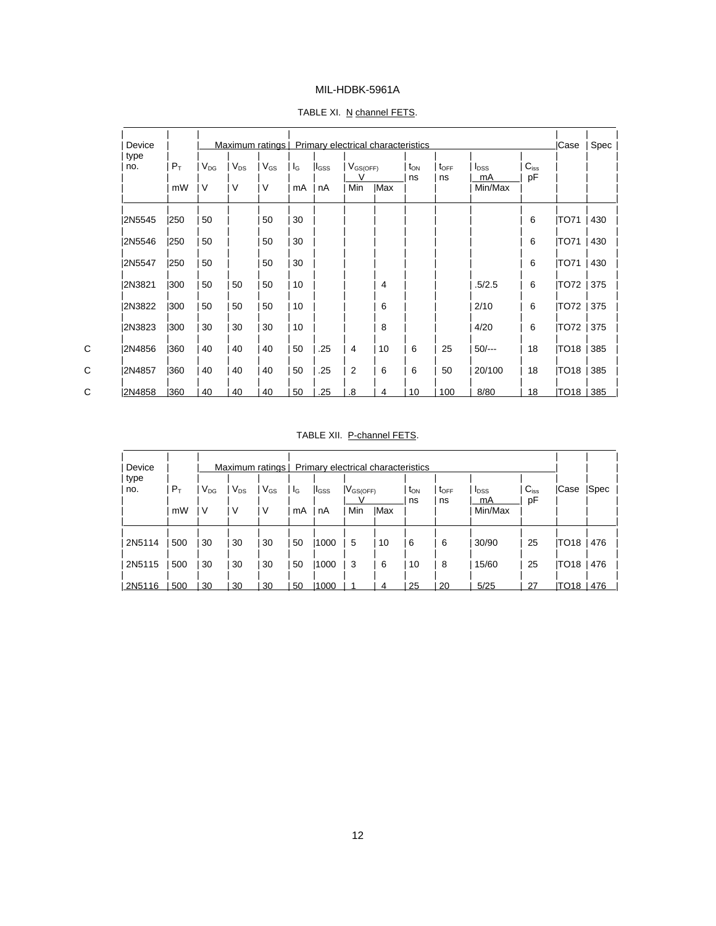| Device<br>type |       |          | Maximum ratings   Primary electrical characteristics |          |         |             |                    |            |                |                        |                               |                 | Case        | Spec |
|----------------|-------|----------|------------------------------------------------------|----------|---------|-------------|--------------------|------------|----------------|------------------------|-------------------------------|-----------------|-------------|------|
| no.            | $P_T$ | $V_{DG}$ | $V_{DS}$                                             | $V_{GS}$ | $I_{G}$ | $ I_{GSS} $ | $V_{GS(OFF)}$<br>v |            | $t_{ON}$<br>ns | $t_{\text{OFF}}$<br>ns | <b>l</b> <sub>DSS</sub><br>mA | $C_{iss}$<br>pF |             |      |
|                | mW    | V        | V                                                    | V        | mA      | nA          | Min                | <b>Max</b> |                |                        | Min/Max                       |                 |             |      |
| 2N5545         | 1250  | 50       |                                                      | 50       | 30      |             |                    |            |                |                        |                               | 6               | <b>TO71</b> | 430  |
| 2N5546         | 1250  | 50       |                                                      | 50       | 30      |             |                    |            |                |                        |                               | 6               | <b>TO71</b> | 430  |
| 2N5547         | 1250  | 50       |                                                      | 50       | 30      |             |                    |            |                |                        |                               | 6               | <b>TO71</b> | 430  |
| 2N3821         | 1300  | 50       | 50                                                   | 50       | 10      |             |                    | 4          |                |                        | .5/2.5                        | 6               | TO72        | 375  |
| 2N3822         | 300   | 50       | 50                                                   | 50       | 10      |             |                    | 6          |                |                        | 2/10                          | 6               | TO72        | 375  |
| 2N3823         | 1300  | 30       | 30                                                   | 30       | 10      |             |                    | 8          |                |                        | 4/20                          | 6               | TO72        | 375  |
| 2N4856         | 1360  | 40       | 40                                                   | 40       | 50      | .25         | 4                  | 10         | 6              | 25                     | $50/-$                        | 18              | TO18        | 385  |
| 2N4857         | 1360  | 40       | 40                                                   | 40       | 50      | .25         | 2                  | 6          | 6              | 50                     | 20/100                        | 18              | TO18        | 385  |
| 2N4858         | 1360  | 40       | 40                                                   | 40       | 50      | .25         | .8                 | 4          | 10             | 100                    | 8/80                          | 18              | TO18   385  |      |

#### TABLE XI. N channel FETS.

 $\overline{a}$ 

#### TABLE XII. P-channel FETS.

| Device<br>type |       |                 |          | Maximum ratings |    | Primary electrical characteristics |                 |             |                       |                        |                               |                 |      |      |
|----------------|-------|-----------------|----------|-----------------|----|------------------------------------|-----------------|-------------|-----------------------|------------------------|-------------------------------|-----------------|------|------|
| no.            | $P_T$ | V <sub>DG</sub> | $V_{DS}$ | $V_{GS}$        | lg | <b>I</b> lgss                      | $ V_{GS(OFF)} $ |             | t <sub>on</sub><br>ns | $t_{\text{OFF}}$<br>ns | <b>I</b> <sub>DSS</sub><br>mA | $C_{iss}$<br>pF | Case | Spec |
|                | mW    | ν               | V        | V               | mA | nA                                 | Min             | <b>IMax</b> |                       |                        | Min/Max                       |                 |      |      |
| 2N5114         | 500   | 30              | 30       | 30              | 50 | 1000                               | 5               | 10          | 6                     | 6                      | 30/90                         | 25              | TO18 | 476  |
| 2N5115         | 500   | 30              | 30       | 30              | 50 | 1000                               | 3               | 6           | 10                    | 8                      | 15/60                         | 25              | TO18 | 476  |
| 2N5116         | 500   | 30              | 30       | 30              | 50 | 1000                               |                 | 4           | 25                    | 20                     | 5/25                          | 27              | TO18 | 476  |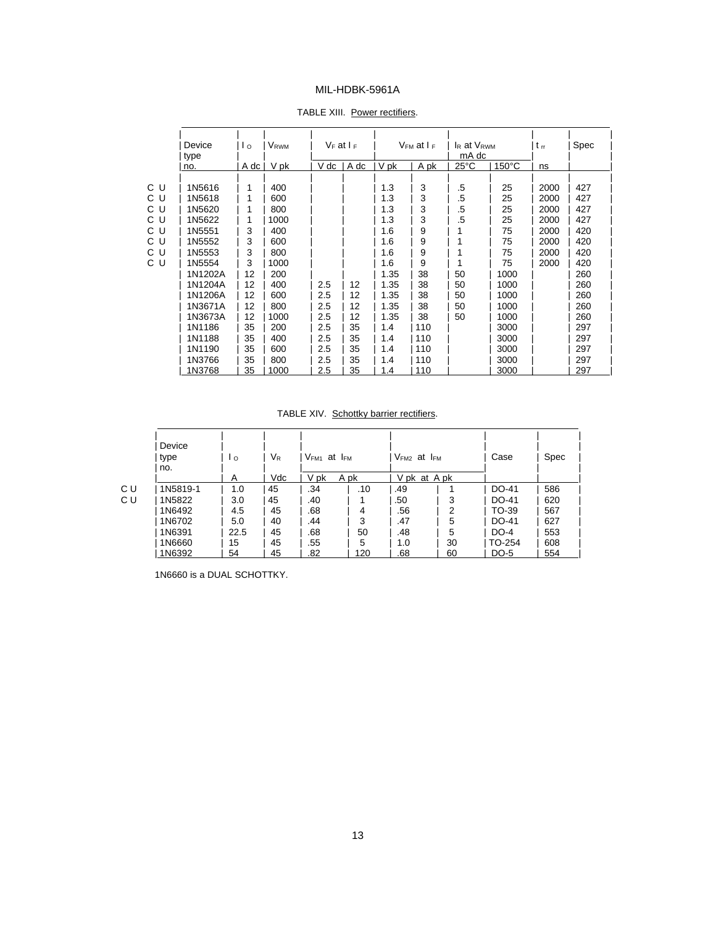| Device<br>type | $\mathsf{I}$ o | <b>V</b> <sub>RWM</sub> | $V_F$ at $I_F$ |      |      | V <sub>FM</sub> at I <sub>F</sub> | I <sub>R</sub> at V <sub>RWM</sub><br>mA dc |                 | $t_{rr}$ | Spec |
|----------------|----------------|-------------------------|----------------|------|------|-----------------------------------|---------------------------------------------|-----------------|----------|------|
| no.            | A dc           | V pk                    | V dc           | A dc | V pk | A pk                              | $25^{\circ}$ C                              | $150^{\circ}$ C | ns       |      |
|                |                |                         |                |      |      |                                   |                                             |                 |          |      |
| 1N5616         | 1              | 400                     |                |      | 1.3  | 3                                 | .5                                          | 25              | 2000     | 427  |
| 1N5618         |                | 600                     |                |      | 1.3  | 3                                 | .5                                          | 25              | 2000     | 427  |
| 1N5620         |                | 800                     |                |      | 1.3  | 3                                 | .5                                          | 25              | 2000     | 427  |
| 1N5622         |                | 1000                    |                |      | 1.3  | 3                                 | .5                                          | 25              | 2000     | 427  |
| 1N5551         | 3              | 400                     |                |      | 1.6  | 9                                 |                                             | 75              | 2000     | 420  |
| 1N5552         | 3              | 600                     |                |      | 1.6  | 9                                 |                                             | 75              | 2000     | 420  |
| 1N5553         | 3              | 800                     |                |      | 1.6  | 9                                 |                                             | 75              | 2000     | 420  |
| 1N5554         | 3              | 1000                    |                |      | 1.6  | 9                                 | 1                                           | 75              | 2000     | 420  |
| 1N1202A        | 12             | 200                     |                |      | 1.35 | 38                                | 50                                          | 1000            |          | 260  |
| 1N1204A        | 12             | 400                     | 2.5            | 12   | 1.35 | 38                                | 50                                          | 1000            |          | 260  |
| 1N1206A        | 12             | 600                     | 2.5            | 12   | 1.35 | 38                                | 50                                          | 1000            |          | 260  |
| 1N3671A        | 12             | 800                     | 2.5            | 12   | 1.35 | 38                                | 50                                          | 1000            |          | 260  |
| 1N3673A        | 12             | 1000                    | 2.5            | 12   | 1.35 | 38                                | 50                                          | 1000            |          | 260  |
| 1N1186         | 35             | 200                     | 2.5            | 35   | 1.4  | 110                               |                                             | 3000            |          | 297  |
| 1N1188         | 35             | 400                     | 2.5            | 35   | 1.4  | 110                               |                                             | 3000            |          | 297  |
| 1N1190         | 35             | 600                     | 2.5            | 35   | 1.4  | 110                               |                                             | 3000            |          | 297  |
| 1N3766         | 35             | 800                     | 2.5            | 35   | 1.4  | 110                               |                                             | 3000            |          | 297  |
| 1N3768         | 35             | 1000                    | 2.5            | 35   | 1.4  | 110                               |                                             | 3000            |          | 297  |

TABLE XIII. Power rectifiers.

#### TABLE XIV. Schottky barrier rectifiers.

|    | Device<br>type<br>no. | Ιo   | $\mathsf{V}_\mathsf{R}$ | $V_{FM1}$ at $I_{FM}$ |      | $V_{FM2}$ at $I_{FM}$ |    | Case   | Spec |
|----|-----------------------|------|-------------------------|-----------------------|------|-----------------------|----|--------|------|
|    |                       | A    | Vdc                     | V pk                  | A pk | V pk at A pk          |    |        |      |
| СU | 1N5819-1              | 1.0  | 45                      | .34                   | .10  | .49                   |    | DO-41  | 586  |
| СU | 1N5822                | 3.0  | 45                      | .40                   |      | .50                   | 3  | DO-41  | 620  |
|    | 1N6492                | 4.5  | 45                      | .68                   | 4    | .56                   | 2  | TO-39  | 567  |
|    | 1N6702                | 5.0  | 40                      | .44                   | 3    | .47                   | 5  | DO-41  | 627  |
|    | 1N6391                | 22.5 | 45                      | .68                   | 50   | .48                   | 5  | DO-4   | 553  |
|    | 1N6660                | 15   | 45                      | .55                   | 5    | 1.0                   | 30 | TO-254 | 608  |
|    | 1N6392                | 54   | 45                      | .82                   | 120  | .68                   | 60 | DO-5   | 554  |

1N6660 is a DUAL SCHOTTKY.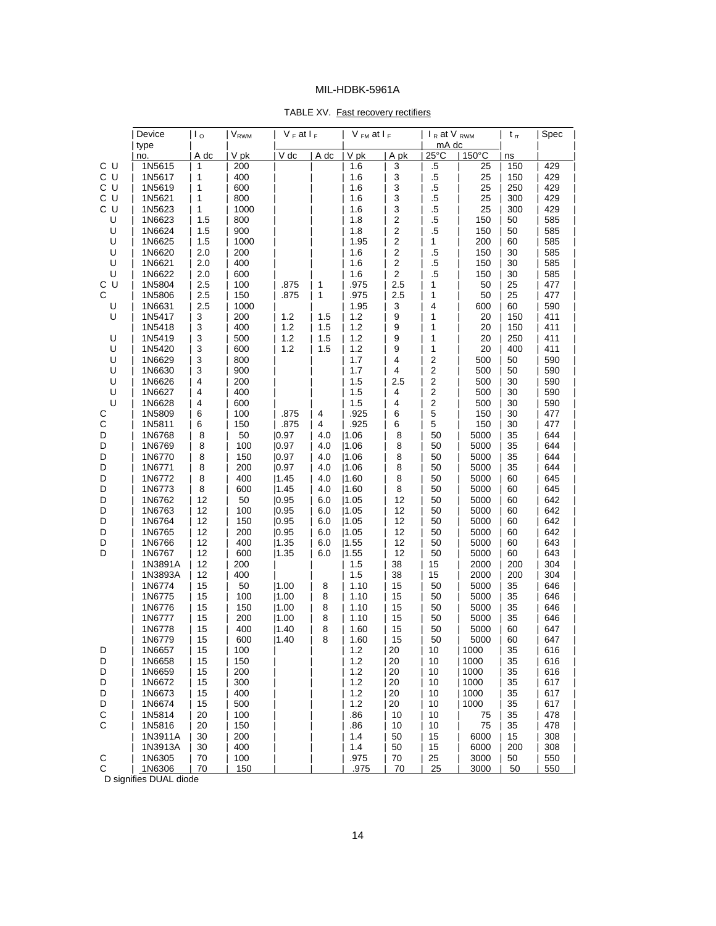| TABLE XV. Fast recovery rectifiers |
|------------------------------------|
|------------------------------------|

|             | Device           | $\mathsf{I}_\mathsf{0}$   | <b>V</b> <sub>RWM</sub> | $V_F$ at $I_F$ |            | $V$ <sub>FM</sub> at $I_F$ |                                | $I_R$ at V $_{RWM}$     |                 | $t_{\rm rr}$ | Spec       |
|-------------|------------------|---------------------------|-------------------------|----------------|------------|----------------------------|--------------------------------|-------------------------|-----------------|--------------|------------|
|             | type<br>no.      | A dc                      | V pk                    | V dc           | A dc       | V_pk                       | A pk                           | mA dc<br>$25^{\circ}$ C | $150^{\circ}$ C | ns           |            |
| C U         | 1N5615           | 1                         | 200                     |                |            | 1.6                        | 3                              | $.5\,$                  | 25              | 150          | 429        |
| C U         | 1N5617           | 1                         | 400                     |                |            | 1.6                        | $\mathsf 3$                    | $.5\,$                  | 25              | 150          | 429        |
| C U         | 1N5619           | 1                         | 600                     |                |            | 1.6                        | 3                              | $.5\,$                  | 25              | 250          | 429        |
| C U         | 1N5621           | 1                         | 800                     |                |            | 1.6                        | 3                              | .5                      | 25              | 300          | 429        |
| C U         | 1N5623           | 1                         | 1000                    |                |            | 1.6                        | 3                              | $.5\,$                  | 25              | 300          | 429        |
| U           | 1N6623           | 1.5                       | 800                     |                |            | 1.8                        | $\mathbf 2$                    | $.5\,$                  | 150             | 50           | 585        |
| U           | 1N6624           | 1.5                       | 900                     |                |            | 1.8                        | $\mathbf 2$                    | $.5\,$                  | 150             | 50           | 585        |
| U           | 1N6625           | 1.5                       | 1000                    |                |            | 1.95                       | $\overline{2}$                 | 1                       | 200             | 60           | 585        |
| U           | 1N6620           | 2.0                       | 200                     |                |            | 1.6                        | $\overline{2}$                 | $.5\,$                  | 150             | 30           | 585        |
| U           | 1N6621           | 2.0                       | 400                     |                |            | 1.6                        | $\overline{2}$                 | $.5\,$                  | 150             | 30           | 585        |
| U<br>C U    | 1N6622<br>1N5804 | 2.0<br>2.5                | 600<br>100              |                | 1          | 1.6<br>.975                | $\overline{\mathbf{c}}$<br>2.5 | $.5\,$<br>1             | 150<br>50       | 30<br>25     | 585<br>477 |
| С           | 1N5806           | 2.5                       | 150                     | .875<br>.875   | 1          | .975                       | 2.5                            | 1                       | 50              | 25           | 477        |
| U           | 1N6631           | 2.5                       | 1000                    |                |            | 1.95                       | 3                              | 4                       | 600             | 60           | 590        |
| U           | 1N5417           | 3                         | 200                     | 1.2            | 1.5        | 1.2                        | $\boldsymbol{9}$               | 1                       | 20              | 150          | 411        |
|             | 1N5418           | $\ensuremath{\mathsf{3}}$ | 400                     | 1.2            | 1.5        | 1.2                        | 9                              | 1                       | 20              | 150          | 411        |
| U           | 1N5419           | $\ensuremath{\mathsf{3}}$ | 500                     | 1.2            | 1.5        | 1.2                        | 9                              | 1                       | 20              | 250          | 411        |
| U           | 1N5420           | $\ensuremath{\mathsf{3}}$ | 600                     | 1.2            | 1.5        | 1.2                        | 9                              | 1                       | 20              | 400          | 411        |
| U           | 1N6629           | $\ensuremath{\mathsf{3}}$ | 800                     |                |            | 1.7                        | 4                              | $\overline{2}$          | 500             | 50           | 590        |
| U           | 1N6630           | 3                         | 900                     |                |            | 1.7                        | 4                              | 2                       | 500             | 50           | 590        |
| U           | 1N6626           | $\overline{\mathbf{4}}$   | 200                     |                |            | 1.5                        | 2.5                            | $\boldsymbol{2}$        | 500             | 30           | 590        |
| U           | 1N6627           | $\overline{\mathbf{4}}$   | 400                     |                |            | 1.5                        | 4                              | $\overline{\mathbf{c}}$ | 500             | 30           | 590        |
| U           | 1N6628           | $\overline{\mathbf{4}}$   | 600                     |                |            | 1.5                        | 4                              | $\mathbf 2$             | 500             | 30           | 590        |
| С           | 1N5809           | 6                         | 100                     | .875           | 4          | .925                       | 6                              | 5                       | 150             | 30           | 477        |
| C           | 1N5811           | 6                         | 150                     | .875           | 4          | .925                       | 6                              | 5                       | 150             | 30           | 477        |
| D           | 1N6768           | 8                         | 50                      | 0.97           | 4.0        | 1.06                       | 8                              | 50                      | 5000            | 35           | 644        |
| D           | 1N6769           | 8                         | 100                     | 0.97           | 4.0        | 1.06                       | 8                              | 50                      | 5000            | 35           | 644        |
| D           | 1N6770           | 8                         | 150                     | 0.97           | 4.0        | 1.06                       | 8                              | 50                      | 5000            | 35           | 644        |
| D<br>D      | 1N6771<br>1N6772 | 8<br>8                    | 200<br>400              | 0.97<br> 1.45  | 4.0<br>4.0 | 1.06<br> 1.60              | 8<br>8                         | 50<br>50                | 5000<br>5000    | 35<br>60     | 644<br>645 |
| D           | 1N6773           | 8                         | 600                     | 1.45           | 4.0        | 1.60                       | 8                              | 50                      | 5000            | 60           | 645        |
| D           | 1N6762           | 12                        | 50                      | 0.95           | 6.0        | 1.05                       | 12                             | 50                      | 5000            | 60           | 642        |
| D           | 1N6763           | 12                        | 100                     | 0.95           | 6.0        | 1.05                       | 12                             | 50                      | 5000            | 60           | 642        |
| D           | 1N6764           | 12                        | 150                     | 0.95           | 6.0        | 1.05                       | 12                             | 50                      | 5000            | 60           | 642        |
| D           | 1N6765           | 12                        | 200                     | 0.95           | 6.0        | 1.05                       | 12                             | 50                      | 5000            | 60           | 642        |
| D           | 1N6766           | 12                        | 400                     | 1.35           | 6.0        | 1.55                       | 12                             | 50                      | 5000            | 60           | 643        |
| D           | 1N6767           | 12                        | 600                     | 1.35           | 6.0        | 1.55                       | 12                             | 50                      | 5000            | 60           | 643        |
|             | 1N3891A          | 12                        | 200                     |                |            | 1.5                        | 38                             | 15                      | 2000            | 200          | 304        |
|             | 1N3893A          | 12                        | 400                     |                |            | 1.5                        | 38                             | 15                      | 2000            | 200          | 304        |
|             | 1N6774           | 15                        | 50                      | 1.00           | 8          | 1.10                       | 15                             | 50                      | 5000            | 35           | 646        |
|             | 1N6775           | 15                        | 100                     | 1.00           | 8          | 1.10                       | 15                             | 50                      | 5000            | 35           | 646        |
|             | 1N6776           | 15                        | 150                     | 1.00           | 8          | 1.10                       | 15                             | 50                      | 5000            | 35           | 646        |
|             | 1N6777           | 15                        | 200                     | 1.00           | 8          | 1.10                       | 15                             | 50                      | 5000            | 35           | 646        |
|             | 1N6778           | 15                        | 400                     | 1.40           | 8          | 1.60                       | 15                             | 50                      | 5000            | 60           | 647        |
|             | 1N6779           | 15<br>15                  | 600<br>100              | 1.40           | 8          | 1.60<br>1.2                | 15                             | 50<br>10                | 5000            | 60<br>35     | 647        |
| υ<br>D      | 1N6657<br>1N6658 | 15                        | 150                     |                |            | $1.2$                      | 20<br>20                       | 10                      | 1000<br>1000    | 35           | 616<br>616 |
| D           | 1N6659           | 15                        | 200                     |                |            | 1.2                        | 20                             | 10                      | 1000            | 35           | 616        |
| D           | 1N6672           | 15                        | 300                     |                |            | 1.2                        | 20                             | 10                      | 1000            | 35           | 617        |
| D           | 1N6673           | 15                        | 400                     |                |            | 1.2                        | 20                             | 10                      | 1000            | 35           | 617        |
| D           | 1N6674           | 15                        | 500                     |                |            | 1.2                        | 20                             | 10                      | 1000            | 35           | 617        |
| С           | 1N5814           | 20                        | 100                     |                |            | .86                        | 10                             | 10                      | 75              | 35           | 478        |
| C           | 1N5816           | 20                        | 150                     |                |            | .86                        | 10                             | 10                      | 75              | 35           | 478        |
|             | 1N3911A          | 30                        | 200                     |                |            | 1.4                        | 50                             | 15                      | 6000            | 15           | 308        |
|             | 1N3913A          | 30                        | 400                     |                |            | 1.4                        | 50                             | 15                      | 6000            | 200          | 308        |
| C           | 1N6305           | 70                        | 100                     |                |            | .975                       | 70                             | 25                      | 3000            | 50           | 550        |
| $\mathsf C$ | 1N6306           | 70                        | 150                     |                |            | .975                       | 70                             | 25                      | 3000            | 50           | 550        |

D signifies DUAL diode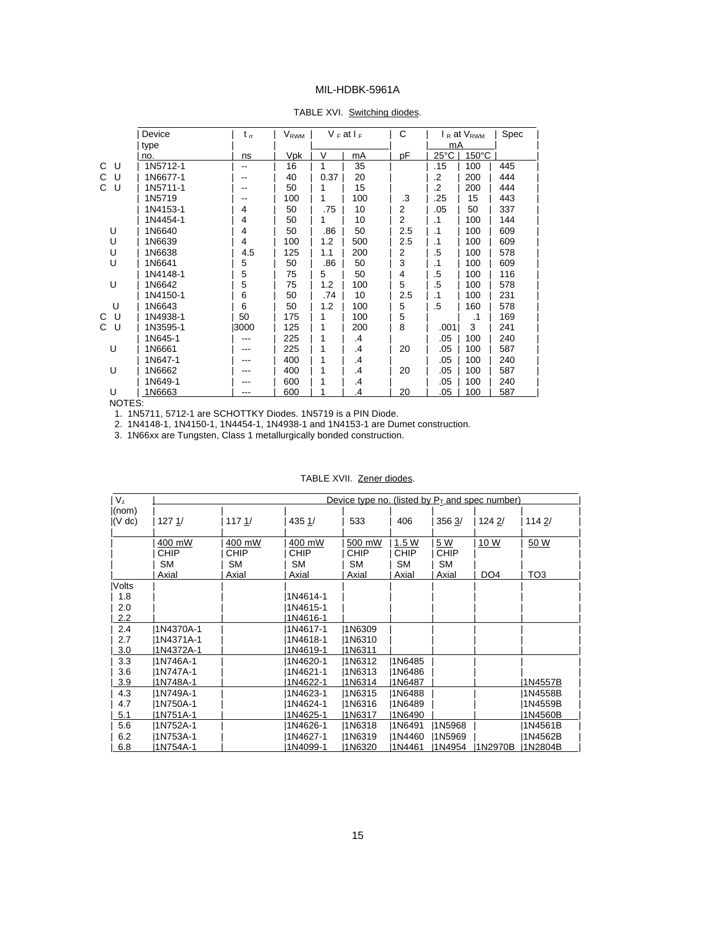#### TABLE XVI. Switching diodes.

|         | Device   | $t_{rr}$ | $\rm V_{RWM}$ |      | $V_F$ at $I_F$ | С   |                | $I_R$ at $V_{RWM}$ | Spec |
|---------|----------|----------|---------------|------|----------------|-----|----------------|--------------------|------|
|         | type     |          |               |      |                |     | mA             |                    |      |
|         | no.      | ns       | Vpk           | V    | mA             | рF  | $25^{\circ}$ C | $150^{\circ}$ C    |      |
| C<br>U  | 1N5712-1 |          | 16            |      | 35             |     | .15            | 100                | 445  |
| U<br>C  | 1N6677-1 | --       | 40            | 0.37 | 20             |     | .2             | 200                | 444  |
| C<br>U  | 1N5711-1 |          | 50            |      | 15             |     | .2             | 200                | 444  |
|         | 1N5719   |          | 100           | 1    | 100            | .3  | .25            | 15                 | 443  |
|         | 1N4153-1 | 4        | 50            | .75  | 10             | 2   | .05            | 50                 | 337  |
|         | 1N4454-1 | 4        | 50            | 1    | 10             | 2   | $\cdot$ 1      | 100                | 144  |
| U       | 1N6640   | 4        | 50            | .86  | 50             | 2.5 | $\cdot$ 1      | 100                | 609  |
| U       | 1N6639   | 4        | 100           | 1.2  | 500            | 2.5 | $\cdot$ 1      | 100                | 609  |
| U       | 1N6638   | 4.5      | 125           | 1.1  | 200            | 2   | .5             | 100                | 578  |
| U       | 1N6641   | 5        | 50            | .86  | 50             | 3   | $\cdot$ 1      | 100                | 609  |
|         | 1N4148-1 | 5        | 75            | 5    | 50             | 4   | .5             | 100                | 116  |
| U       | 1N6642   | 5        | 75            | 1.2  | 100            | 5   | .5             | 100                | 578  |
|         | 1N4150-1 | 6        | 50            | .74  | 10             | 2.5 | $\cdot$ 1      | 100                | 231  |
| U       | 1N6643   | 6        | 50            | 1.2  | 100            | 5   | .5             | 160                | 578  |
| U<br>C  | 1N4938-1 | 50       | 175           |      | 100            | 5   |                | .1                 | 169  |
| C.<br>U | 1N3595-1 | 13000    | 125           | 1    | 200            | 8   | .001           | 3                  | 241  |
|         | 1N645-1  |          | 225           | 1    | .4             |     | .05            | 100                | 240  |
| U       | 1N6661   | ---      | 225           | 1    | .4             | 20  | .05            | 100                | 587  |
|         | 1N647-1  |          | 400           | 1    | $\cdot$        |     | .05            | 100                | 240  |
| U       | 1N6662   | ---      | 400           | 1    | .4             | 20  | .05            | 100                | 587  |
|         | 1N649-1  |          | 600           | 1    | .4             |     | .05            | 100                | 240  |
| U       | 1N6663   | ---      | 600           |      | .4             | 20  | .05            | 100                | 587  |

NOTES:

1. 1N5711, 5712-1 are SCHOTTKY Diodes. 1N5719 is a PIN Diode.

2. 1N4148-1, 1N4150-1, 1N4454-1, 1N4938-1 and 1N4153-1 are Dumet construction.

3. 1N66xx are Tungsten, Class 1 metallurgically bonded construction.

| $ V_z $               |                                      |                                      |                                      | Device type no. (listed by $P_T$ and spec number) |                                            |                                          |                                |             |
|-----------------------|--------------------------------------|--------------------------------------|--------------------------------------|---------------------------------------------------|--------------------------------------------|------------------------------------------|--------------------------------|-------------|
| (nom)<br>$ (V \, dc)$ | 1271/                                | 1171/                                | 435 1/                               | 533                                               | 406                                        | 356 3/                                   | 124 2/                         | 1142/       |
|                       | 400 mW<br>CHIP<br><b>SM</b><br>Axial | 400 mW<br><b>CHIP</b><br>SΜ<br>Axial | 400 mW<br>CHIP<br><b>SM</b><br>Axial | 500 mW<br>CHIP<br><b>SM</b><br>Axial              | 1.5 W<br><b>CHIP</b><br><b>SM</b><br>Axial | <u>5 W</u><br><b>CHIP</b><br>SM<br>Axial | <u>10 W</u><br>DO <sub>4</sub> | 50 W<br>ТОЗ |
| Volts                 |                                      |                                      |                                      |                                                   |                                            |                                          |                                |             |
| 1.8                   |                                      |                                      | 1N4614-1                             |                                                   |                                            |                                          |                                |             |
| 2.0                   |                                      |                                      | 1N4615-1                             |                                                   |                                            |                                          |                                |             |
| 2.2                   |                                      |                                      | 1N4616-1                             |                                                   |                                            |                                          |                                |             |
| 2.4                   | 1N4370A-1                            |                                      | 1N4617-1                             | 1N6309                                            |                                            |                                          |                                |             |
| 2.7                   | 1N4371A-1                            |                                      | 1N4618-1                             | 1N6310                                            |                                            |                                          |                                |             |
| 3.0                   | 1N4372A-1                            |                                      | 1N4619-1                             | 1N6311                                            |                                            |                                          |                                |             |
| 3.3                   | 1N746A-1                             |                                      | 1N4620-1                             | 1N6312                                            | 1N6485                                     |                                          |                                |             |
| 3.6                   | 1N747A-1                             |                                      | 1N4621-1                             | 1N6313                                            | 1N6486                                     |                                          |                                |             |
| 3.9                   | 1N748A-1                             |                                      | 1N4622-1                             | 1N6314                                            | 1N6487                                     |                                          |                                | 1N4557B     |
| 4.3                   | 1N749A-1                             |                                      | 1N4623-1                             | 1N6315                                            | 1N6488                                     |                                          |                                | 1N4558B     |
| 4.7                   | 1N750A-1                             |                                      | 1N4624-1                             | 1N6316                                            | 1N6489                                     |                                          |                                | 1N4559B     |
| 5.1                   | 1N751A-1                             |                                      | 1N4625-1                             | 1N6317                                            | 1N6490                                     |                                          |                                | 1N4560B     |
| 5.6                   | 1N752A-1                             |                                      | 1N4626-1                             | 1N6318                                            | 1N6491                                     | 1N5968                                   |                                | 1N4561B     |
| 6.2                   | 1N753A-1                             |                                      | 1N4627-1                             | 1N6319                                            | 1N4460                                     | 1N5969                                   |                                | 1N4562B     |
| 6.8                   | I1N754A-1                            |                                      | I1N4099-1                            | 11N6320                                           | 1N4461                                     | I1N4954                                  | 11N2970B                       | 11N2804B    |

#### TABLE XVII. Zener diodes.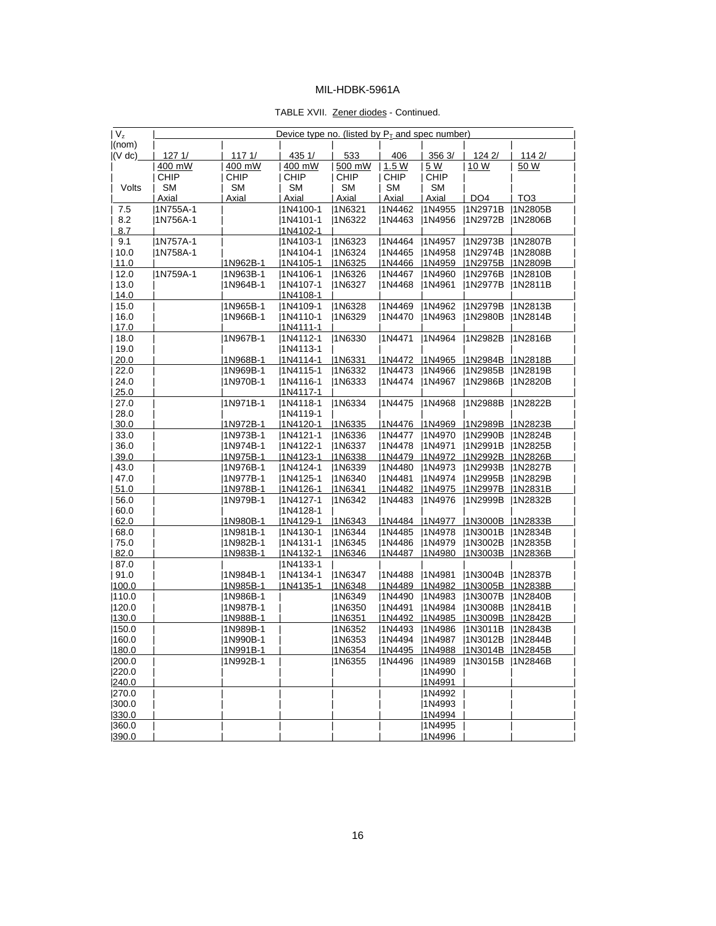#### TABLE XVII. Zener diodes - Continued.

| $ V_z $      |                   |                  | Device type no. (listed by $P_T$ and spec number) |               |                  |               |                            |                 |
|--------------|-------------------|------------------|---------------------------------------------------|---------------|------------------|---------------|----------------------------|-----------------|
| (nom)        |                   |                  |                                                   |               |                  |               |                            |                 |
| $ (V \, dc)$ | 1271/<br>400 mW   | 1171/<br>400 mW  | 435 1/<br>400 mW                                  | 533<br>500 mW | 406<br>1.5W      | 356 3/<br>5 W | 124 2/<br>10 W             | 114 2/<br>50 W  |
|              | <b>CHIP</b>       | <b>CHIP</b>      | <b>CHIP</b>                                       | CHIP          | <b>CHIP</b>      | CHIP          |                            |                 |
|              | <b>SM</b>         | <b>SM</b>        | <b>SM</b>                                         | <b>SM</b>     | <b>SM</b>        | <b>SM</b>     |                            |                 |
| Volts        |                   | Axial            |                                                   | <b>Axial</b>  | Axial            | Axial         |                            | TO <sub>3</sub> |
| 7.5          | Axial<br>1N755A-1 |                  | Axial<br>1N4100-1                                 | 1N6321        | 1N4462           | 1N4955        | DO <sub>4</sub><br>1N2971B | 1N2805B         |
| 8.2          | 1N756A-1          |                  | 1N4101-1                                          | 1N6322        | 1N4463           | 1N4956        | 1N2972B                    | 1N2806B         |
| 8.7          |                   |                  | <u> 1N4102-1</u>                                  |               |                  |               |                            |                 |
| 9.1          | 1N757A-1          |                  | 1N4103-1                                          | 1N6323        |                  | 1N4957        | 1N2973B                    | 1N2807B         |
| 10.0         | 1N758A-1          |                  | 1N4104-1                                          | 1N6324        | 1N4464<br>1N4465 | 1N4958        | 1N2974B                    | 1N2808B         |
| 11.0         |                   | 1N962B-1         | 1N4105-1                                          | 1N6325        | 1N4466           | 1N4959        | 1N2975B                    | 1N2809B         |
| 12.0         | 1N759A-1          | 1N963B-1         | 1N4106-1                                          | 1N6326        |                  | 1N4960        | 1N2976B                    | 1N2810B         |
| 13.0         |                   | 1N964B-1         | 1N4107-1                                          | 1N6327        | 1N4467           | 1N4961        | 1N2977B                    | 1N2811B         |
| 14.0         |                   |                  | 1N4108-1                                          |               | 1N4468           |               |                            |                 |
| 15.0         |                   | 1N965B-1         |                                                   | 1N6328        | 1N4469           | 1N4962        | 1N2979B                    | 1N2813B         |
| 16.0         |                   | 1N966B-1         | 1N4109-1<br>1N4110-1                              | 1N6329        | 1N4470           | 1N4963        | 1N2980B                    | 1N2814B         |
| 17.0         |                   |                  | 1N4111-1                                          |               |                  |               |                            |                 |
| 18.0         |                   | 1N967B-1         | 1N4112-1                                          | 1N6330        | 1N4471           | 1N4964        | 1N2982B                    | 1N2816B         |
| 19.0         |                   |                  | 1N4113-1                                          |               |                  |               |                            |                 |
| 20.0         |                   | 1N968B-1         | 1N4114-1                                          | 1N6331        | 1N4472           | 1N4965        | 1N2984B                    | 1N2818B         |
| 22.0         |                   | 1N969B-1         | 1N4115-1                                          | 1N6332        | 1N4473           | 1N4966        | 1N2985B                    | 1N2819B         |
| 24.0         |                   | 1N970B-1         | 1N4116-1                                          | 1N6333        | 1N4474           | 1N4967        | 1N2986B                    | 1N2820B         |
|              |                   |                  | 1N4117-1                                          |               |                  |               |                            |                 |
| 25.0<br>27.0 |                   | 1N971B-1         |                                                   | 1N6334        | 1N4475           | 1N4968        | 1N2988B                    | 1N2822B         |
| 28.0         |                   |                  | 1N4118-1<br> 1N4119-1                             |               |                  |               |                            |                 |
| 30.0         |                   | 1N972B-1         | 1N4120-1                                          | 1N6335        | 1N4476           | 1N4969        | 1N2989B                    | 1N2823B         |
| 33.0         |                   | 1N973B-1         | 1N4121-1                                          | 1N6336        | 1N4477           | 1N4970        | 1N2990B                    | 1N2824B         |
| 36.0         |                   | 1N974B-1         | 1N4122-1                                          | 11N6337       | 1N4478           | 1N4971        | 1N2991B                    | 1N2825B         |
| 39.0         |                   | 1N975B-1         | 1N4123-1                                          | 1N6338        | 1N4479           | 1N4972        | 1N2992B                    | 1N2826B         |
| 43.0         |                   | 1N976B-1         | 1N4124-1                                          | 1N6339        | 1N4480           | 1N4973        | 1N2993B                    | 1N2827B         |
| 47.0         |                   | 1N977B-1         | 1N4125-1                                          | 1N6340        | 1N4481           | 1N4974        | 1N2995B                    | 1N2829B         |
| 51.0         |                   | <u> 1N978B-1</u> | 11N4126-1                                         | 1N6341        | 1N4482           | 1N4975        | 1N2997B                    | 1N2831B         |
|              |                   | 1N979B-1         |                                                   |               |                  |               |                            |                 |
| 56.0<br>60.0 |                   |                  | 1N4127-1<br>1N4128-1                              | 1N6342        | 1N4483           | 1N4976        | 1N2999B                    | 1N2832B         |
| 62.0         |                   | 1N980B-1         | 1N4129-1                                          | 1N6343        | 1N4484           | 1N4977        | 1N3000B                    | 1N2833B         |
|              |                   | 1N981B-1         |                                                   | 1N6344        | 1N4485           | 1N4978        | 1N3001B                    | 1N2834B         |
| 68.0<br>75.0 |                   | 1N982B-1         | 1N4130-1<br> 1N4131-1                             | 1N6345        | 1N4486           | 1N4979        | 1N3002B                    | 1N2835B         |
| 82.0         |                   | <u> 1N983B-1</u> | $1N4132-1$                                        | 1N6346        | 1N4487           | 1N4980        | 1N3003B                    | 1N2836B         |
| 87.0         |                   |                  | 1N4133-1                                          |               |                  |               |                            |                 |
| 91.0         |                   | 1N984B-1         | 1N4134-1                                          | 1N6347        | 1N4488           | 1N4981        | [1N3004B]                  | 1N2837B         |
| 100.0        |                   | 1N985B-1         | 1N4135-1                                          | 1N6348        | 1N4489           | 1N4982        | 1N3005B                    | 1N2838B         |
| 110.0        |                   | 1N986B-1         |                                                   | 1N6349        | 1N4490           | 1N4983        | 1N3007B                    | 1N2840B         |
| 120.0        |                   | 1N987B-1         |                                                   | 1N6350        | 1N4491           | 1N4984        | 1N3008B                    | 1N2841B         |
| 130.0        |                   | 1N988B-1         |                                                   | 1N6351        | 1N4492           | 1N4985        | 1N3009B                    | 1N2842B         |
| 150.0        |                   | 1N989B-1         |                                                   | 1N6352        | 1N4493           | 1N4986        | 1N3011B                    | 11N2843B        |
| 160.0        |                   | 1N990B-1         |                                                   | 1N6353        | 1N4494           | 1N4987        | 1N3012B                    | 1N2844B         |
| 180.0        |                   | 1N991B-1         |                                                   | 1N6354        | 1N4495           | <b>IN4988</b> | 1N3014B  1N2845B           |                 |
| 200.0        |                   | 1N992B-1         |                                                   | 1N6355        | 1N4496           | 1N4989        | 1N3015B                    | 1N2846B         |
| 220.0        |                   |                  |                                                   |               |                  | 1N4990        |                            |                 |
| 240.0        |                   |                  |                                                   |               |                  | 1N4991        |                            |                 |
| 270.0        |                   |                  |                                                   |               |                  | 1N4992        |                            |                 |
| 300.0        |                   |                  |                                                   |               |                  | 1N4993        |                            |                 |
| 330.0        |                   |                  |                                                   |               |                  | 1N4994        |                            |                 |
| 360.0        |                   |                  |                                                   |               |                  | 1N4995        |                            |                 |
| 1390.0       |                   |                  |                                                   |               |                  | 1N4996        |                            |                 |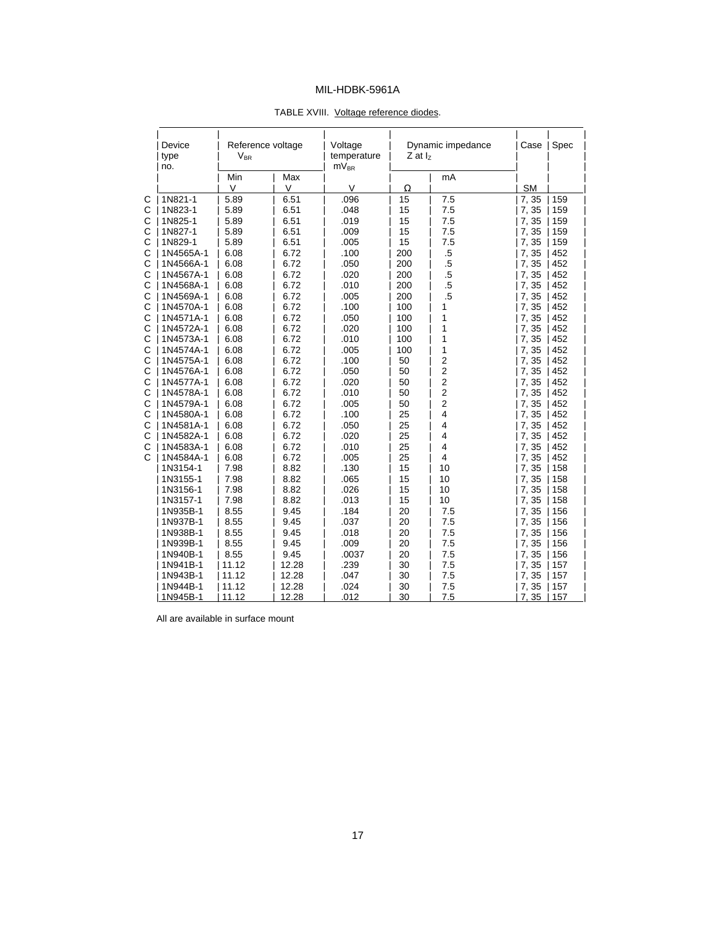| Device<br>type<br>no. | $V_{BR}$ | Reference voltage | Voltage<br>temperature<br>$mV_{BR}$ | $Z$ at $I_z$ | Dynamic impedance       | Case      | Spec |
|-----------------------|----------|-------------------|-------------------------------------|--------------|-------------------------|-----------|------|
|                       | Min      | Max               |                                     |              | mA                      |           |      |
|                       | V        | $\vee$            | $\vee$                              | $\Omega$     |                         | <b>SM</b> |      |
| 1N821-1               | 5.89     | 6.51              | .096                                | 15           | 7.5                     | 7,35      | 159  |
| 1N823-1               | 5.89     | 6.51              | .048                                | 15           | 7.5                     | 7,35      | 159  |
| 1N825-1               | 5.89     | 6.51              | .019                                | 15           | 7.5                     | 7,35      | 159  |
| 1N827-1               | 5.89     | 6.51              | .009                                | 15           | 7.5                     | 7,35      | 159  |
| 1N829-1               | 5.89     | 6.51              | .005                                | 15           | 7.5                     | 7,35      | 159  |
| 1N4565A-1             | 6.08     | 6.72              | .100                                | 200          | $\overline{5}$          | 7,35      | 452  |
| 1N4566A-1             | 6.08     | 6.72              | .050                                | 200          | $.5\,$                  | 7,35      | 452  |
| 1N4567A-1             | 6.08     | 6.72              | .020                                | 200          | $.5\,$                  | 7,35      | 452  |
| 1N4568A-1             | 6.08     | 6.72              | .010                                | 200          | $.5\,$                  | 7,35      | 452  |
| 1N4569A-1             | 6.08     | 6.72              | .005                                | 200          | $.5\,$                  | 7,35      | 452  |
| 1N4570A-1             | 6.08     | 6.72              | .100                                | 100          | 1                       | 7,35      | 452  |
| 1N4571A-1             | 6.08     | 6.72              | .050                                | 100          | 1                       | 7,35      | 452  |
| 1N4572A-1             | 6.08     | 6.72              | .020                                | 100          | 1                       | 7,35      | 452  |
| 1N4573A-1             | 6.08     | 6.72              | .010                                | 100          | 1                       | 7,35      | 452  |
| 1N4574A-1             | 6.08     | 6.72              | .005                                | 100          | 1                       | 7,35      | 452  |
| 1N4575A-1             | 6.08     | 6.72              | .100                                | 50           | $\overline{\mathbf{c}}$ | 7,35      | 452  |
| 1N4576A-1             | 6.08     | 6.72              | .050                                | 50           | $\overline{c}$          | 7,35      | 452  |
| 1N4577A-1             | 6.08     | 6.72              | .020                                | 50           | $\overline{c}$          | 7,35      | 452  |
| 1N4578A-1             | 6.08     | 6.72              | .010                                | 50           | $\overline{\mathbf{c}}$ | 7,35      | 452  |
| 1N4579A-1             | 6.08     | 6.72              | .005                                | 50           | $\overline{c}$          | 7,35      | 452  |
| 1N4580A-1             | 6.08     | 6.72              | .100                                | 25           | 4                       | 7,35      | 452  |
| 1N4581A-1             | 6.08     | 6.72              | .050                                | 25           | 4                       | 7,35      | 452  |
| 1N4582A-1             | 6.08     | 6.72              | .020                                | 25           | 4                       | 7,35      | 452  |
| 1N4583A-1             | 6.08     | 6.72              | .010                                | 25           | $\overline{4}$          | 7,35      | 452  |
| 1N4584A-1             | 6.08     | 6.72              | .005                                | 25           | 4                       | 7,35      | 452  |
| 1N3154-1              | 7.98     | 8.82              | .130                                | 15           | 10                      | 7,35      | 158  |
| 1N3155-1              | 7.98     | 8.82              | .065                                | 15           | 10                      | 7,35      | 158  |
| 1N3156-1              | 7.98     | 8.82              | .026                                | 15           | 10                      | 7,35      | 158  |
| 1N3157-1              | 7.98     | 8.82              | .013                                | 15           | 10                      | 7,35      | 158  |
| 1N935B-1              | 8.55     | 9.45              | .184                                | 20           | 7.5                     | 7,35      | 156  |
| 1N937B-1              | 8.55     | 9.45              | .037                                | 20           | 7.5                     | 7,35      | 156  |
| 1N938B-1              | 8.55     | 9.45              | .018                                | 20           | 7.5                     | 7,35      | 156  |
| 1N939B-1              | 8.55     | 9.45              | .009                                | 20           | 7.5                     | 7,35      | 156  |
| 1N940B-1              | 8.55     | 9.45              | .0037                               | 20           | 7.5                     | 7,35      | 156  |
| 1N941B-1              | 11.12    | 12.28             | .239                                | 30           | 7.5                     | 7,35      | 157  |
| 1N943B-1              | 11.12    | 12.28             | .047                                | 30           | 7.5                     | 7,35      | 157  |
| 1N944B-1              | 11.12    | 12.28             | .024                                | 30           | 7.5                     | 7,35      | 157  |
| 1N945B-1              | 11.12    | 12.28             | .012                                | 30           | 7.5                     | 7, 35     | 157  |

#### TABLE XVIII. Voltage reference diodes.

All are available in surface mount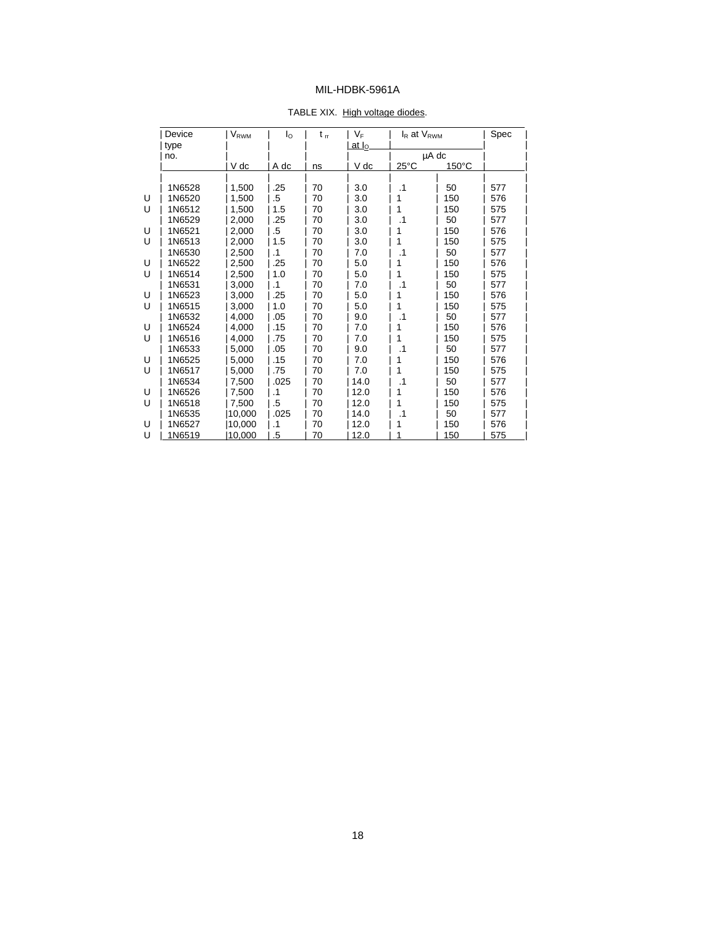|   | Device | $\mathsf{V}_{\mathsf{RWM}}$ | l <sub>o</sub> | $t_{rr}$ | $V_F$           | $I_R$ at $V_{RWM}$ |       | Spec |
|---|--------|-----------------------------|----------------|----------|-----------------|--------------------|-------|------|
|   | type   |                             |                |          | at $I_{\Omega}$ |                    |       |      |
|   | no.    |                             |                |          |                 |                    | µA dc |      |
|   |        | V dc                        | A dc           | ns       | V dc            | $25^{\circ}$ C     | 150°C |      |
|   |        |                             |                |          |                 |                    |       |      |
|   | 1N6528 | 1,500                       | .25            | 70       | 3.0             | $\cdot$ 1          | 50    | 577  |
| U | 1N6520 | 1,500                       | .5             | 70       | 3.0             | 1                  | 150   | 576  |
| U | 1N6512 | 1,500                       | 1.5            | 70       | 3.0             |                    | 150   | 575  |
|   | 1N6529 | 2,000                       | .25            | 70       | 3.0             | .1                 | 50    | 577  |
| U | 1N6521 | 2,000                       | $.5\,$         | 70       | 3.0             | 1                  | 150   | 576  |
| U | 1N6513 | 2,000                       | 1.5            | 70       | 3.0             | 1                  | 150   | 575  |
|   | 1N6530 | 2,500                       | $\cdot$ 1      | 70       | 7.0             | .1                 | 50    | 577  |
| U | 1N6522 | 2,500                       | .25            | 70       | 5.0             |                    | 150   | 576  |
| U | 1N6514 | 2,500                       | 1.0            | 70       | 5.0             | 1                  | 150   | 575  |
|   | 1N6531 | 3,000                       | $\cdot$ 1      | 70       | 7.0             | .1                 | 50    | 577  |
| U | 1N6523 | 3,000                       | .25            | 70       | 5.0             | 1                  | 150   | 576  |
| U | 1N6515 | 3.000                       | 1.0            | 70       | 5.0             | 1                  | 150   | 575  |
|   | 1N6532 | 4,000                       | .05            | 70       | 9.0             | .1                 | 50    | 577  |
| U | 1N6524 | 4,000                       | .15            | 70       | 7.0             | 1                  | 150   | 576  |
| U | 1N6516 | 4.000                       | .75            | 70       | 7.0             | 1                  | 150   | 575  |
|   | 1N6533 | 5,000                       | .05            | 70       | 9.0             | .1                 | 50    | 577  |
| U | 1N6525 | 5,000                       | .15            | 70       | 7.0             |                    | 150   | 576  |
| U | 1N6517 | 5,000                       | .75            | 70       | 7.0             | 1                  | 150   | 575  |
|   | 1N6534 | 7,500                       | .025           | 70       | 14.0            | $\cdot$ 1          | 50    | 577  |
| U | 1N6526 | 7,500                       | $\cdot$ 1      | 70       | 12.0            | 1                  | 150   | 576  |
| U | 1N6518 | 7,500                       | .5             | 70       | 12.0            | 1                  | 150   | 575  |
|   | 1N6535 | 10,000                      | .025           | 70       | 14.0            | .1                 | 50    | 577  |
| U | 1N6527 | 10,000                      | $\cdot$ 1      | 70       | 12.0            |                    | 150   | 576  |
| U | 1N6519 | 10.000                      | .5             | 70       | 12.0            |                    | 150   | 575  |

#### TABLE XIX. High voltage diodes.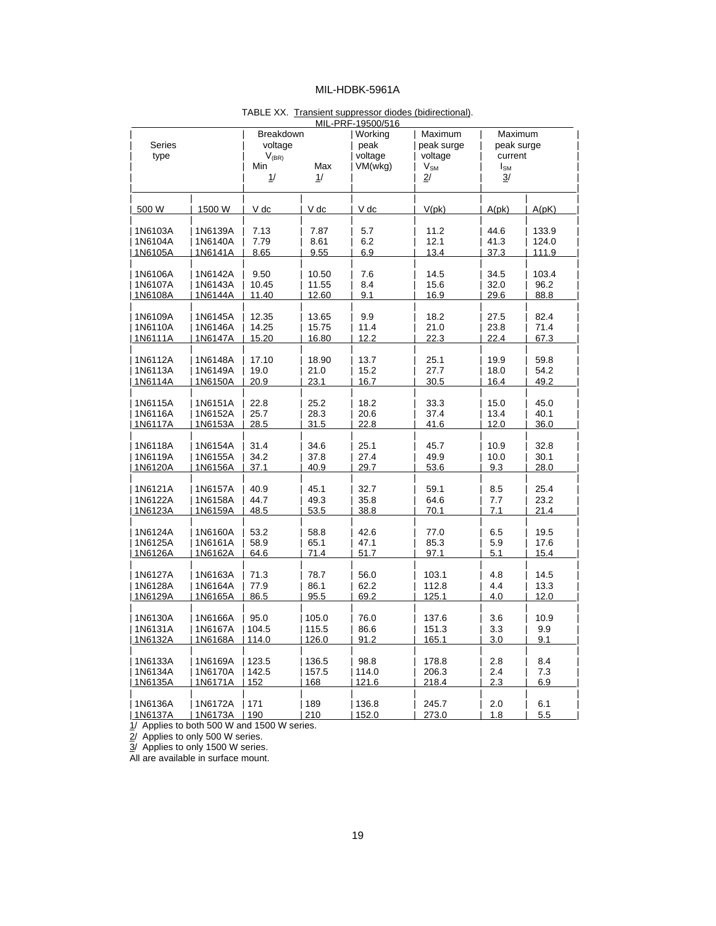| MIL-PRF-19500/516 |         |            |       |         |                 |                 |       |  |  |
|-------------------|---------|------------|-------|---------|-----------------|-----------------|-------|--|--|
|                   |         | Breakdown  |       | Working | Maximum         | Maximum         |       |  |  |
| Series            |         | voltage    |       | peak    | peak surge      | peak surge      |       |  |  |
| type              |         | $V_{(BR)}$ |       | voltage | voltage         | current         |       |  |  |
|                   |         | Min        | Max   | VM(wkg) | $V_{\text{SM}}$ | I <sub>SM</sub> |       |  |  |
|                   |         | 1/         | 1/    |         | 2/              | 3/              |       |  |  |
|                   |         |            |       |         |                 |                 |       |  |  |
|                   |         |            |       |         |                 |                 |       |  |  |
| 500 W             | 1500 W  | V dc       | V dc  | V dc    | V(pk)           | A(pk)           | A(pK) |  |  |
| 1N6103A           | 1N6139A | 7.13       | 7.87  | 5.7     | 11.2            | 44.6            | 133.9 |  |  |
| 1N6104A           | 1N6140A | 7.79       | 8.61  | 6.2     | 12.1            | 41.3            | 124.0 |  |  |
| 1N6105A           | 1N6141A | 8.65       | 9.55  | 6.9     | 13.4            | 37.3            | 111.9 |  |  |
| 1N6106A           | 1N6142A | 9.50       | 10.50 | 7.6     | 14.5            | 34.5            | 103.4 |  |  |
| 1N6107A           | 1N6143A | 10.45      | 11.55 | 8.4     | 15.6            | 32.0            | 96.2  |  |  |
| 1N6108A           | 1N6144A | 11.40      | 12.60 | 9.1     | 16.9            | 29.6            |       |  |  |
|                   |         |            |       |         |                 |                 | 88.8  |  |  |
| 1N6109A           | 1N6145A | 12.35      | 13.65 | 9.9     | 18.2            | 27.5            | 82.4  |  |  |
| 1N6110A           | 1N6146A | 14.25      | 15.75 | 11.4    | 21.0            | 23.8            | 71.4  |  |  |
| 1N6111A           | 1N6147A | 15.20      | 16.80 | 12.2    | 22.3            | 22.4            | 67.3  |  |  |
| 1N6112A           | 1N6148A | 17.10      | 18.90 | 13.7    | 25.1            | 19.9            | 59.8  |  |  |
| 1N6113A           | 1N6149A | 19.0       | 21.0  | 15.2    | 27.7            | 18.0            | 54.2  |  |  |
| 1N6114A           | 1N6150A | 20.9       | 23.1  | 16.7    | 30.5            | 16.4            | 49.2  |  |  |
|                   |         |            |       |         |                 |                 |       |  |  |
| 1N6115A           | 1N6151A | 22.8       | 25.2  | 18.2    | 33.3            | 15.0            | 45.0  |  |  |
| 1N6116A           | 1N6152A | 25.7       | 28.3  | 20.6    | 37.4            | 13.4            | 40.1  |  |  |
| 1N6117A           | 1N6153A | 28.5       | 31.5  | 22.8    | 41.6            | 12.0            | 36.0  |  |  |
|                   |         |            |       |         |                 |                 |       |  |  |
| 1N6118A           | 1N6154A | 31.4       | 34.6  | 25.1    | 45.7            | 10.9            | 32.8  |  |  |
| 1N6119A           | 1N6155A | 34.2       | 37.8  | 27.4    | 49.9            | 10.0            | 30.1  |  |  |
| 1N6120A           | 1N6156A | 37.1       | 40.9  | 29.7    | 53.6            | 9.3             | 28.0  |  |  |
| 1N6121A           | 1N6157A | 40.9       | 45.1  | 32.7    | 59.1            | 8.5             | 25.4  |  |  |
| 1N6122A           | 1N6158A | 44.7       | 49.3  | 35.8    | 64.6            | 7.7             | 23.2  |  |  |
| 1N6123A           | 1N6159A | 48.5       | 53.5  | 38.8    | 70.1            | 7.1             | 21.4  |  |  |
|                   |         |            |       |         |                 |                 |       |  |  |
| 1N6124A           | 1N6160A | 53.2       | 58.8  | 42.6    | 77.0            | 6.5             | 19.5  |  |  |
| 1N6125A           | 1N6161A | 58.9       | 65.1  | 47.1    | 85.3            | 5.9             | 17.6  |  |  |
| 1N6126A           | 1N6162A | 64.6       | 71.4  | 51.7    | 97.1            | 5.1             | 15.4  |  |  |
| 1N6127A           | 1N6163A | 71.3       | 78.7  | 56.0    | 103.1           | 4.8             | 14.5  |  |  |
| 1N6128A           | 1N6164A | 77.9       | 86.1  | 62.2    | 112.8           | 4.4             | 13.3  |  |  |
| 1N6129A           | 1N6165A | 86.5       | 95.5  | 69.2    | 125.1           | 4.0             | 12.0  |  |  |
|                   |         |            |       |         |                 |                 |       |  |  |
| 1N6130A           | 1N6166A | 95.0       | 105.0 | 76.0    | 137.6           | 3.6             | 10.9  |  |  |
| 1N6131A           | 1N6167A | 104.5      | 115.5 | 86.6    | 151.3           | 3.3             | 9.9   |  |  |
| 1N6132A           | 1N6168A | 114.0      | 126.0 | 91.2    | 165.1           | 3.0             | 9.1   |  |  |
| 1N6133A           | 1N6169A | 123.5      | 136.5 | 98.8    | 178.8           | 2.8             | 8.4   |  |  |
| 1N6134A           | 1N6170A | 142.5      | 157.5 | 114.0   | 206.3           | 2.4             | 7.3   |  |  |
| 1N6135A           | 1N6171A | 152        | 168   | 121.6   | 218.4           | 2.3             | 6.9   |  |  |
|                   |         |            |       |         |                 |                 |       |  |  |
| 1N6136A           | 1N6172A | 171<br>190 | 189   | 136.8   | 245.7           | 2.0             | 6.1   |  |  |
| 1N6137A           | 1N6173A |            | 210   | 152.0   | 273.0           | 1.8             | 5.5   |  |  |

### TABLE XX. Transient suppressor diodes (bidirectional).

1/ Applies to both 500 W and 1500 W series.

2/ Applies to only 500 W series.

3/ Applies to only 1500 W series.

All are available in surface mount.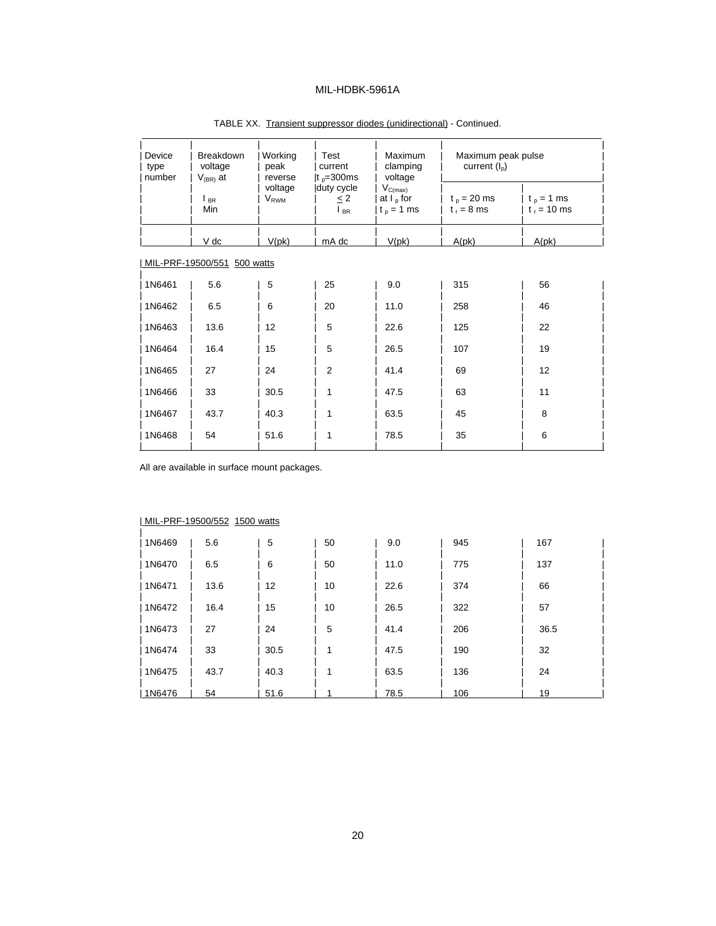| Device<br>type<br>number | <b>Breakdown</b><br>voltage<br>$V_{(BR)}$ at | Working<br>peak<br>reverse | Test<br>current<br>It $p=300$ ms                | <b>Maximum</b><br>clamping<br>voltage        | Maximum peak pulse<br>current $(I_{\rm p})$ |                               |  |
|--------------------------|----------------------------------------------|----------------------------|-------------------------------------------------|----------------------------------------------|---------------------------------------------|-------------------------------|--|
|                          | $\mathsf{I}_{\mathsf{BR}}$<br>Min            | voltage<br>$V_{RWM}$       | duty cycle<br>< 2<br>$\mathsf{I}_{\mathsf{BR}}$ | $V_{C(max)}$<br>at $I_p$ for<br>$t_p = 1$ ms | $t_p = 20$ ms<br>$t_r = 8$ ms               | $t_p = 1$ ms<br>$t_r = 10$ ms |  |
|                          | V dc                                         | V(pk)                      | mA dc                                           | V(pk)                                        | A(pk)                                       | A(pk)                         |  |
|                          | MIL-PRF-19500/551 500 watts                  |                            |                                                 |                                              |                                             |                               |  |
| 1N6461                   | 5.6                                          | 5                          | 25                                              | 9.0                                          | 315                                         | 56                            |  |
| 1N6462                   | 6.5                                          | 6                          | 20                                              | 11.0                                         | 258                                         | 46                            |  |
| 1N6463                   | 13.6                                         | 12                         | 5                                               | 22.6                                         | 125                                         | 22                            |  |
| 1N6464                   | 16.4                                         | 15                         | 5                                               | 26.5                                         | 107                                         | 19                            |  |
| 1N6465                   | 27                                           | 24                         | 2                                               | 41.4                                         | 69                                          | 12                            |  |
| 1N6466                   | 33                                           | 30.5                       | 1                                               | 47.5                                         | 63                                          | 11                            |  |
| 1N6467                   | 43.7                                         | 40.3                       | 1                                               | 63.5                                         | 45                                          | 8                             |  |
| 1N6468                   | 54                                           | 51.6                       | 1                                               | 78.5                                         | 35                                          | 6                             |  |

TABLE XX. Transient suppressor diodes (unidirectional) - Continued.

All are available in surface mount packages.

|        | $1$ $11$ $11$ $133000$ $332$ $1300$ walls |      |    |      |     |      |
|--------|-------------------------------------------|------|----|------|-----|------|
| 1N6469 | 5.6                                       | 5    | 50 | 9.0  | 945 | 167  |
| 1N6470 | 6.5                                       | 6    | 50 | 11.0 | 775 | 137  |
| 1N6471 | 13.6                                      | 12   | 10 | 22.6 | 374 | 66   |
| 1N6472 | 16.4                                      | 15   | 10 | 26.5 | 322 | 57   |
| 1N6473 | 27                                        | 24   | 5  | 41.4 | 206 | 36.5 |
| 1N6474 | 33                                        | 30.5 | 1  | 47.5 | 190 | 32   |
| 1N6475 | 43.7                                      | 40.3 | 1  | 63.5 | 136 | 24   |
| 1N6476 | 54                                        | 51.6 |    | 78.5 | 106 | 19   |

#### | MIL-PRF-19500/552 1500 watts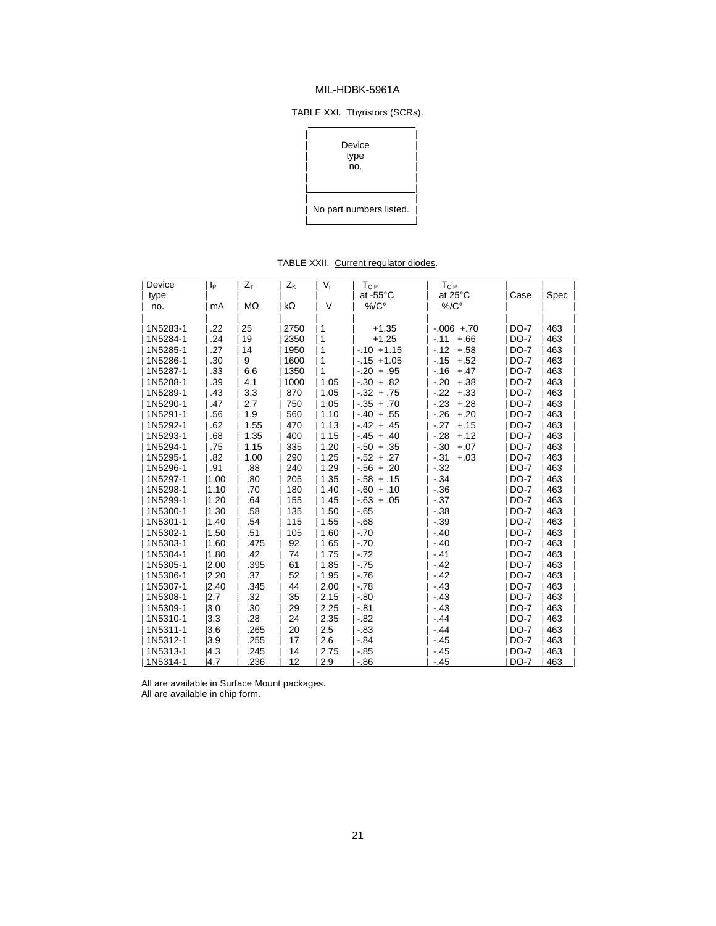#### TABLE XXI. Thyristors (SCRs).

| Device<br>type<br>no.   |
|-------------------------|
| No part numbers listed. |

TABLE XXII. Current regulator diodes.

| Device   | p    | $Z_T$     | $Z_{K}$ | $V_r$          | $T_{\rm CIP}$      | $\mathsf{T}_{\textsf{CIP}}$ |             |      |
|----------|------|-----------|---------|----------------|--------------------|-----------------------------|-------------|------|
| type     |      |           |         |                | at -55°C           | at 25°C                     | Case        | Spec |
| no.      | mA   | $M\Omega$ | kΩ      | $\vee$         | $\%$ / $C^{\circ}$ | $\%$ / $C^{\circ}$          |             |      |
|          |      |           |         |                |                    |                             |             |      |
| 1N5283-1 | .22  | 25        | 2750    | 1              | $+1.35$            | $-.006 + .70$               | <b>DO-7</b> | 463  |
| 1N5284-1 | .24  | 19        | 2350    | $\mathbf{1}$   | $+1.25$            | $-11$<br>$+.66$             | <b>DO-7</b> | 463  |
| 1N5285-1 | .27  | 14        | 1950    | 1              | $-0.10 + 1.15$     | $-12$<br>$+.58$             | <b>DO-7</b> | 463  |
| 1N5286-1 | .30  | 9         | 1600    | 1              | $-15 + 1.05$       | $-15$<br>$+.52$             | <b>DO-7</b> | 463  |
| 1N5287-1 | .33  | 6.6       | 1350    | $\overline{1}$ | $-.20 + .95$       | $-16$<br>$+.47$             | <b>DO-7</b> | 463  |
| 1N5288-1 | .39  | 4.1       | 1000    | 1.05           | $-0.30 + 0.82$     | $+.38$<br>$-20$             | <b>DO-7</b> | 463  |
| 1N5289-1 | .43  | 3.3       | 870     | 1.05           | $-32 + 75$         | $-22$<br>$+.33$             | $DO-7$      | 463  |
| 1N5290-1 | .47  | 2.7       | 750     | 1.05           | $-35 + 70$         | $-.23$<br>$+.28$            | <b>DO-7</b> | 463  |
| 1N5291-1 | .56  | 1.9       | 560     | 1.10           | $-.40 + .55$       | $-.26$<br>$+.20$            | $DO-7$      | 463  |
| 1N5292-1 | .62  | 1.55      | 470     | 1.13           | $-42 + 45$         | $-.27$<br>$+.15$            | <b>DO-7</b> | 463  |
| 1N5293-1 | .68  | 1.35      | 400     | 1.15           | $-45 + 40$         | $-.28$<br>$+.12$            | <b>DO-7</b> | 463  |
| 1N5294-1 | .75  | 1.15      | 335     | 1.20           | $-0.50 + 0.35$     | $-.30$<br>$+.07$            | $DO-7$      | 463  |
| 1N5295-1 | .82  | 1.00      | 290     | 1.25           | $-.52 + .27$       | $-.31$<br>$+.03$            | <b>DO-7</b> | 463  |
| 1N5296-1 | .91  | .88       | 240     | 1.29           | $-.56 + .20$       | $-.32$                      | DO-7        | 463  |
| 1N5297-1 | 1.00 | .80       | 205     | 1.35           | $-58 + 15$         | $-.34$                      | <b>DO-7</b> | 463  |
| 1N5298-1 | 1.10 | .70       | 180     | 1.40           | $-60 + 10$         | $-36$                       | <b>DO-7</b> | 463  |
| 1N5299-1 | 1.20 | .64       | 155     | 1.45           | $-0.63 + 0.05$     | $-37$                       | <b>DO-7</b> | 463  |
| 1N5300-1 | 1.30 | .58       | 135     | 1.50           | $-65$              | $-38$                       | $DO-7$      | 463  |
| 1N5301-1 | 1.40 | .54       | 115     | 1.55           | $-68$              | $-39$                       | $DO-7$      | 463  |
| 1N5302-1 | 1.50 | .51       | 105     | 1.60           | $-70$              | $-.40$                      | $DO-7$      | 463  |
| 1N5303-1 | 1.60 | .475      | 92      | 1.65           | $-.70$             | $-.40$                      | <b>DO-7</b> | 463  |
| 1N5304-1 | 1.80 | .42       | 74      | 1.75           | $-72$              | $-41$                       | $DO-7$      | 463  |
| 1N5305-1 | 2.00 | .395      | 61      | 1.85           | $-75$              | $-.42$                      | <b>DO-7</b> | 463  |
| 1N5306-1 | 2.20 | .37       | 52      | 1.95           | $-76$              | $-.42$                      | <b>DO-7</b> | 463  |
| 1N5307-1 | 2.40 | .345      | 44      | 2.00           | $-.78$             | $-.43$                      | <b>DO-7</b> | 463  |
| 1N5308-1 | 2.7  | .32       | 35      | 2.15           | $-.80$             | $-.43$                      | <b>DO-7</b> | 463  |
| 1N5309-1 | 3.0  | .30       | 29      | 2.25           | $-0.81$            | $-43$                       | <b>DO-7</b> | 463  |
| 1N5310-1 | 3.3  | .28       | 24      | 2.35           | $-.82$             | $-.44$                      | <b>DO-7</b> | 463  |
| 1N5311-1 | 3.6  | .265      | 20      | 2.5            | $-83$              | $-44$                       | <b>DO-7</b> | 463  |
| 1N5312-1 | 3.9  | .255      | 17      | 2.6            | $-84$              | $-45$                       | <b>DO-7</b> | 463  |
| 1N5313-1 | 4.3  | .245      | 14      | 2.75           | $-0.85$            | $-.45$                      | <b>DO-7</b> | 463  |
| 1N5314-1 | 14.7 | 236       | 12      | 2.9            | $-86$              | $-.45$                      | $DO-7$      | 463  |

All are available in Surface Mount packages.

All are available in chip form.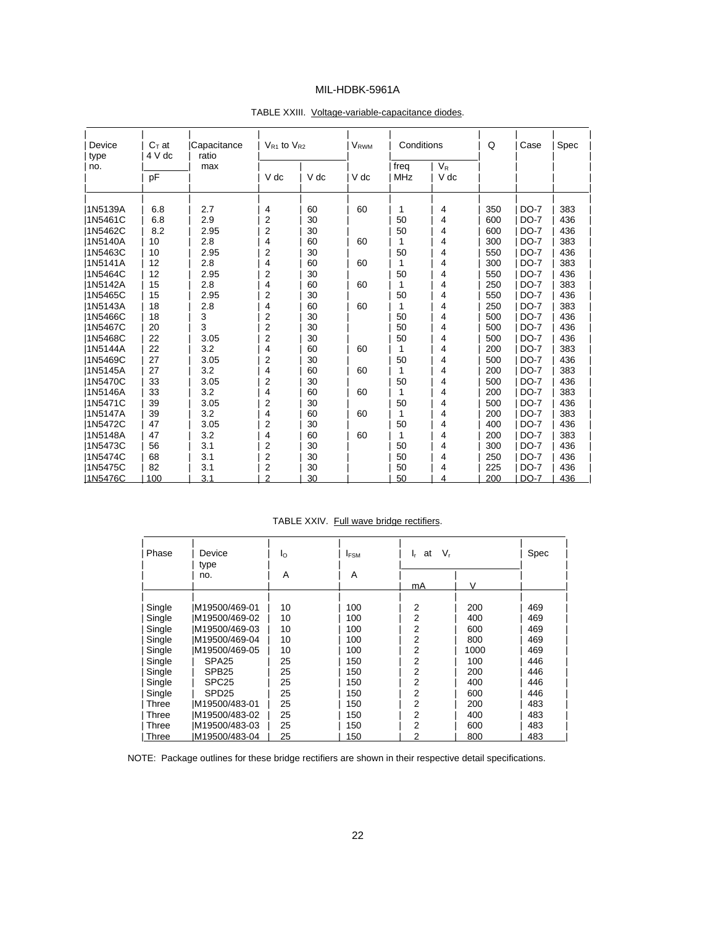| Device<br>type  | $C_T$ at<br>4 V dc | <b>Capacitance</b><br>ratio | $V_{R1}$ to $V_{R2}$ |      | <b>V</b> <sub>RWM</sub> | Conditions  |                 | Q   | Case        | Spec |
|-----------------|--------------------|-----------------------------|----------------------|------|-------------------------|-------------|-----------------|-----|-------------|------|
| no.             | pF                 | max                         | V dc                 | V dc | V dc                    | freq<br>MHz | $V_{R}$<br>V dc |     |             |      |
| 11N5139A        | 6.8                | 2.7                         | 4                    | 60   | 60                      | 1           | 4               | 350 | <b>DO-7</b> | 383  |
| <b>I1N5461C</b> | 6.8                | 2.9                         | 2                    | 30   |                         | 50          | 4               | 600 | $DO-7$      | 436  |
| <b>I1N5462C</b> | 8.2                | 2.95                        | 2                    | 30   |                         | 50          | 4               | 600 | $DO-7$      | 436  |
| 11N5140A        | 10                 | 2.8                         | 4                    | 60   | 60                      | 1           | 4               | 300 | $DO-7$      | 383  |
| 11N5463C        | 10                 | 2.95                        | 2                    | 30   |                         | 50          | 4               | 550 | $DO-7$      | 436  |
| 1N5141A         | 12                 | 2.8                         | 4                    | 60   | 60                      | 1           | 4               | 300 | <b>DO-7</b> | 383  |
| 1N5464C         | 12                 | 2.95                        | $\overline{2}$       | 30   |                         | 50          | 4               | 550 | <b>DO-7</b> | 436  |
| <b>I1N5142A</b> | 15                 | 2.8                         | 4                    | 60   | 60                      | 1           | 4               | 250 | $DO-7$      | 383  |
| 1N5465C         | 15                 | 2.95                        | 2                    | 30   |                         | 50          | 4               | 550 | <b>DO-7</b> | 436  |
| 1N5143A         | 18                 | 2.8                         | 4                    | 60   | 60                      | 1           | 4               | 250 | $DO-7$      | 383  |
| 1N5466C         | 18                 | 3                           | $\overline{2}$       | 30   |                         | 50          | 4               | 500 | <b>DO-7</b> | 436  |
| 1N5467C         | 20                 | 3                           | $\overline{2}$       | 30   |                         | 50          | 4               | 500 | $DO-7$      | 436  |
| 1N5468C         | 22                 | 3.05                        | 2                    | 30   |                         | 50          | 4               | 500 | <b>DO-7</b> | 436  |
| 11N5144A        | 22                 | 3.2                         | 4                    | 60   | 60                      | 1           | 4               | 200 | $DO-7$      | 383  |
| 1N5469C         | 27                 | 3.05                        | 2                    | 30   |                         | 50          | 4               | 500 | <b>DO-7</b> | 436  |
| 11N5145A        | 27                 | 3.2                         | 4                    | 60   | 60                      | 1           | 4               | 200 | $DO-7$      | 383  |
| <b>I1N5470C</b> | 33                 | 3.05                        | 2                    | 30   |                         | 50          | 4               | 500 | $DO-7$      | 436  |
| 11N5146A        | 33                 | 3.2                         | 4                    | 60   | 60                      | 1           | 4               | 200 | <b>DO-7</b> | 383  |
| <b>I1N5471C</b> | 39                 | 3.05                        | 2                    | 30   |                         | 50          | 4               | 500 | <b>DO-7</b> | 436  |
| 11N5147A        | 39                 | 3.2                         | 4                    | 60   | 60                      | 1           | 4               | 200 | $DO-7$      | 383  |
| 1N5472C         | 47                 | 3.05                        | 2                    | 30   |                         | 50          | 4               | 400 | <b>DO-7</b> | 436  |
| 1N5148A         | 47                 | 3.2                         | 4                    | 60   | 60                      | 1           | 4               | 200 | <b>DO-7</b> | 383  |
| 11N5473C        | 56                 | 3.1                         | 2                    | 30   |                         | 50          | 4               | 300 | $DO-7$      | 436  |
| 1N5474C         | 68                 | 3.1                         | 2                    | 30   |                         | 50          | 4               | 250 | <b>DO-7</b> | 436  |
| 1N5475C         | 82                 | 3.1                         | 2                    | 30   |                         | 50          | 4               | 225 | <b>DO-7</b> | 436  |
| 1N5476C         | 100                | 3.1                         | $\overline{2}$       | 30   |                         | 50          | 4               | 200 | $DO-7$      | 436  |

#### TABLE XXIII. Voltage-variable-capacitance diodes.

TABLE XXIV. Full wave bridge rectifiers.

| Phase  | Device<br>type    | Ιo | <b>IFSM</b> | at<br>lr. | $V_r$ | Spec |
|--------|-------------------|----|-------------|-----------|-------|------|
|        | no.               | A  | A           |           |       |      |
|        |                   |    |             | mA        | V     |      |
|        |                   |    |             |           |       |      |
| Single | IM19500/469-01    | 10 | 100         | 2         | 200   | 469  |
| Single | IM19500/469-02    | 10 | 100         | 2         | 400   | 469  |
| Single | IM19500/469-03    | 10 | 100         | 2         | 600   | 469  |
| Single | IM19500/469-04    | 10 | 100         | 2         | 800   | 469  |
| Single | IM19500/469-05    | 10 | 100         | 2         | 1000  | 469  |
| Single | SPA <sub>25</sub> | 25 | 150         | 2         | 100   | 446  |
| Single | SPB <sub>25</sub> | 25 | 150         | 2         | 200   | 446  |
| Single | SPC <sub>25</sub> | 25 | 150         | 2         | 400   | 446  |
| Single | SPD <sub>25</sub> | 25 | 150         | 2         | 600   | 446  |
| Three  | M19500/483-01     | 25 | 150         | 2         | 200   | 483  |
| Three  | M19500/483-02     | 25 | 150         | 2         | 400   | 483  |
| Three  | IM19500/483-03    | 25 | 150         | 2         | 600   | 483  |
| Three  | IM19500/483-04    | 25 | 150         | 2         | 800   | 483  |

NOTE: Package outlines for these bridge rectifiers are shown in their respective detail specifications.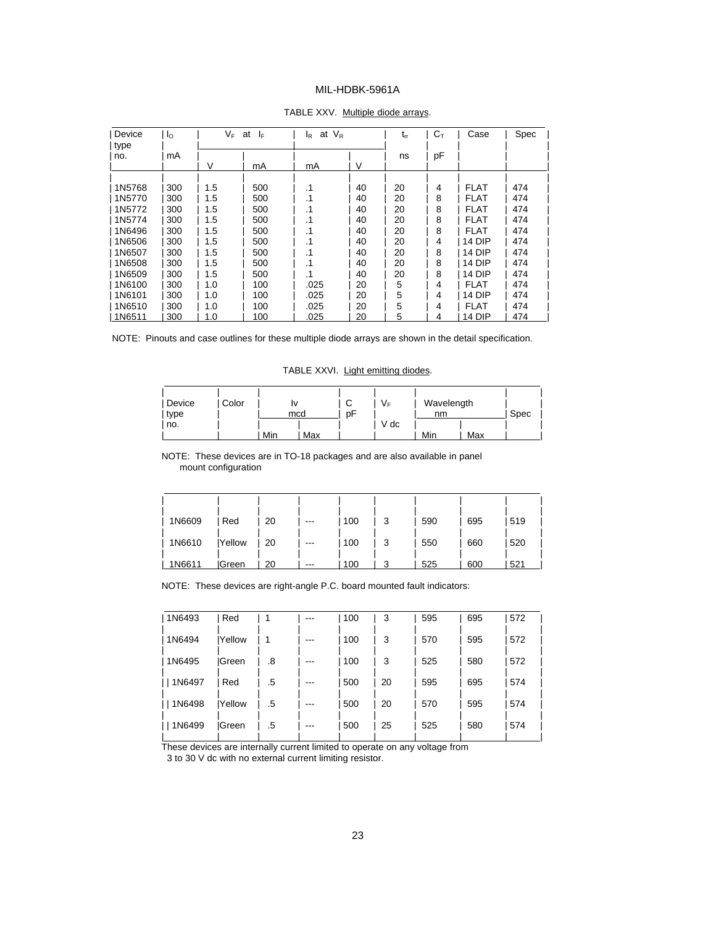| Device      | $I_{\rm O}$ | VF. | at I <sub>F</sub> | at $V_R$<br>l <sub>R</sub> |    | $t_{rr}$ | $C_{\text{\tiny T}}$ | Case        | Spec |
|-------------|-------------|-----|-------------------|----------------------------|----|----------|----------------------|-------------|------|
| type<br>no. | mA          |     |                   |                            |    | ns       | pF                   |             |      |
|             |             | V   | mA                | mA                         | V  |          |                      |             |      |
|             |             |     |                   |                            |    |          |                      |             |      |
| 1N5768      | 300         | 1.5 | 500               | .1                         | 40 | 20       | 4                    | FLAT        | 474  |
| 1N5770      | 300         | 1.5 | 500               | $\cdot$ 1                  | 40 | 20       | 8                    | <b>FLAT</b> | 474  |
| 1N5772      | 300         | 1.5 | 500               | $\cdot$ 1                  | 40 | 20       | 8                    | <b>FLAT</b> | 474  |
| 1N5774      | 300         | 1.5 | 500               | .1                         | 40 | 20       | 8                    | <b>FLAT</b> | 474  |
| 1N6496      | 300         | 1.5 | 500               | .1                         | 40 | 20       | 8                    | <b>FLAT</b> | 474  |
| 1N6506      | 300         | 1.5 | 500               | .1                         | 40 | 20       | 4                    | 14 DIP      | 474  |
| 1N6507      | 300         | 1.5 | 500               | $\cdot$ 1                  | 40 | 20       | 8                    | 14 DIP      | 474  |
| 1N6508      | 300         | 1.5 | 500               | $\cdot$ 1                  | 40 | 20       | 8                    | 14 DIP      | 474  |
| 1N6509      | 300         | 1.5 | 500               | $\cdot$ 1                  | 40 | 20       | 8                    | 14 DIP      | 474  |
| 1N6100      | 300         | 1.0 | 100               | .025                       | 20 | 5        | 4                    | <b>FLAT</b> | 474  |
| 1N6101      | 300         | 1.0 | 100               | .025                       | 20 | 5        | 4                    | 14 DIP      | 474  |
| 1N6510      | 300         | 1.0 | 100               | .025                       | 20 | 5        | 4                    | FLAT        | 474  |
| 1N6511      | 300         | 1.0 | 100               | .025                       | 20 | 5        | 4                    | 14 DIP      | 474  |

#### TABLE XXV. Multiple diode arrays.

NOTE: Pinouts and case outlines for these multiple diode arrays are shown in the detail specification.

 $\overline{a}$ 

TABLE XXVI. Light emitting diodes.

| Device | Color |     |     | $\sqrt{2}$<br>◡ | V⊧   | Wavelength |     |      |  |
|--------|-------|-----|-----|-----------------|------|------------|-----|------|--|
| type   |       |     | mcd | рF              |      | nm         |     | Spec |  |
| no.    |       |     |     |                 | V dc |            |     |      |  |
|        |       | Min | Max |                 |      | Min        | Max |      |  |

#### NOTE: These devices are in TO-18 packages and are also available in panel mount configuration

| 1N6609 | Red    | 20 | --- | 100 | 3 | 590 | 695 | 519 |
|--------|--------|----|-----|-----|---|-----|-----|-----|
| 1N6610 | Yellow | 20 | --- | 100 | 3 | 550 | 660 | 520 |
| 1N6611 | lGreen | 20 | --- | 100 |   | 525 | 600 | 521 |

NOTE: These devices are right-angle P.C. board mounted fault indicators:

| 1N6493 | Red            |    | ---   | 100 | 3  | 595 | 695 | 572 |
|--------|----------------|----|-------|-----|----|-----|-----|-----|
| 1N6494 | <b>IYellow</b> |    | ---   | 100 | 3  | 570 | 595 | 572 |
| 1N6495 | <b>IGreen</b>  | .8 | ---   | 100 | 3  | 525 | 580 | 572 |
| 1N6497 | Red            | .5 | ---   | 500 | 20 | 595 | 695 | 574 |
| 1N6498 | <b>Yellow</b>  | .5 | $---$ | 500 | 20 | 570 | 595 | 574 |
| 1N6499 | lGreen         | .5 | $---$ | 500 | 25 | 525 | 580 | 574 |

These devices are internally current limited to operate on any voltage from

3 to 30 V dc with no external current limiting resistor.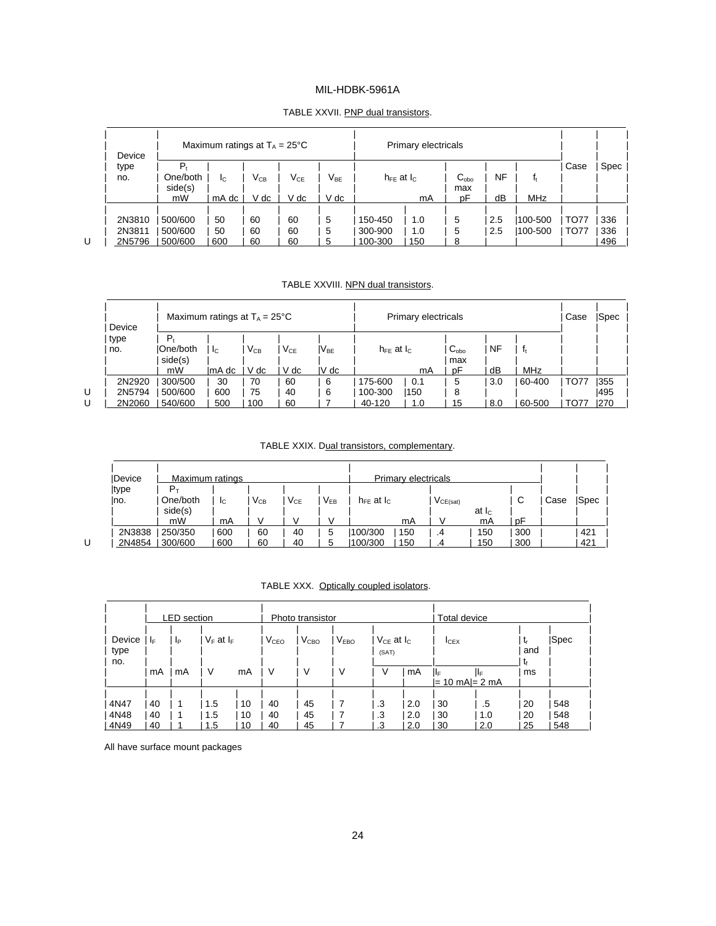#### TABLE XXVII. PNP dual transistors.

|   | Device |          | Maximum ratings at $T_A = 25^{\circ}C$ |                 |                            |                            | Primary electricals |     |               |     |         |             |      |
|---|--------|----------|----------------------------------------|-----------------|----------------------------|----------------------------|---------------------|-----|---------------|-----|---------|-------------|------|
|   | type   | P,       |                                        |                 |                            |                            |                     |     |               |     |         | Case        | Spec |
|   | no.    | One/both | Ic.                                    | V <sub>CB</sub> | $\mathsf{V}_{\mathsf{CE}}$ | $\mathsf{V}_{\mathsf{BE}}$ | $h_{FE}$ at $I_{C}$ |     | $C_{\rm obo}$ | ΝF  | f,      |             |      |
|   |        | side(s)  |                                        |                 |                            |                            |                     |     | max           |     |         |             |      |
|   |        | mW       | mA dc                                  | V dc            | V dc                       | V dc                       |                     | mA  | рF            | dВ  | MHz     |             |      |
|   |        |          |                                        |                 |                            |                            |                     |     |               |     |         |             |      |
|   | 2N3810 | 500/600  | 50                                     | 60              | 60                         | 5                          | 150-450             | 1.0 | 5             | 2.5 | 100-500 | <b>TO77</b> | 336  |
|   | 2N3811 | 500/600  | 50                                     | 60              | 60                         | 5                          | 300-900             | 1.0 | 5             | 2.5 | 100-500 | <b>TO77</b> | 336  |
| U | 2N5796 | 500/600  | 600                                    | 60              | 60                         | 5                          | 100-300             | 150 |               |     |         |             | 496  |

l

#### TABLE XXVIII. NPN dual transistors.

|   | Device |           | Maximum ratings at $T_A = 25^{\circ}C$ |          |          |                  |                     | Primary electricals |                           |           |              |        | <b>Spec</b> |
|---|--------|-----------|----------------------------------------|----------|----------|------------------|---------------------|---------------------|---------------------------|-----------|--------------|--------|-------------|
|   | type   | $P_{t}$   |                                        |          |          |                  |                     |                     |                           |           |              |        |             |
|   | no.    | IOne/both | -lc                                    | $V_{CB}$ | $V_{CE}$ | lV <sub>be</sub> | $h_{FF}$ at $h_{C}$ |                     | $C_{\alpha$ <sub>bo</sub> | <b>NF</b> | $\mathbf{f}$ |        |             |
|   |        | side(s)   |                                        |          |          |                  |                     |                     | max                       |           |              |        |             |
|   |        | mW        | lmA dc                                 | V dc     | V dc     | $IV$ dc          |                     | mA                  | рF                        | dB        | MHz          |        |             |
|   | 2N2920 | 300/500   | 30                                     | 70       | 60       | 6                | 175-600             | 0.1                 | 5                         | 3.0       | 60-400       | . TO77 | 1355        |
| U | 2N5794 | 500/600   | 600                                    | 75       | 40       | 6                | 100-300             | 150                 | 8                         |           |              |        | 1495        |
| U | 2N2060 | 540/600   | 500                                    | 100      | 60       |                  | 40-120              | 1.0                 | 15                        | 8.0       | 60-500       | . TO77 | 1270        |
|   |        |           |                                        |          |          |                  |                     |                     |                           |           |              |        |             |

#### TABLE XXIX. Dual transistors, complementary.

| <b>IDevice</b> | Maximum ratings         |     |          |          |          |                     | Primary electricals |               |                |     |      |      |
|----------------|-------------------------|-----|----------|----------|----------|---------------------|---------------------|---------------|----------------|-----|------|------|
| type           | $\mathsf{P}_\mathsf{T}$ |     |          |          |          |                     |                     |               |                |     |      |      |
| Ino.           | One/both                | -lc | $V_{CB}$ | $V_{CE}$ | $V_{EB}$ | $h_{FE}$ at $I_{C}$ |                     | $V_{CE(sat)}$ |                | C   | Case | Spec |
|                | side(s)                 |     |          |          |          |                     |                     |               | at $I_{\rm C}$ |     |      |      |
|                | mW                      | mA  |          |          |          |                     | mA                  |               | mA             | рF  |      |      |
| 2N3838         | 250/350                 | 600 | 60       | 40       |          | 100/300             | 150                 | .4            | 150            | 300 |      | 421  |
| 2N4854         | 300/600                 | 600 | 60       | 40       |          | 100/300             | 150                 | .4            | 150            | 300 |      | 421  |

| TABLE XXX. Optically coupled isolators. |
|-----------------------------------------|
|-----------------------------------------|

|                      |                | <b>LED</b> section |                   |                |                  | Total device<br>Photo transistor |                  |                              |                   |                  |                      |                |                   |
|----------------------|----------------|--------------------|-------------------|----------------|------------------|----------------------------------|------------------|------------------------------|-------------------|------------------|----------------------|----------------|-------------------|
| Device<br>type       | ΙF             | -lp                | $V_F$ at $I_F$    |                | V <sub>CEO</sub> | $V_{\text{CBO}}$                 | V <sub>EBO</sub> | $V_{CE}$ at $I_{C}$<br>(SAT) |                   | I <sub>CEX</sub> |                      | t,<br>and      | Spec              |
| no.                  | mA             | mA                 | V                 | mA             | v                | V                                | ν                | V                            | mA                | ШF               | ШF<br>= 10 mA = 2 mA | ٦f<br>ms       |                   |
| 4N47<br>4N48<br>4N49 | 40<br>40<br>40 |                    | 1.5<br>1.5<br>1.5 | 10<br>10<br>10 | 40<br>40<br>40   | 45<br>45<br>45                   |                  | .3<br>.3<br>.3               | 2.0<br>2.0<br>2.0 | 30<br>30<br>30   | .5<br>1.0<br>2.0     | 20<br>20<br>25 | 548<br>548<br>548 |

All have surface mount packages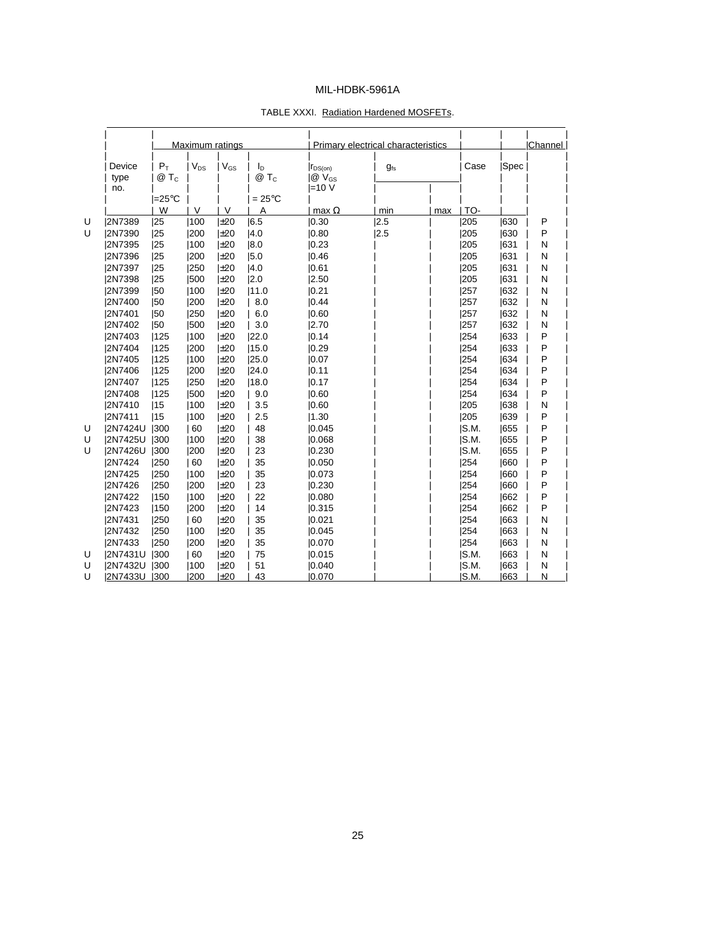|                  |                 |          | Maximum ratings |                |                           | Primary electrical characteristics |     |       |      | Channel |
|------------------|-----------------|----------|-----------------|----------------|---------------------------|------------------------------------|-----|-------|------|---------|
| Device<br>type   | $P_T$<br>$@T_c$ | $V_{DS}$ | $V_{GS}$        | Iр<br>$@T_c$   | $r_{DS(on)}$<br>$@V_{GS}$ | $q_{fs}$                           |     | Case  | Spec |         |
| no.              | l=25°C          |          |                 | $=25^{\circ}C$ | $=10V$                    |                                    |     |       |      |         |
|                  | W               | $\vee$   | $\vee$          | A              | max $\Omega$              | min                                | max | TO-   |      |         |
| Ù<br>2N7389      | 25              | 1100     | ±20             | 6.5            | 0.30                      | 2.5                                |     | 205   | 1630 | P       |
| U<br>2N7390      | 25              | 200      | $\pm 20$        | 4.0            | 0.80                      | 2.5                                |     | 205   | 1630 | P       |
| 2N7395           | 25              | 100      | ±20             | 8.0            | 0.23                      |                                    |     | 205   | 1631 | N       |
| 2N7396           | 25              | 200      | $\pm 20$        | 5.0            | 0.46                      |                                    |     | 205   | 631  | N       |
| 2N7397           | 25              | 1250     | ±20             | 4.0            | 0.61                      |                                    |     | 1205  | 1631 | N       |
| 2N7398           | 25              | 1500     | $\pm 20$        | 2.0            | 2.50                      |                                    |     | 205   | 631  | N       |
| 2N7399           | 150             | 100      | $\pm 20$        | 11.0           | 0.21                      |                                    |     | 257   | 632  | N       |
| 2N7400           | 50              | 200      | $\pm 20$        | 8.0            | 0.44                      |                                    |     | 257   | 1632 | N       |
| 2N7401           | 150             | 250      | $\pm 20$        | 6.0            | 0.60                      |                                    |     | 257   | 632  | N       |
| 2N7402           | 50              | 1500     | ±20             | 3.0            | 2.70                      |                                    |     | 257   | 632  | N       |
| 2N7403           | 125             | 100      | ±20             | 22.0           | 0.14                      |                                    |     | 254   | 633  | P       |
| 2N7404           | 125             | 200      | ±20             | 15.0           | 0.29                      |                                    |     | 254   | 1633 | P       |
| 2N7405           | 125             | 100      | $\pm 20$        | 25.0           | 0.07                      |                                    |     | 254   | 1634 | P       |
| <b>2N7406</b>    | 125             | 200      | $\pm 20$        | 24.0           | 0.11                      |                                    |     | 254   | 634  | P       |
| 2N7407           | 125             | 250      | $\pm 20$        | 18.0           | 0.17                      |                                    |     | 254   | 1634 | P       |
| 2N7408           | 125             | 500      | $\pm 20$        | 9.0            | 0.60                      |                                    |     | 254   | 1634 | P       |
| 2N7410           | 15              | 100      | ±20             | 3.5            | 0.60                      |                                    |     | 205   | 1638 | N       |
| 2N7411           | 15              | 100      | $\pm 20$        | 2.5            | 1.30                      |                                    |     | 205   | 639  | P       |
| U<br>2N7424U     | 300             | 60       | ±20             | 48             | 0.045                     |                                    |     | IS.M. | 1655 | P       |
| U<br>2N7425U     | 300             | 100      | $\pm 20$        | 38             | 0.068                     |                                    |     | IS.M. | 1655 | P       |
| U<br>2N7426U     | 300             | 200      | $\pm 20$        | 23             | 0.230                     |                                    |     | IS.M. | 1655 | P       |
| 2N7424           | 250             | 60       | $\pm 20$        | 35             | 0.050                     |                                    |     | 254   | 1660 | P       |
| 2N7425           | 1250            | 100      | $\pm 20$        | 35             | 0.073                     |                                    |     | 254   | 660  | P       |
| 2N7426           | 1250            | 200      | ±20             | 23             | 0.230                     |                                    |     | 254   | 1660 | P       |
| 2N7422           | 150             | 100      | $\pm 20$        | 22             | 0.080                     |                                    |     | 254   | 662  | P       |
| 2N7423           | 150             | 200      | ±20             | 14             | 0.315                     |                                    |     | 254   | 1662 | P       |
| 2N7431           | 250             | 60       | $\pm 20$        | 35             | 0.021                     |                                    |     | 254   | 663  | N       |
| 2N7432           | 1250            | 100      | $\pm 20$        | 35             | 0.045                     |                                    |     | 254   | 1663 | N       |
| 2N7433           | 250             | 200      | $\pm 20$        | 35             | 0.070                     |                                    |     | 254   | 663  | N       |
| U<br>2N7431U     | 300             | 60       | $\pm 20$        | 75             | 0.015                     |                                    |     | S.M.  | 663  | N       |
| U<br>2N7432U 300 |                 | 1100     | ±20             | 51             | 10.040                    |                                    |     | IS.M. | 1663 | N       |
| U<br>2N7433U 300 |                 | 1200     | ±20             | 43             | 0.070                     |                                    |     | IS.M. | 1663 | N       |

#### TABLE XXXI. Radiation Hardened MOSFETs.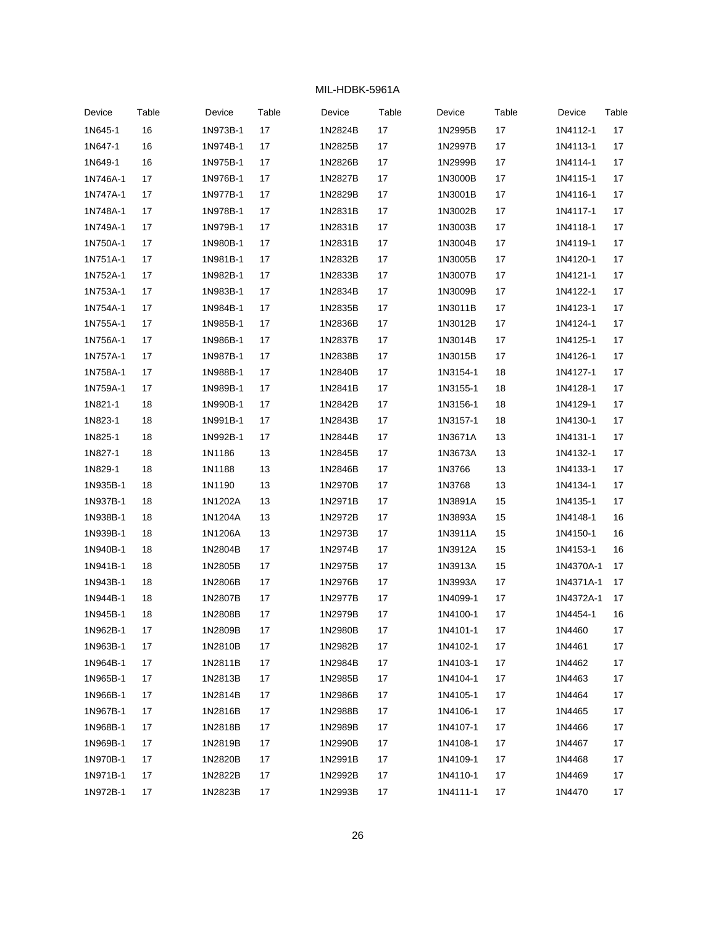| Device   | Table | Device   | Table | Device  | Table | Device   | Table | Device    | Table |
|----------|-------|----------|-------|---------|-------|----------|-------|-----------|-------|
| 1N645-1  | 16    | 1N973B-1 | 17    | 1N2824B | 17    | 1N2995B  | 17    | 1N4112-1  | 17    |
| 1N647-1  | 16    | 1N974B-1 | 17    | 1N2825B | 17    | 1N2997B  | 17    | 1N4113-1  | 17    |
| 1N649-1  | 16    | 1N975B-1 | 17    | 1N2826B | 17    | 1N2999B  | 17    | 1N4114-1  | 17    |
| 1N746A-1 | 17    | 1N976B-1 | 17    | 1N2827B | 17    | 1N3000B  | 17    | 1N4115-1  | 17    |
| 1N747A-1 | 17    | 1N977B-1 | 17    | 1N2829B | 17    | 1N3001B  | 17    | 1N4116-1  | 17    |
| 1N748A-1 | 17    | 1N978B-1 | 17    | 1N2831B | 17    | 1N3002B  | 17    | 1N4117-1  | 17    |
| 1N749A-1 | 17    | 1N979B-1 | 17    | 1N2831B | 17    | 1N3003B  | 17    | 1N4118-1  | 17    |
| 1N750A-1 | 17    | 1N980B-1 | 17    | 1N2831B | 17    | 1N3004B  | 17    | 1N4119-1  | 17    |
| 1N751A-1 | 17    | 1N981B-1 | 17    | 1N2832B | 17    | 1N3005B  | 17    | 1N4120-1  | 17    |
| 1N752A-1 | 17    | 1N982B-1 | 17    | 1N2833B | 17    | 1N3007B  | 17    | 1N4121-1  | 17    |
| 1N753A-1 | 17    | 1N983B-1 | 17    | 1N2834B | 17    | 1N3009B  | 17    | 1N4122-1  | 17    |
| 1N754A-1 | 17    | 1N984B-1 | 17    | 1N2835B | 17    | 1N3011B  | 17    | 1N4123-1  | 17    |
| 1N755A-1 | 17    | 1N985B-1 | 17    | 1N2836B | 17    | 1N3012B  | 17    | 1N4124-1  | 17    |
| 1N756A-1 | 17    | 1N986B-1 | 17    | 1N2837B | 17    | 1N3014B  | 17    | 1N4125-1  | 17    |
| 1N757A-1 | 17    | 1N987B-1 | 17    | 1N2838B | 17    | 1N3015B  | 17    | 1N4126-1  | 17    |
| 1N758A-1 | 17    | 1N988B-1 | 17    | 1N2840B | 17    | 1N3154-1 | 18    | 1N4127-1  | 17    |
| 1N759A-1 | 17    | 1N989B-1 | 17    | 1N2841B | 17    | 1N3155-1 | 18    | 1N4128-1  | 17    |
| 1N821-1  | 18    | 1N990B-1 | 17    | 1N2842B | 17    | 1N3156-1 | 18    | 1N4129-1  | 17    |
| 1N823-1  | 18    | 1N991B-1 | 17    | 1N2843B | 17    | 1N3157-1 | 18    | 1N4130-1  | 17    |
| 1N825-1  | 18    | 1N992B-1 | 17    | 1N2844B | 17    | 1N3671A  | 13    | 1N4131-1  | 17    |
| 1N827-1  | 18    | 1N1186   | 13    | 1N2845B | 17    | 1N3673A  | 13    | 1N4132-1  | 17    |
| 1N829-1  | 18    | 1N1188   | 13    | 1N2846B | 17    | 1N3766   | 13    | 1N4133-1  | 17    |
| 1N935B-1 | 18    | 1N1190   | 13    | 1N2970B | 17    | 1N3768   | 13    | 1N4134-1  | 17    |
| 1N937B-1 | 18    | 1N1202A  | 13    | 1N2971B | 17    | 1N3891A  | 15    | 1N4135-1  | 17    |
| 1N938B-1 | 18    | 1N1204A  | 13    | 1N2972B | 17    | 1N3893A  | 15    | 1N4148-1  | 16    |
| 1N939B-1 | 18    | 1N1206A  | 13    | 1N2973B | 17    | 1N3911A  | 15    | 1N4150-1  | 16    |
| 1N940B-1 | 18    | 1N2804B  | 17    | 1N2974B | 17    | 1N3912A  | 15    | 1N4153-1  | 16    |
| 1N941B-1 | 18    | 1N2805B  | 17    | 1N2975B | 17    | 1N3913A  | 15    | 1N4370A-1 | 17    |
| 1N943B-1 | 18    | 1N2806B  | 17    | 1N2976B | 17    | 1N3993A  | 17    | 1N4371A-1 | 17    |
| 1N944B-1 | 18    | 1N2807B  | 17    | 1N2977B | 17    | 1N4099-1 | 17    | 1N4372A-1 | 17    |
| 1N945B-1 | 18    | 1N2808B  | 17    | 1N2979B | 17    | 1N4100-1 | 17    | 1N4454-1  | 16    |
| 1N962B-1 | 17    | 1N2809B  | 17    | 1N2980B | 17    | 1N4101-1 | 17    | 1N4460    | 17    |
| 1N963B-1 | 17    | 1N2810B  | 17    | 1N2982B | 17    | 1N4102-1 | 17    | 1N4461    | 17    |
| 1N964B-1 | 17    | 1N2811B  | 17    | 1N2984B | 17    | 1N4103-1 | 17    | 1N4462    | 17    |
| 1N965B-1 | 17    | 1N2813B  | 17    | 1N2985B | 17    | 1N4104-1 | 17    | 1N4463    | 17    |
| 1N966B-1 | 17    | 1N2814B  | 17    | 1N2986B | 17    | 1N4105-1 | 17    | 1N4464    | 17    |
| 1N967B-1 | 17    | 1N2816B  | 17    | 1N2988B | 17    | 1N4106-1 | 17    | 1N4465    | 17    |
| 1N968B-1 | 17    | 1N2818B  | 17    | 1N2989B | 17    | 1N4107-1 | 17    | 1N4466    | $17$  |
| 1N969B-1 | 17    | 1N2819B  | 17    | 1N2990B | 17    | 1N4108-1 | 17    | 1N4467    | 17    |
| 1N970B-1 | 17    | 1N2820B  | 17    | 1N2991B | 17    | 1N4109-1 | 17    | 1N4468    | 17    |
| 1N971B-1 | 17    | 1N2822B  | 17    | 1N2992B | 17    | 1N4110-1 | 17    | 1N4469    | 17    |
| 1N972B-1 | 17    | 1N2823B  | 17    | 1N2993B | 17    | 1N4111-1 | 17    | 1N4470    | 17    |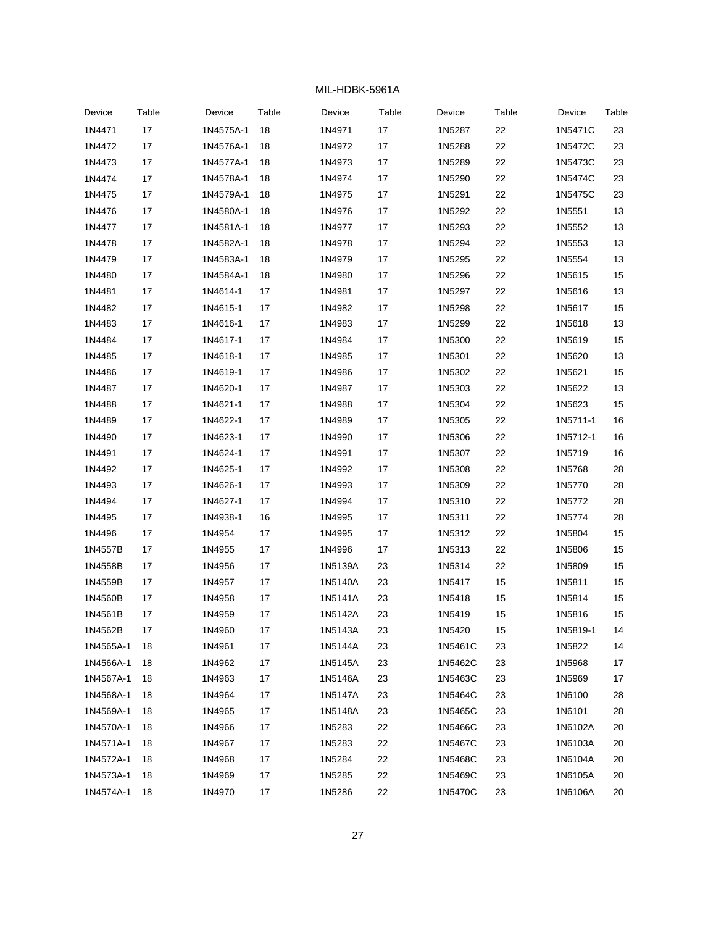| Device    | Table | Device    | Table | Device  | Table | Device  | Table | Device   | Table |
|-----------|-------|-----------|-------|---------|-------|---------|-------|----------|-------|
| 1N4471    | 17    | 1N4575A-1 | 18    | 1N4971  | 17    | 1N5287  | 22    | 1N5471C  | 23    |
| 1N4472    | 17    | 1N4576A-1 | 18    | 1N4972  | 17    | 1N5288  | 22    | 1N5472C  | 23    |
| 1N4473    | 17    | 1N4577A-1 | 18    | 1N4973  | 17    | 1N5289  | 22    | 1N5473C  | 23    |
| 1N4474    | 17    | 1N4578A-1 | 18    | 1N4974  | 17    | 1N5290  | 22    | 1N5474C  | 23    |
| 1N4475    | 17    | 1N4579A-1 | 18    | 1N4975  | 17    | 1N5291  | 22    | 1N5475C  | 23    |
| 1N4476    | 17    | 1N4580A-1 | 18    | 1N4976  | 17    | 1N5292  | 22    | 1N5551   | 13    |
| 1N4477    | 17    | 1N4581A-1 | 18    | 1N4977  | 17    | 1N5293  | 22    | 1N5552   | 13    |
| 1N4478    | 17    | 1N4582A-1 | 18    | 1N4978  | 17    | 1N5294  | 22    | 1N5553   | 13    |
| 1N4479    | 17    | 1N4583A-1 | 18    | 1N4979  | 17    | 1N5295  | 22    | 1N5554   | 13    |
| 1N4480    | 17    | 1N4584A-1 | 18    | 1N4980  | 17    | 1N5296  | 22    | 1N5615   | 15    |
| 1N4481    | 17    | 1N4614-1  | 17    | 1N4981  | 17    | 1N5297  | 22    | 1N5616   | 13    |
| 1N4482    | 17    | 1N4615-1  | 17    | 1N4982  | 17    | 1N5298  | 22    | 1N5617   | 15    |
| 1N4483    | 17    | 1N4616-1  | 17    | 1N4983  | 17    | 1N5299  | 22    | 1N5618   | 13    |
| 1N4484    | 17    | 1N4617-1  | 17    | 1N4984  | 17    | 1N5300  | 22    | 1N5619   | 15    |
| 1N4485    | 17    | 1N4618-1  | 17    | 1N4985  | 17    | 1N5301  | 22    | 1N5620   | 13    |
| 1N4486    | 17    | 1N4619-1  | 17    | 1N4986  | 17    | 1N5302  | 22    | 1N5621   | 15    |
| 1N4487    | 17    | 1N4620-1  | 17    | 1N4987  | 17    | 1N5303  | 22    | 1N5622   | 13    |
| 1N4488    | 17    | 1N4621-1  | 17    | 1N4988  | 17    | 1N5304  | 22    | 1N5623   | 15    |
| 1N4489    | 17    | 1N4622-1  | 17    | 1N4989  | 17    | 1N5305  | 22    | 1N5711-1 | 16    |
| 1N4490    | 17    | 1N4623-1  | 17    | 1N4990  | 17    | 1N5306  | 22    | 1N5712-1 | 16    |
| 1N4491    | 17    | 1N4624-1  | 17    | 1N4991  | 17    | 1N5307  | 22    | 1N5719   | 16    |
| 1N4492    | 17    | 1N4625-1  | 17    | 1N4992  | 17    | 1N5308  | 22    | 1N5768   | 28    |
| 1N4493    | 17    | 1N4626-1  | 17    | 1N4993  | 17    | 1N5309  | 22    | 1N5770   | 28    |
| 1N4494    | 17    | 1N4627-1  | 17    | 1N4994  | 17    | 1N5310  | 22    | 1N5772   | 28    |
| 1N4495    | 17    | 1N4938-1  | 16    | 1N4995  | 17    | 1N5311  | 22    | 1N5774   | 28    |
| 1N4496    | 17    | 1N4954    | 17    | 1N4995  | 17    | 1N5312  | 22    | 1N5804   | 15    |
| 1N4557B   | 17    | 1N4955    | 17    | 1N4996  | 17    | 1N5313  | 22    | 1N5806   | 15    |
| 1N4558B   | 17    | 1N4956    | 17    | 1N5139A | 23    | 1N5314  | 22    | 1N5809   | 15    |
| 1N4559B   | 17    | 1N4957    | 17    | 1N5140A | 23    | 1N5417  | 15    | 1N5811   | 15    |
| 1N4560B   | 17    | 1N4958    | 17    | 1N5141A | 23    | 1N5418  | 15    | 1N5814   | 15    |
| 1N4561B   | 17    | 1N4959    | 17    | 1N5142A | 23    | 1N5419  | 15    | 1N5816   | 15    |
| 1N4562B   | 17    | 1N4960    | 17    | 1N5143A | 23    | 1N5420  | 15    | 1N5819-1 | 14    |
| 1N4565A-1 | 18    | 1N4961    | 17    | 1N5144A | 23    | 1N5461C | 23    | 1N5822   | 14    |
| 1N4566A-1 | 18    | 1N4962    | 17    | 1N5145A | 23    | 1N5462C | 23    | 1N5968   | 17    |
| 1N4567A-1 | 18    | 1N4963    | 17    | 1N5146A | 23    | 1N5463C | 23    | 1N5969   | 17    |
| 1N4568A-1 | 18    | 1N4964    | 17    | 1N5147A | 23    | 1N5464C | 23    | 1N6100   | 28    |
| 1N4569A-1 | 18    | 1N4965    | 17    | 1N5148A | 23    | 1N5465C | 23    | 1N6101   | 28    |
| 1N4570A-1 | 18    | 1N4966    | 17    | 1N5283  | 22    | 1N5466C | 23    | 1N6102A  | 20    |
| 1N4571A-1 | 18    | 1N4967    | 17    | 1N5283  | 22    | 1N5467C | 23    | 1N6103A  | 20    |
| 1N4572A-1 | 18    | 1N4968    | 17    | 1N5284  | 22    | 1N5468C | 23    | 1N6104A  | 20    |
| 1N4573A-1 | 18    | 1N4969    | 17    | 1N5285  | 22    | 1N5469C | 23    | 1N6105A  | 20    |
| 1N4574A-1 | 18    | 1N4970    | 17    | 1N5286  | 22    | 1N5470C | 23    | 1N6106A  | 20    |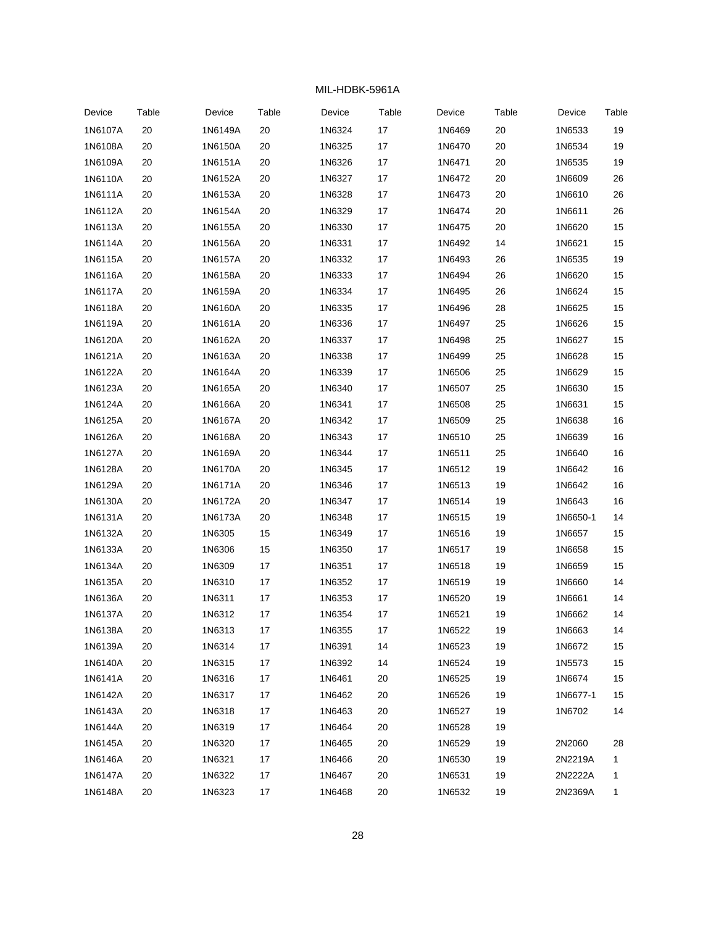| Device  | Table  | Device  | Table  | Device | Table | Device | Table | Device   | Table |
|---------|--------|---------|--------|--------|-------|--------|-------|----------|-------|
| 1N6107A | $20\,$ | 1N6149A | $20\,$ | 1N6324 | 17    | 1N6469 | 20    | 1N6533   | 19    |
| 1N6108A | 20     | 1N6150A | 20     | 1N6325 | 17    | 1N6470 | 20    | 1N6534   | 19    |
| 1N6109A | 20     | 1N6151A | 20     | 1N6326 | 17    | 1N6471 | 20    | 1N6535   | 19    |
| 1N6110A | 20     | 1N6152A | 20     | 1N6327 | 17    | 1N6472 | 20    | 1N6609   | 26    |
| 1N6111A | 20     | 1N6153A | 20     | 1N6328 | 17    | 1N6473 | 20    | 1N6610   | 26    |
| 1N6112A | $20\,$ | 1N6154A | $20\,$ | 1N6329 | 17    | 1N6474 | 20    | 1N6611   | 26    |
| 1N6113A | 20     | 1N6155A | 20     | 1N6330 | 17    | 1N6475 | 20    | 1N6620   | 15    |
| 1N6114A | 20     | 1N6156A | 20     | 1N6331 | 17    | 1N6492 | 14    | 1N6621   | 15    |
| 1N6115A | 20     | 1N6157A | 20     | 1N6332 | 17    | 1N6493 | 26    | 1N6535   | 19    |
| 1N6116A | 20     | 1N6158A | 20     | 1N6333 | 17    | 1N6494 | 26    | 1N6620   | 15    |
| 1N6117A | 20     | 1N6159A | 20     | 1N6334 | 17    | 1N6495 | 26    | 1N6624   | 15    |
| 1N6118A | 20     | 1N6160A | 20     | 1N6335 | 17    | 1N6496 | 28    | 1N6625   | 15    |
| 1N6119A | 20     | 1N6161A | 20     | 1N6336 | 17    | 1N6497 | 25    | 1N6626   | 15    |
| 1N6120A | 20     | 1N6162A | 20     | 1N6337 | 17    | 1N6498 | 25    | 1N6627   | 15    |
| 1N6121A | 20     | 1N6163A | 20     | 1N6338 | 17    | 1N6499 | 25    | 1N6628   | 15    |
| 1N6122A | 20     | 1N6164A | 20     | 1N6339 | 17    | 1N6506 | 25    | 1N6629   | 15    |
| 1N6123A | 20     | 1N6165A | 20     | 1N6340 | 17    | 1N6507 | 25    | 1N6630   | 15    |
| 1N6124A | 20     | 1N6166A | 20     | 1N6341 | 17    | 1N6508 | 25    | 1N6631   | 15    |
| 1N6125A | 20     | 1N6167A | 20     | 1N6342 | 17    | 1N6509 | 25    | 1N6638   | 16    |
| 1N6126A | 20     | 1N6168A | 20     | 1N6343 | 17    | 1N6510 | 25    | 1N6639   | 16    |
| 1N6127A | 20     | 1N6169A | $20\,$ | 1N6344 | 17    | 1N6511 | 25    | 1N6640   | 16    |
| 1N6128A | 20     | 1N6170A | $20\,$ | 1N6345 | 17    | 1N6512 | 19    | 1N6642   | 16    |
| 1N6129A | 20     | 1N6171A | 20     | 1N6346 | 17    | 1N6513 | 19    | 1N6642   | 16    |
| 1N6130A | 20     | 1N6172A | 20     | 1N6347 | 17    | 1N6514 | 19    | 1N6643   | 16    |
| 1N6131A | 20     | 1N6173A | $20\,$ | 1N6348 | 17    | 1N6515 | 19    | 1N6650-1 | 14    |
| 1N6132A | 20     | 1N6305  | 15     | 1N6349 | 17    | 1N6516 | 19    | 1N6657   | 15    |
| 1N6133A | 20     | 1N6306  | 15     | 1N6350 | 17    | 1N6517 | 19    | 1N6658   | 15    |
| 1N6134A | 20     | 1N6309  | 17     | 1N6351 | 17    | 1N6518 | 19    | 1N6659   | 15    |
| 1N6135A | 20     | 1N6310  | 17     | 1N6352 | 17    | 1N6519 | 19    | 1N6660   | 14    |
| 1N6136A | 20     | 1N6311  | 17     | 1N6353 | 17    | 1N6520 | 19    | 1N6661   | 14    |
| 1N6137A | 20     | 1N6312  | 17     | 1N6354 | 17    | 1N6521 | 19    | 1N6662   | 14    |
| 1N6138A | 20     | 1N6313  | 17     | 1N6355 | 17    | 1N6522 | 19    | 1N6663   | 14    |
| 1N6139A | 20     | 1N6314  | 17     | 1N6391 | 14    | 1N6523 | 19    | 1N6672   | 15    |
| 1N6140A | 20     | 1N6315  | 17     | 1N6392 | 14    | 1N6524 | 19    | 1N5573   | 15    |
| 1N6141A | 20     | 1N6316  | 17     | 1N6461 | 20    | 1N6525 | 19    | 1N6674   | 15    |
| 1N6142A | 20     | 1N6317  | 17     | 1N6462 | 20    | 1N6526 | 19    | 1N6677-1 | 15    |
| 1N6143A | 20     | 1N6318  | 17     | 1N6463 | 20    | 1N6527 | 19    | 1N6702   | 14    |
| 1N6144A | 20     | 1N6319  | 17     | 1N6464 | 20    | 1N6528 | 19    |          |       |
| 1N6145A | 20     | 1N6320  | 17     | 1N6465 | 20    | 1N6529 | 19    | 2N2060   | 28    |
| 1N6146A | 20     | 1N6321  | 17     | 1N6466 | 20    | 1N6530 | 19    | 2N2219A  | 1     |
| 1N6147A | 20     | 1N6322  | 17     | 1N6467 | 20    | 1N6531 | 19    | 2N2222A  | 1     |
| 1N6148A | 20     | 1N6323  | 17     | 1N6468 | 20    | 1N6532 | 19    | 2N2369A  | 1     |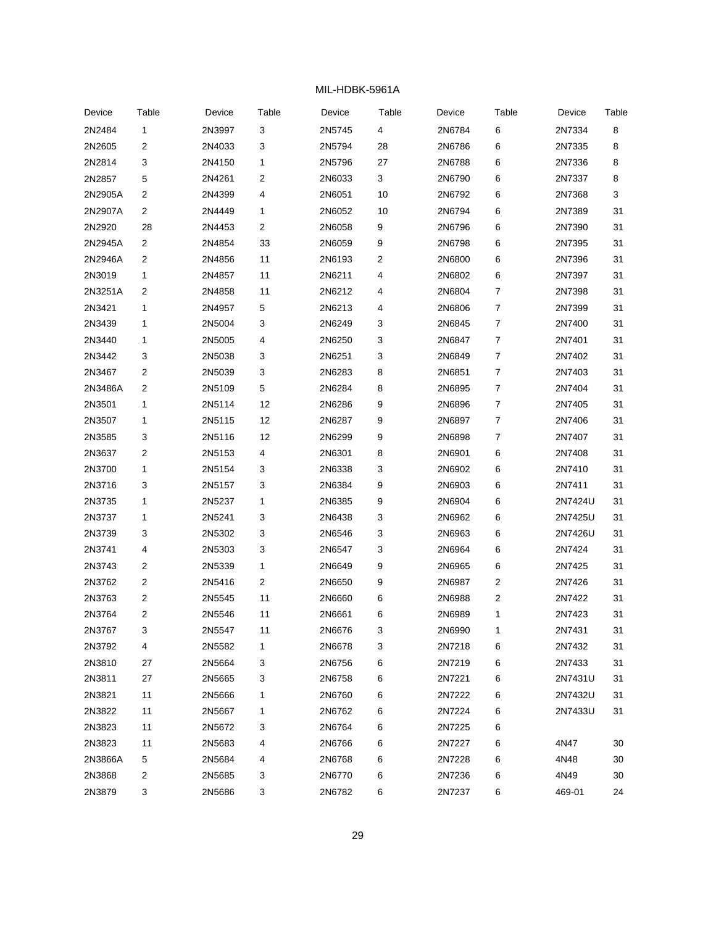| Device  | Table                   | Device | Table                     | Device | Table | Device | Table | Device  | Table |
|---------|-------------------------|--------|---------------------------|--------|-------|--------|-------|---------|-------|
| 2N2484  | $\mathbf{1}$            | 2N3997 | $\ensuremath{\mathsf{3}}$ | 2N5745 | 4     | 2N6784 | $\,6$ | 2N7334  | 8     |
| 2N2605  | 2                       | 2N4033 | 3                         | 2N5794 | 28    | 2N6786 | 6     | 2N7335  | 8     |
| 2N2814  | 3                       | 2N4150 | 1                         | 2N5796 | 27    | 2N6788 | 6     | 2N7336  | 8     |
| 2N2857  | 5                       | 2N4261 | $\overline{\mathbf{c}}$   | 2N6033 | 3     | 2N6790 | 6     | 2N7337  | 8     |
| 2N2905A | 2                       | 2N4399 | 4                         | 2N6051 | 10    | 2N6792 | 6     | 2N7368  | 3     |
| 2N2907A | $\overline{\mathbf{c}}$ | 2N4449 | 1                         | 2N6052 | 10    | 2N6794 | 6     | 2N7389  | 31    |
| 2N2920  | 28                      | 2N4453 | $\overline{\mathbf{c}}$   | 2N6058 | 9     | 2N6796 | 6     | 2N7390  | 31    |
| 2N2945A | $\overline{\mathbf{c}}$ | 2N4854 | 33                        | 2N6059 | 9     | 2N6798 | 6     | 2N7395  | 31    |
| 2N2946A | 2                       | 2N4856 | 11                        | 2N6193 | 2     | 2N6800 | 6     | 2N7396  | 31    |
| 2N3019  | 1                       | 2N4857 | 11                        | 2N6211 | 4     | 2N6802 | 6     | 2N7397  | 31    |
| 2N3251A | 2                       | 2N4858 | 11                        | 2N6212 | 4     | 2N6804 | 7     | 2N7398  | 31    |
| 2N3421  | 1                       | 2N4957 | 5                         | 2N6213 | 4     | 2N6806 | 7     | 2N7399  | 31    |
| 2N3439  | 1                       | 2N5004 | 3                         | 2N6249 | 3     | 2N6845 | 7     | 2N7400  | 31    |
| 2N3440  | 1                       | 2N5005 | 4                         | 2N6250 | 3     | 2N6847 | 7     | 2N7401  | 31    |
| 2N3442  | 3                       | 2N5038 | 3                         | 2N6251 | 3     | 2N6849 | 7     | 2N7402  | 31    |
| 2N3467  | 2                       | 2N5039 | 3                         | 2N6283 | 8     | 2N6851 | 7     | 2N7403  | 31    |
| 2N3486A | 2                       | 2N5109 | $\,$ 5 $\,$               | 2N6284 | 8     | 2N6895 | 7     | 2N7404  | 31    |
| 2N3501  | 1                       | 2N5114 | 12                        | 2N6286 | 9     | 2N6896 | 7     | 2N7405  | 31    |
| 2N3507  | 1                       | 2N5115 | 12                        | 2N6287 | 9     | 2N6897 | 7     | 2N7406  | 31    |
| 2N3585  | 3                       | 2N5116 | 12                        | 2N6299 | 9     | 2N6898 | 7     | 2N7407  | 31    |
| 2N3637  | 2                       | 2N5153 | $\overline{\mathbf{4}}$   | 2N6301 | 8     | 2N6901 | 6     | 2N7408  | 31    |
| 2N3700  | 1                       | 2N5154 | 3                         | 2N6338 | 3     | 2N6902 | 6     | 2N7410  | 31    |
| 2N3716  | 3                       | 2N5157 | 3                         | 2N6384 | 9     | 2N6903 | 6     | 2N7411  | 31    |
| 2N3735  | 1                       | 2N5237 | 1                         | 2N6385 | 9     | 2N6904 | 6     | 2N7424U | 31    |
| 2N3737  | 1                       | 2N5241 | 3                         | 2N6438 | 3     | 2N6962 | 6     | 2N7425U | 31    |
| 2N3739  | 3                       | 2N5302 | 3                         | 2N6546 | 3     | 2N6963 | 6     | 2N7426U | 31    |
| 2N3741  | 4                       | 2N5303 | 3                         | 2N6547 | 3     | 2N6964 | 6     | 2N7424  | 31    |
| 2N3743  | 2                       | 2N5339 | 1                         | 2N6649 | 9     | 2N6965 | 6     | 2N7425  | 31    |
| 2N3762  | 2                       | 2N5416 | $\overline{\mathbf{c}}$   | 2N6650 | 9     | 2N6987 | 2     | 2N7426  | 31    |
| 2N3763  | 2                       | 2N5545 | 11                        | 2N6660 | 6     | 2N6988 | 2     | 2N7422  | 31    |
| 2N3764  | 2                       | 2N5546 | 11                        | 2N6661 | 6     | 2N6989 | 1     | 2N7423  | 31    |
| 2N3767  | 3                       | 2N5547 | 11                        | 2N6676 | 3     | 2N6990 | 1     | 2N7431  | 31    |
| 2N3792  | 4                       | 2N5582 | 1                         | 2N6678 | 3     | 2N7218 | 6     | 2N7432  | 31    |
| 2N3810  | 27                      | 2N5664 | 3                         | 2N6756 | 6     | 2N7219 | 6     | 2N7433  | 31    |
| 2N3811  | 27                      | 2N5665 | 3                         | 2N6758 | 6     | 2N7221 | 6     | 2N7431U | 31    |
| 2N3821  | 11                      | 2N5666 | 1                         | 2N6760 | 6     | 2N7222 | 6     | 2N7432U | 31    |
| 2N3822  | 11                      | 2N5667 | 1                         | 2N6762 | 6     | 2N7224 | 6     | 2N7433U | 31    |
| 2N3823  | 11                      | 2N5672 | 3                         | 2N6764 | 6     | 2N7225 | 6     |         |       |
| 2N3823  | 11                      | 2N5683 | 4                         | 2N6766 | 6     | 2N7227 | 6     | 4N47    | 30    |
| 2N3866A | 5                       | 2N5684 | 4                         | 2N6768 | 6     | 2N7228 | 6     | 4N48    | 30    |
| 2N3868  | 2                       | 2N5685 | 3                         | 2N6770 | 6     | 2N7236 | 6     | 4N49    | 30    |
| 2N3879  | 3                       | 2N5686 | 3                         | 2N6782 | 6     | 2N7237 | 6     | 469-01  | 24    |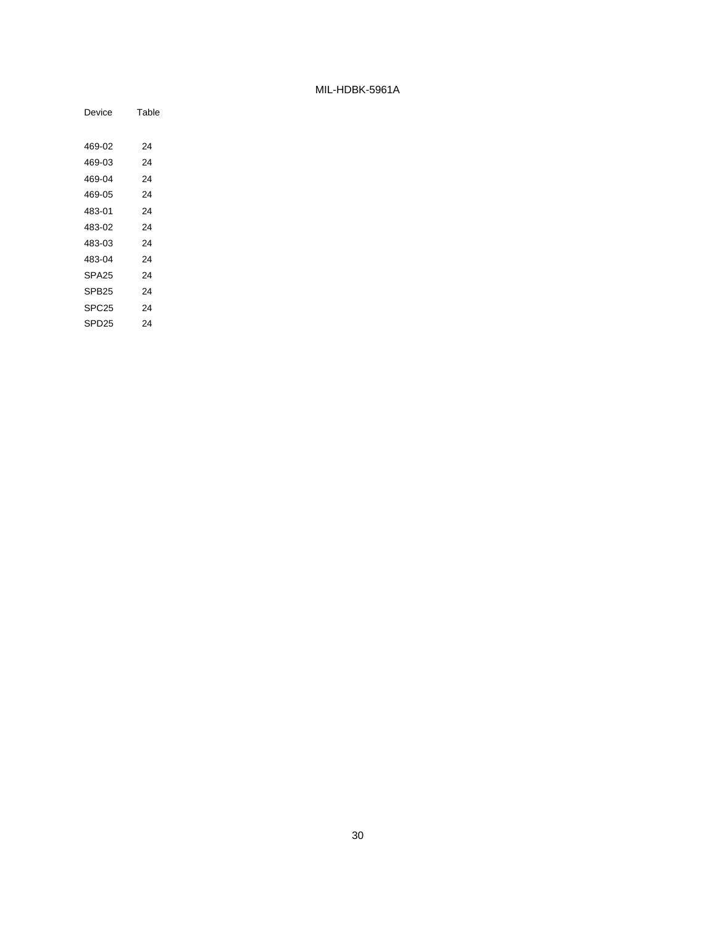| Device            | Table |
|-------------------|-------|
|                   |       |
| 469-02            | 24    |
| 469-03            | 24    |
| 469-04            | 24    |
| 469-05            | 24    |
| 483-01            | 24    |
| 483-02            | 24    |
| 483-03            | 24    |
| 483-04            | 24    |
| SPA <sub>25</sub> | 24    |
| SPB <sub>25</sub> | 24    |
| SPC <sub>25</sub> | 24    |
| SPD <sub>25</sub> | 24    |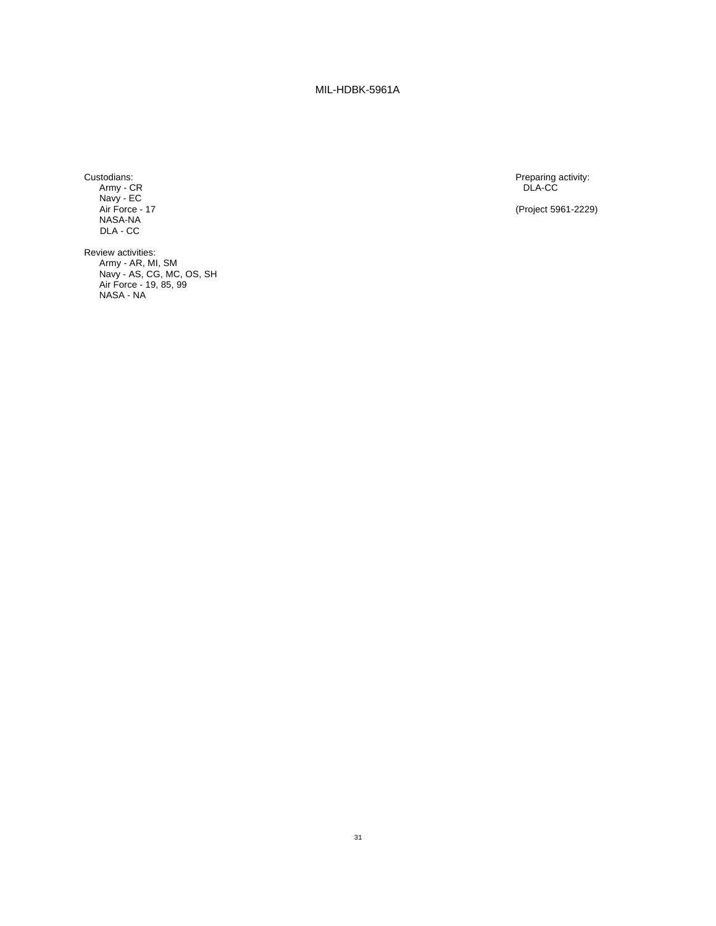Army - CR DLA-CC Navy - EC NASA-NA DLA - CC

Review activities: Army - AR, MI, SM Navy - AS, CG, MC, OS, SH Air Force - 19, 85, 99 NASA - NA

Preparing activity:<br>DLA-CC

(Project 5961-2229)